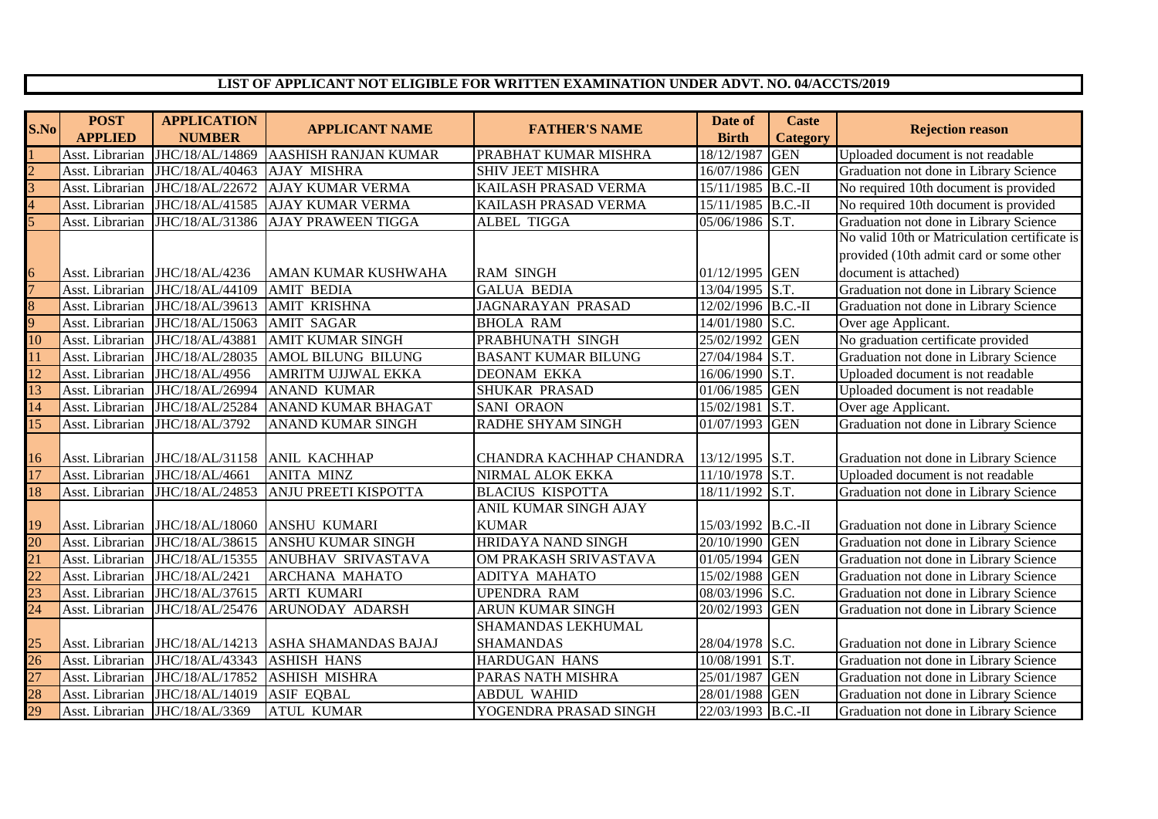## **LIST OF APPLICANT NOT ELIGIBLE FOR WRITTEN EXAMINATION UNDER ADVT. NO. 04/ACCTS/2019**

| S.No                              | <b>POST</b>     | <b>APPLICATION</b>              | <b>APPLICANT NAME</b>                                | <b>FATHER'S NAME</b>       | Date of            | <b>Caste</b>    | <b>Rejection reason</b>                       |
|-----------------------------------|-----------------|---------------------------------|------------------------------------------------------|----------------------------|--------------------|-----------------|-----------------------------------------------|
|                                   | <b>APPLIED</b>  | <b>NUMBER</b>                   |                                                      |                            | <b>Birth</b>       | <b>Category</b> |                                               |
|                                   | Asst. Librarian | JHC/18/AL/14869                 | <b>AASHISH RANJAN KUMAR</b>                          | PRABHAT KUMAR MISHRA       | 18/12/1987         | <b>GEN</b>      | Uploaded document is not readable             |
|                                   | Asst. Librarian | JHC/18/AL/40463                 | <b>AJAY MISHRA</b>                                   | <b>SHIV JEET MISHRA</b>    | 16/07/1986         | <b>GEN</b>      | Graduation not done in Library Science        |
| $\frac{2}{3}$                     | Asst. Librarian | JHC/18/AL/22672                 | <b>AJAY KUMAR VERMA</b>                              | KAILASH PRASAD VERMA       | 15/11/1985 B.C.-II |                 | No required 10th document is provided         |
|                                   | Asst. Librarian |                                 | JHC/18/AL/41585 AJAY KUMAR VERMA                     | KAILASH PRASAD VERMA       | 15/11/1985 B.C.-II |                 | No required 10th document is provided         |
|                                   | Asst. Librarian |                                 | JHC/18/AL/31386 AJAY PRAWEEN TIGGA                   | <b>ALBEL TIGGA</b>         | 05/06/1986 S.T.    |                 | Graduation not done in Library Science        |
|                                   |                 |                                 |                                                      |                            |                    |                 | No valid 10th or Matriculation certificate is |
|                                   |                 |                                 |                                                      |                            |                    |                 | provided (10th admit card or some other       |
| $\frac{6}{7}$                     | Asst. Librarian | JHC/18/AL/4236                  | IAMAN KUMAR KUSHWAHA                                 | <b>RAM SINGH</b>           | 01/12/1995 GEN     |                 | document is attached)                         |
|                                   | Asst. Librarian | JHC/18/AL/44109                 | <b>AMIT BEDIA</b>                                    | <b>GALUA BEDIA</b>         | 13/04/1995 S.T.    |                 | Graduation not done in Library Science        |
| $\frac{8}{9}$                     | Asst. Librarian | JHC/18/AL/39613                 | <b>AMIT KRISHNA</b>                                  | <b>JAGNARAYAN PRASAD</b>   | 12/02/1996 B.C.-II |                 | Graduation not done in Library Science        |
|                                   | Asst. Librarian | JHC/18/AL/15063                 | <b>AMIT SAGAR</b>                                    | <b>BHOLA RAM</b>           | 14/01/1980 S.C.    |                 | Over age Applicant.                           |
| 10                                | Asst. Librarian | JHC/18/AL/43881                 | <b>AMIT KUMAR SINGH</b>                              | PRABHUNATH SINGH           | 25/02/1992 GEN     |                 | No graduation certificate provided            |
| 11                                | Asst. Librarian | JHC/18/AL/28035                 | <b>AMOL BILUNG BILUNG</b>                            | <b>BASANT KUMAR BILUNG</b> | 27/04/1984 S.T.    |                 | Graduation not done in Library Science        |
| $\overline{12}$                   | Asst. Librarian | JHC/18/AL/4956                  | AMRITM UJJWAL EKKA                                   | <b>DEONAM EKKA</b>         | 16/06/1990 S.T.    |                 | Uploaded document is not readable             |
| 13                                | Asst. Librarian | JHC/18/AL/26994                 | <b>ANAND KUMAR</b>                                   | <b>SHUKAR PRASAD</b>       | 01/06/1985 GEN     |                 | Uploaded document is not readable             |
| 14                                | Asst. Librarian | JHC/18/AL/25284                 | <b>ANAND KUMAR BHAGAT</b>                            | <b>SANI ORAON</b>          | 15/02/1981         | S.T.            | Over age Applicant.                           |
| $\overline{15}$                   | Asst. Librarian | JHC/18/AL/3792                  | <b>ANAND KUMAR SINGH</b>                             | <b>RADHE SHYAM SINGH</b>   | 01/07/1993         | <b>GEN</b>      | Graduation not done in Library Science        |
|                                   |                 |                                 |                                                      |                            |                    |                 |                                               |
| 16                                | Asst. Librarian | JHC/18/AL/31158                 | <b>ANIL KACHHAP</b>                                  | CHANDRA KACHHAP CHANDRA    | 13/12/1995 S.T.    |                 | Graduation not done in Library Science        |
| $\overline{17}$                   |                 | Asst. Librarian JHC/18/AL/4661  | <b>ANITA MINZ</b>                                    | <b>NIRMAL ALOK EKKA</b>    | 11/10/1978 S.T.    |                 | Uploaded document is not readable             |
| <u>18</u>                         |                 | Asst. Librarian JHC/18/AL/24853 | <b>ANJU PREETI KISPOTTA</b>                          | <b>BLACIUS KISPOTTA</b>    | 18/11/1992 S.T.    |                 | Graduation not done in Library Science        |
|                                   |                 |                                 |                                                      | ANIL KUMAR SINGH AJAY      |                    |                 |                                               |
| 19                                |                 |                                 | Asst. Librarian JHC/18/AL/18060 ANSHU KUMARI         | <b>KUMAR</b>               | 15/03/1992 B.C.-II |                 | Graduation not done in Library Science        |
|                                   |                 |                                 | Asst. Librarian JHC/18/AL/38615 ANSHU KUMAR SINGH    | <b>HRIDAYA NAND SINGH</b>  | 20/10/1990 GEN     |                 | Graduation not done in Library Science        |
|                                   | Asst. Librarian | JHC/18/AL/15355                 | ANUBHAV SRIVASTAVA                                   | OM PRAKASH SRIVASTAVA      | 01/05/1994 GEN     |                 | Graduation not done in Library Science        |
| $\frac{1}{20}$<br>$\frac{21}{22}$ | Asst. Librarian | JHC/18/AL/2421                  | <b>ARCHANA MAHATO</b>                                | ADITYA MAHATO              | 15/02/1988 GEN     |                 | Graduation not done in Library Science        |
| 23                                | Asst. Librarian | JHC/18/AL/37615                 | <b>ARTI KUMARI</b>                                   | <b>UPENDRA RAM</b>         | 08/03/1996 S.C.    |                 | Graduation not done in Library Science        |
| 24                                | Asst. Librarian | JHC/18/AL/25476                 | <b>ARUNODAY ADARSH</b>                               | <b>ARUN KUMAR SINGH</b>    | 20/02/1993         | <b>GEN</b>      | Graduation not done in Library Science        |
|                                   |                 |                                 |                                                      | SHAMANDAS LEKHUMAL         |                    |                 |                                               |
| $\frac{25}{26}$                   |                 |                                 | Asst. Librarian JHC/18/AL/14213 ASHA SHAMANDAS BAJAJ | <b>SHAMANDAS</b>           | 28/04/1978 S.C.    |                 | Graduation not done in Library Science        |
|                                   | Asst. Librarian | JHC/18/AL/43343                 | <b>ASHISH HANS</b>                                   | HARDUGAN HANS              | 10/08/1991 S.T.    |                 | Graduation not done in Library Science        |
| $\overline{27}$                   | Asst. Librarian | JHC/18/AL/17852                 | <b>ASHISH MISHRA</b>                                 | PARAS NATH MISHRA          | 25/01/1987 GEN     |                 | Graduation not done in Library Science        |
| $\frac{1}{28}$                    | Asst. Librarian | JHC/18/AL/14019                 | <b>ASIF EQBAL</b>                                    | <b>ABDUL WAHID</b>         | 28/01/1988 GEN     |                 | Graduation not done in Library Science        |
| $\frac{1}{29}$                    |                 | Asst. Librarian JHC/18/AL/3369  | <b>ATUL KUMAR</b>                                    | YOGENDRA PRASAD SINGH      | 22/03/1993 B.C.-II |                 | Graduation not done in Library Science        |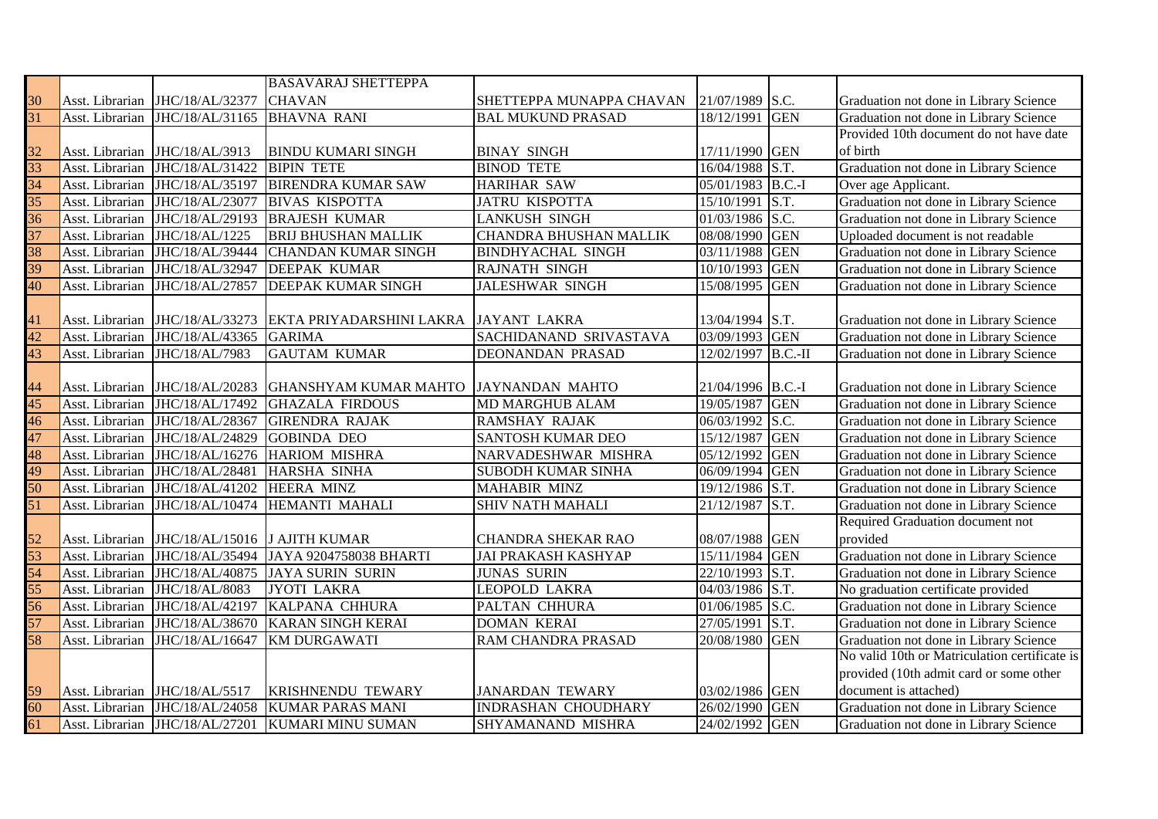|                 |                 |                               | <b>BASAVARAJ SHETTEPPA</b>             |                               |                    |            |                                               |
|-----------------|-----------------|-------------------------------|----------------------------------------|-------------------------------|--------------------|------------|-----------------------------------------------|
|                 | Asst. Librarian | JHC/18/AL/32377               | <b>CHAVAN</b>                          | SHETTEPPA MUNAPPA CHAVAN      | 21/07/1989 S.C.    |            | Graduation not done in Library Science        |
| $\frac{30}{31}$ | Asst. Librarian | JHC/18/AL/31165               | <b>BHAVNA RANI</b>                     | <b>BAL MUKUND PRASAD</b>      | 18/12/1991         | <b>GEN</b> | Graduation not done in Library Science        |
|                 |                 |                               |                                        |                               |                    |            | Provided 10th document do not have date       |
|                 | Asst. Librarian | JHC/18/AL/3913                | <b>BINDU KUMARI SINGH</b>              | <b>BINAY SINGH</b>            | 17/11/1990 GEN     |            | of birth                                      |
| $\frac{32}{33}$ | Asst. Librarian | JHC/18/AL/31422               | <b>BIPIN TETE</b>                      | <b>BINOD TETE</b>             | 16/04/1988 S.T.    |            | Graduation not done in Library Science        |
| 34              | Asst. Librarian | JHC/18/AL/35197               | <b>BIRENDRA KUMAR SAW</b>              | <b>HARIHAR SAW</b>            | 05/01/1983 B.C.-I  |            | Over age Applicant.                           |
| $\overline{35}$ | Asst. Librarian | JHC/18/AL/23077               | <b>BIVAS KISPOTTA</b>                  | <b>JATRU KISPOTTA</b>         | 15/10/1991         | S.T.       | Graduation not done in Library Science        |
| $\overline{36}$ | Asst. Librarian | JHC/18/AL/29193               | <b>BRAJESH KUMAR</b>                   | <b>LANKUSH SINGH</b>          | 01/03/1986 S.C.    |            | Graduation not done in Library Science        |
| 37              | Asst. Librarian | JHC/18/AL/1225                | <b>BRIJ BHUSHAN MALLIK</b>             | <b>CHANDRA BHUSHAN MALLIK</b> | 08/08/1990 GEN     |            | Uploaded document is not readable             |
| 38              | Asst. Librarian | JHC/18/AL/39444               | <b>CHANDAN KUMAR SINGH</b>             | <b>BINDHYACHAL SINGH</b>      | 03/11/1988 GEN     |            | Graduation not done in Library Science        |
| 39              | Asst. Librarian | JHC/18/AL/32947               | <b>DEEPAK KUMAR</b>                    | <b>RAJNATH SINGH</b>          | 10/10/1993         | <b>GEN</b> | Graduation not done in Library Science        |
| 40              | Asst. Librarian | JHC/18/AL/27857               | <b>DEEPAK KUMAR SINGH</b>              | JALESHWAR SINGH               | 15/08/1995         | <b>GEN</b> | Graduation not done in Library Science        |
|                 |                 |                               |                                        |                               |                    |            |                                               |
| 41              | Asst. Librarian | JHC/18/AL/33273               | EKTA PRIYADARSHINI LAKRA               | <b>JAYANT LAKRA</b>           | 13/04/1994 S.T.    |            | Graduation not done in Library Science        |
| $\overline{42}$ | Asst. Librarian | JHC/18/AL/43365               | <b>GARIMA</b>                          | SACHIDANAND SRIVASTAVA        | 03/09/1993 GEN     |            | Graduation not done in Library Science        |
| 43              | Asst. Librarian | JHC/18/AL/7983                | <b>GAUTAM KUMAR</b>                    | <b>DEONANDAN PRASAD</b>       | 12/02/1997 B.C.-II |            | Graduation not done in Library Science        |
|                 |                 |                               |                                        |                               |                    |            |                                               |
| 44              | Asst. Librarian | JHC/18/AL/20283               | <b>GHANSHYAM KUMAR MAHTO</b>           | <b>JAYNANDAN MAHTO</b>        | 21/04/1996 B.C.-I  |            | Graduation not done in Library Science        |
| $\overline{45}$ | Asst. Librarian | JHC/18/AL/17492               | <b>GHAZALA FIRDOUS</b>                 | <b>MD MARGHUB ALAM</b>        | 19/05/1987 GEN     |            | Graduation not done in Library Science        |
| 46              | Asst. Librarian | JHC/18/AL/28367               | <b>GIRENDRA RAJAK</b>                  | <b>RAMSHAY RAJAK</b>          | 06/03/1992 S.C.    |            | Graduation not done in Library Science        |
| 47              | Asst. Librarian | JHC/18/AL/24829               | <b>GOBINDA DEO</b>                     | <b>SANTOSH KUMAR DEO</b>      | 15/12/1987 GEN     |            | Graduation not done in Library Science        |
| 48              | Asst. Librarian | JHC/18/AL/16276               | <b>HARIOM MISHRA</b>                   | NARVADESHWAR MISHRA           | 05/12/1992 GEN     |            | Graduation not done in Library Science        |
| 49              | Asst. Librarian | JHC/18/AL/28481               | HARSHA SINHA                           | <b>SUBODH KUMAR SINHA</b>     | 06/09/1994 GEN     |            | Graduation not done in Library Science        |
| $\overline{50}$ | Asst. Librarian | JHC/18/AL/41202               | <b>HEERA MINZ</b>                      | <b>MAHABIR MINZ</b>           | 19/12/1986 S.T.    |            | Graduation not done in Library Science        |
| 51              | Asst. Librarian | JHC/18/AL/10474               | HEMANTI MAHALI                         | <b>SHIV NATH MAHALI</b>       | 21/12/1987         | S.T.       | Graduation not done in Library Science        |
|                 |                 |                               |                                        |                               |                    |            | Required Graduation document not              |
| $\frac{52}{53}$ | Asst. Librarian | JHC/18/AL/15016 J AJITH KUMAR |                                        | <b>CHANDRA SHEKAR RAO</b>     | 08/07/1988 GEN     |            | provided                                      |
|                 | Asst. Librarian |                               | JHC/18/AL/35494 JAYA 9204758038 BHARTI | <b>JAI PRAKASH KASHYAP</b>    | 15/11/1984 GEN     |            | Graduation not done in Library Science        |
| 54              | Asst. Librarian | JHC/18/AL/40875               | <b>JAYA SURIN SURIN</b>                | <b>JUNAS SURIN</b>            | 22/10/1993 S.T.    |            | Graduation not done in Library Science        |
| 55              | Asst. Librarian | JHC/18/AL/8083                | <b>JYOTI LAKRA</b>                     | <b>LEOPOLD LAKRA</b>          | 04/03/1986 S.T.    |            | No graduation certificate provided            |
| 56              | Asst. Librarian | JHC/18/AL/42197               | KALPANA CHHURA                         | PALTAN CHHURA                 | 01/06/1985 S.C.    |            | Graduation not done in Library Science        |
| 57              | Asst. Librarian | JHC/18/AL/38670               | <b>KARAN SINGH KERAI</b>               | <b>DOMAN KERAI</b>            | 27/05/1991         | S.T.       | Graduation not done in Library Science        |
| 58              | Asst. Librarian | JHC/18/AL/16647               | <b>KM DURGAWATI</b>                    | RAM CHANDRA PRASAD            | 20/08/1980         | <b>GEN</b> | Graduation not done in Library Science        |
|                 |                 |                               |                                        |                               |                    |            | No valid 10th or Matriculation certificate is |
|                 |                 |                               |                                        |                               |                    |            | provided (10th admit card or some other       |
| 59              | Asst. Librarian | JHC/18/AL/5517                | <b>KRISHNENDU TEWARY</b>               | <b>JANARDAN TEWARY</b>        | 03/02/1986 GEN     |            | document is attached)                         |
| $\frac{60}{61}$ | Asst. Librarian | JHC/18/AL/24058               | <b>KUMAR PARAS MANI</b>                | <b>INDRASHAN CHOUDHARY</b>    | 26/02/1990 GEN     |            | Graduation not done in Library Science        |
|                 | Asst. Librarian | JHC/18/AL/27201               | <b>KUMARI MINU SUMAN</b>               | SHYAMANAND MISHRA             | 24/02/1992 GEN     |            | Graduation not done in Library Science        |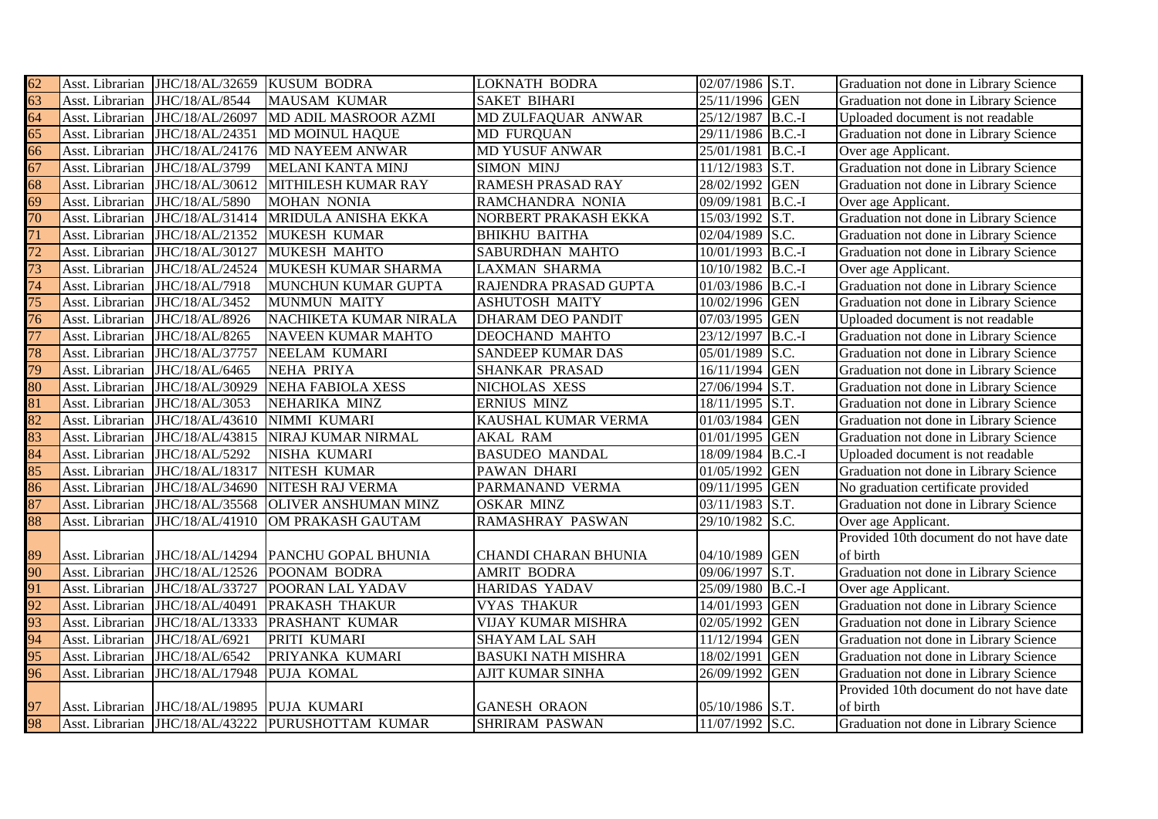| 62              |                 | Asst. Librarian JHC/18/AL/32659 KUSUM BODRA |                                                     | <b>LOKNATH BODRA</b>        | 02/07/1986 S.T.   |            | Graduation not done in Library Science  |
|-----------------|-----------------|---------------------------------------------|-----------------------------------------------------|-----------------------------|-------------------|------------|-----------------------------------------|
| $\overline{63}$ | Asst. Librarian | JHC/18/AL/8544                              | <b>MAUSAM KUMAR</b>                                 | <b>SAKET BIHARI</b>         | 25/11/1996 GEN    |            | Graduation not done in Library Science  |
| 64              | Asst. Librarian | JHC/18/AL/26097                             | MD ADIL MASROOR AZMI                                | MD ZULFAQUAR ANWAR          | 25/12/1987 B.C.-I |            | Uploaded document is not readable       |
| 65              |                 | Asst. Librarian JHC/18/AL/24351             | <b>MD MOINUL HAQUE</b>                              | <b>MD FURQUAN</b>           | 29/11/1986 B.C.-I |            | Graduation not done in Library Science  |
| 66              | Asst. Librarian |                                             | JHC/18/AL/24176 MD NAYEEM ANWAR                     | <b>MD YUSUF ANWAR</b>       | 25/01/1981        | $B.C.-I$   | Over age Applicant.                     |
| 67              | Asst. Librarian | JHC/18/AL/3799                              | <b>MELANI KANTA MINJ</b>                            | <b>SIMON MINJ</b>           | 11/12/1983        | S.T.       | Graduation not done in Library Science  |
| 68              | Asst. Librarian | JHC/18/AL/30612                             | MITHILESH KUMAR RAY                                 | <b>RAMESH PRASAD RAY</b>    | 28/02/1992        | <b>GEN</b> | Graduation not done in Library Science  |
| 69              | Asst. Librarian | JHC/18/AL/5890                              | <b>MOHAN NONIA</b>                                  | RAMCHANDRA NONIA            | 09/09/1981        | $B.C.-I$   | Over age Applicant.                     |
| 70              | Asst. Librarian | JHC/18/AL/31414                             | MRIDULA ANISHA EKKA                                 | NORBERT PRAKASH EKKA        | 15/03/1992        | S.T.       | Graduation not done in Library Science  |
| 71              | Asst. Librarian | JHC/18/AL/21352                             | MUKESH KUMAR                                        | <b>BHIKHU BAITHA</b>        | 02/04/1989 S.C.   |            | Graduation not done in Library Science  |
| 72              | Asst. Librarian | JHC/18/AL/30127                             | <b>MUKESH MAHTO</b>                                 | <b>SABURDHAN MAHTO</b>      | 10/01/1993        | $B.C.-I$   | Graduation not done in Library Science  |
| 73              | Asst. Librarian | JHC/18/AL/24524                             | MUKESH KUMAR SHARMA                                 | <b>LAXMAN SHARMA</b>        | 10/10/1982        | $B.C.-I$   | Over age Applicant.                     |
| 74              | Asst. Librarian | JHC/18/AL/7918                              | MUNCHUN KUMAR GUPTA                                 | RAJENDRA PRASAD GUPTA       | 01/03/1986 B.C.-I |            | Graduation not done in Library Science  |
| 75              | Asst. Librarian | JHC/18/AL/3452                              | <b>MUNMUN MAITY</b>                                 | <b>ASHUTOSH MAITY</b>       | 10/02/1996 GEN    |            | Graduation not done in Library Science  |
| 76              | Asst. Librarian | JHC/18/AL/8926                              | NACHIKETA KUMAR NIRALA                              | <b>DHARAM DEO PANDIT</b>    | 07/03/1995        | <b>GEN</b> | Uploaded document is not readable       |
| 77              | Asst. Librarian | JHC/18/AL/8265                              | <b>NAVEEN KUMAR MAHTO</b>                           | <b>DEOCHAND MAHTO</b>       | 23/12/1997        | $B.C.-I$   | Graduation not done in Library Science  |
| 78              | Asst. Librarian | JHC/18/AL/37757                             | NEELAM KUMARI                                       | <b>SANDEEP KUMAR DAS</b>    | 05/01/1989 S.C.   |            | Graduation not done in Library Science  |
| 79              | Asst. Librarian | JHC/18/AL/6465                              | <b>NEHA PRIYA</b>                                   | <b>SHANKAR PRASAD</b>       | 16/11/1994        | <b>GEN</b> | Graduation not done in Library Science  |
| 80              | Asst. Librarian | JHC/18/AL/30929                             | <b>NEHA FABIOLA XESS</b>                            | NICHOLAS XESS               | 27/06/1994        | S.T.       | Graduation not done in Library Science  |
| 81              | Asst. Librarian | JHC/18/AL/3053                              | NEHARIKA MINZ                                       | <b>ERNIUS MINZ</b>          | 18/11/1995        | S.T.       | Graduation not done in Library Science  |
| 82              | Asst. Librarian | JHC/18/AL/43610                             | NIMMI KUMARI                                        | KAUSHAL KUMAR VERMA         | 01/03/1984        | <b>GEN</b> | Graduation not done in Library Science  |
| 83              |                 | Asst. Librarian JHC/18/AL/43815             | NIRAJ KUMAR NIRMAL                                  | <b>AKAL RAM</b>             | 01/01/1995        | <b>GEN</b> | Graduation not done in Library Science  |
| 84              | Asst. Librarian | JHC/18/AL/5292                              | <b>NISHA KUMARI</b>                                 | <b>BASUDEO MANDAL</b>       | 18/09/1984 B.C.-I |            | Uploaded document is not readable       |
| 85              | Asst. Librarian | JHC/18/AL/18317                             | <b>NITESH KUMAR</b>                                 | PAWAN DHARI                 | 01/05/1992        | <b>GEN</b> | Graduation not done in Library Science  |
| 86              | Asst. Librarian | JHC/18/AL/34690                             | NITESH RAJ VERMA                                    | PARMANAND VERMA             | 09/11/1995 GEN    |            | No graduation certificate provided      |
| 87              | Asst. Librarian | JHC/18/AL/35568                             | <b>OLIVER ANSHUMAN MINZ</b>                         | <b>OSKAR MINZ</b>           | 03/11/1983 S.T.   |            | Graduation not done in Library Science  |
| 88              | Asst. Librarian | JHC/18/AL/41910                             | OM PRAKASH GAUTAM                                   | <b>RAMASHRAY PASWAN</b>     | 29/10/1982 S.C.   |            | Over age Applicant.                     |
|                 |                 |                                             |                                                     |                             |                   |            | Provided 10th document do not have date |
| 89              |                 |                                             | Asst. Librarian JHC/18/AL/14294 PANCHU GOPAL BHUNIA | <b>CHANDI CHARAN BHUNIA</b> | 04/10/1989        | <b>GEN</b> | of birth                                |
| 90              | Asst. Librarian |                                             | JHC/18/AL/12526 POONAM BODRA                        | <b>AMRIT BODRA</b>          | 09/06/1997        | S.T.       | Graduation not done in Library Science  |
| 91              | Asst. Librarian | JHC/18/AL/33727                             | POORAN LAL YADAV                                    | <b>HARIDAS YADAV</b>        | 25/09/1980 B.C.-I |            | Over age Applicant.                     |
| 92              | Asst. Librarian | JHC/18/AL/40491                             | <b>PRAKASH THAKUR</b>                               | <b>VYAS THAKUR</b>          | 14/01/1993        | <b>GEN</b> | Graduation not done in Library Science  |
| 93              | Asst. Librarian | JHC/18/AL/13333                             | PRASHANT KUMAR                                      | VIJAY KUMAR MISHRA          | 02/05/1992        | <b>GEN</b> | Graduation not done in Library Science  |
| 94              | Asst. Librarian | JHC/18/AL/6921                              | PRITI KUMARI                                        | <b>SHAYAM LAL SAH</b>       | 11/12/1994        | <b>GEN</b> | Graduation not done in Library Science  |
| 95              | Asst. Librarian | JHC/18/AL/6542                              | PRIYANKA KUMARI                                     | <b>BASUKI NATH MISHRA</b>   | 18/02/1991        | <b>GEN</b> | Graduation not done in Library Science  |
| 96              | Asst. Librarian | JHC/18/AL/17948                             | PUJA KOMAL                                          | AJIT KUMAR SINHA            | 26/09/1992        | <b>GEN</b> | Graduation not done in Library Science  |
|                 |                 |                                             |                                                     |                             |                   |            | Provided 10th document do not have date |
| $\frac{97}{98}$ | Asst. Librarian | JHC/18/AL/19895 PUJA KUMARI                 |                                                     | <b>GANESH ORAON</b>         | 05/10/1986 S.T.   |            | of birth                                |
|                 |                 |                                             | Asst. Librarian JHC/18/AL/43222 PURUSHOTTAM KUMAR   | <b>SHRIRAM PASWAN</b>       | 11/07/1992 S.C.   |            | Graduation not done in Library Science  |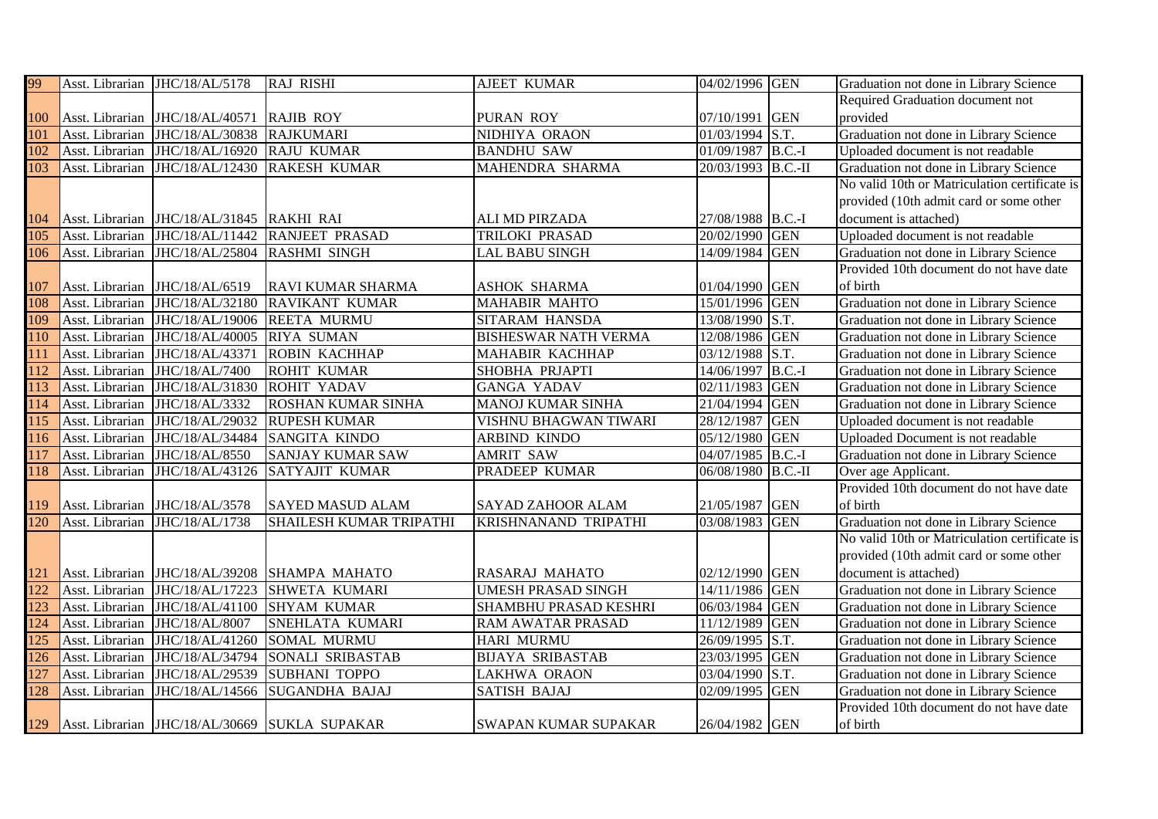| 99                |                 | Asst. Librarian JHC/18/AL/5178            | <b>RAJ RISHI</b>                                  | <b>AJEET KUMAR</b>          | 04/02/1996 GEN     |            | Graduation not done in Library Science        |
|-------------------|-----------------|-------------------------------------------|---------------------------------------------------|-----------------------------|--------------------|------------|-----------------------------------------------|
|                   |                 |                                           |                                                   |                             |                    |            | Required Graduation document not              |
|                   |                 | Asst. Librarian JHC/18/AL/40571 RAJIB ROY |                                                   | PURAN ROY                   | 07/10/1991 GEN     |            | provided                                      |
| $\frac{100}{101}$ |                 | Asst. Librarian JHC/18/AL/30838 RAJKUMARI |                                                   | NIDHIYA ORAON               | 01/03/1994 S.T.    |            | Graduation not done in Library Science        |
| 102               | Asst. Librarian | JHC/18/AL/16920                           | <b>RAJU KUMAR</b>                                 | <b>BANDHU SAW</b>           | 01/09/1987 B.C.-I  |            | Uploaded document is not readable             |
| 103               | Asst. Librarian | JHC/18/AL/12430                           | <b>RAKESH KUMAR</b>                               | MAHENDRA SHARMA             | 20/03/1993 B.C.-II |            | Graduation not done in Library Science        |
|                   |                 |                                           |                                                   |                             |                    |            | No valid 10th or Matriculation certificate is |
|                   |                 |                                           |                                                   |                             |                    |            | provided (10th admit card or some other       |
| 104               |                 | Asst. Librarian JHC/18/AL/31845 RAKHI RAI |                                                   | ALI MD PIRZADA              | 27/08/1988 B.C.-I  |            | document is attached)                         |
| $\overline{105}$  |                 |                                           | Asst. Librarian JHC/18/AL/11442 RANJEET PRASAD    | TRILOKI PRASAD              | 20/02/1990 GEN     |            | Uploaded document is not readable             |
| 106               | Asst. Librarian | JHC/18/AL/25804 RASHMI SINGH              |                                                   | <b>LAL BABU SINGH</b>       | 14/09/1984 GEN     |            | Graduation not done in Library Science        |
|                   |                 |                                           |                                                   |                             |                    |            | Provided 10th document do not have date       |
| 107               | Asst. Librarian | JHC/18/AL/6519                            | <b>RAVI KUMAR SHARMA</b>                          | <b>ASHOK SHARMA</b>         | 01/04/1990 GEN     |            | of birth                                      |
| 108               | Asst. Librarian | JHC/18/AL/32180                           | <b>RAVIKANT KUMAR</b>                             | <b>MAHABIR MAHTO</b>        | 15/01/1996 GEN     |            | Graduation not done in Library Science        |
| 109               |                 | Asst. Librarian JHC/18/AL/19006           | <b>REETA MURMU</b>                                | SITARAM HANSDA              | 13/08/1990 S.T.    |            | Graduation not done in Library Science        |
| 110               | Asst. Librarian | JHC/18/AL/40005                           | <b>RIYA SUMAN</b>                                 | <b>BISHESWAR NATH VERMA</b> | 12/08/1986 GEN     |            | Graduation not done in Library Science        |
| 111               | Asst. Librarian | JHC/18/AL/43371                           | <b>ROBIN KACHHAP</b>                              | MAHABIR KACHHAP             | 03/12/1988 S.T.    |            | Graduation not done in Library Science        |
| $\overline{112}$  | Asst. Librarian | JHC/18/AL/7400                            | <b>ROHIT KUMAR</b>                                | SHOBHA PRJAPTI              | 14/06/1997         | $B.C.-I$   | Graduation not done in Library Science        |
| 113               | Asst. Librarian | JHC/18/AL/31830                           | <b>ROHIT YADAV</b>                                | <b>GANGA YADAV</b>          | 02/11/1983 GEN     |            | Graduation not done in Library Science        |
| 114               | Asst. Librarian | JHC/18/AL/3332                            | <b>ROSHAN KUMAR SINHA</b>                         | <b>MANOJ KUMAR SINHA</b>    | 21/04/1994 GEN     |            | Graduation not done in Library Science        |
| 115               |                 | Asst. Librarian JHC/18/AL/29032           | <b>RUPESH KUMAR</b>                               | VISHNU BHAGWAN TIWARI       | 28/12/1987         | <b>GEN</b> | Uploaded document is not readable             |
| 116               | Asst. Librarian | JHC/18/AL/34484                           | <b>SANGITA KINDO</b>                              | ARBIND KINDO                | 05/12/1980 GEN     |            | Uploaded Document is not readable             |
| 117               | Asst. Librarian | JHC/18/AL/8550                            | <b>SANJAY KUMAR SAW</b>                           | <b>AMRIT SAW</b>            | 04/07/1985 B.C.-I  |            | Graduation not done in Library Science        |
| 118               | Asst. Librarian | JHC/18/AL/43126                           | <b>SATYAJIT KUMAR</b>                             | PRADEEP KUMAR               | 06/08/1980 B.C.-II |            | Over age Applicant.                           |
|                   |                 |                                           |                                                   |                             |                    |            | Provided 10th document do not have date       |
| 119               |                 | Asst. Librarian JHC/18/AL/3578            | <b>SAYED MASUD ALAM</b>                           | <b>SAYAD ZAHOOR ALAM</b>    | 21/05/1987         | <b>GEN</b> | of birth                                      |
| 120               | Asst. Librarian | JHC/18/AL/1738                            | <b>SHAILESH KUMAR TRIPATHI</b>                    | <b>KRISHNANAND TRIPATHI</b> | 03/08/1983 GEN     |            | Graduation not done in Library Science        |
|                   |                 |                                           |                                                   |                             |                    |            | No valid 10th or Matriculation certificate is |
|                   |                 |                                           |                                                   |                             |                    |            | provided (10th admit card or some other       |
| $\frac{121}{122}$ |                 |                                           | Asst. Librarian JHC/18/AL/39208 SHAMPA MAHATO     | RASARAJ MAHATO              | 02/12/1990 GEN     |            | document is attached)                         |
|                   | Asst. Librarian | JHC/18/AL/17223                           | <b>SHWETA KUMARI</b>                              | <b>UMESH PRASAD SINGH</b>   | 14/11/1986 GEN     |            | Graduation not done in Library Science        |
| 123               | Asst. Librarian | JHC/18/AL/41100                           | <b>SHYAM KUMAR</b>                                | SHAMBHU PRASAD KESHRI       | 06/03/1984 GEN     |            | Graduation not done in Library Science        |
| 124               | Asst. Librarian | JHC/18/AL/8007                            | SNEHLATA KUMARI                                   | RAM AWATAR PRASAD           | 11/12/1989         | <b>GEN</b> | Graduation not done in Library Science        |
| 125               | Asst. Librarian | JHC/18/AL/41260                           | <b>SOMAL MURMU</b>                                | <b>HARI MURMU</b>           | 26/09/1995 S.T.    |            | Graduation not done in Library Science        |
| 126               | Asst. Librarian | JHC/18/AL/34794                           | SONALI SRIBASTAB                                  | <b>BIJAYA SRIBASTAB</b>     | 23/03/1995 GEN     |            | Graduation not done in Library Science        |
| 127               | Asst. Librarian | JHC/18/AL/29539                           | <b>SUBHANI TOPPO</b>                              | <b>LAKHWA ORAON</b>         | 03/04/1990 S.T.    |            | Graduation not done in Library Science        |
| 128               | Asst. Librarian | JHC/18/AL/14566                           | <b>SUGANDHA BAJAJ</b>                             | <b>SATISH BAJAJ</b>         | 02/09/1995         | <b>GEN</b> | Graduation not done in Library Science        |
|                   |                 |                                           |                                                   |                             |                    |            | Provided 10th document do not have date       |
|                   |                 |                                           | 129 Asst. Librarian JHC/18/AL/30669 SUKLA SUPAKAR | <b>SWAPAN KUMAR SUPAKAR</b> | 26/04/1982 GEN     |            | of birth                                      |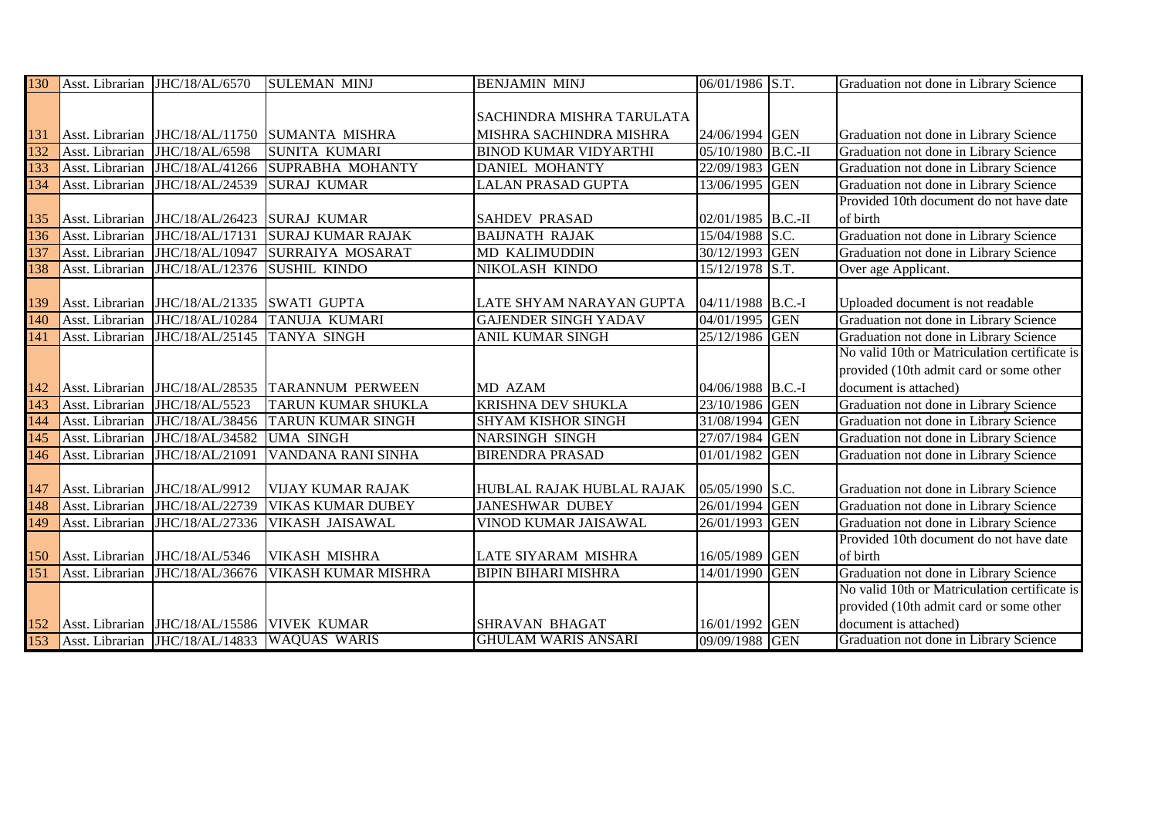| 130               |                 | Asst. Librarian JHC/18/AL/6570              | <b>SULEMAN MINJ</b>                                                                                 | <b>BENJAMIN MINJ</b>         | 06/01/1986 S.T.    |            | Graduation not done in Library Science        |
|-------------------|-----------------|---------------------------------------------|-----------------------------------------------------------------------------------------------------|------------------------------|--------------------|------------|-----------------------------------------------|
|                   |                 |                                             |                                                                                                     |                              |                    |            |                                               |
|                   |                 |                                             |                                                                                                     | SACHINDRA MISHRA TARULATA    |                    |            |                                               |
| 131               |                 |                                             | Asst. Librarian JHC/18/AL/11750 SUMANTA MISHRA                                                      | MISHRA SACHINDRA MISHRA      | 24/06/1994 GEN     |            | Graduation not done in Library Science        |
| 132               | Asst. Librarian | JHC/18/AL/6598                              | <b>SUNITA KUMARI</b>                                                                                | <b>BINOD KUMAR VIDYARTHI</b> | 05/10/1980 B.C.-II |            | Graduation not done in Library Science        |
| 133               | Asst. Librarian | JHC/18/AL/41266                             | SUPRABHA MOHANTY                                                                                    | <b>DANIEL MOHANTY</b>        | 22/09/1983 GEN     |            | Graduation not done in Library Science        |
| 134               | Asst. Librarian | JHC/18/AL/24539                             | <b>SURAJ KUMAR</b>                                                                                  | <b>LALAN PRASAD GUPTA</b>    | 13/06/1995 GEN     |            | Graduation not done in Library Science        |
|                   |                 |                                             |                                                                                                     |                              |                    |            | Provided 10th document do not have date       |
| $\frac{135}{136}$ |                 | Asst. Librarian JHC/18/AL/26423 SURAJ KUMAR |                                                                                                     | <b>SAHDEV PRASAD</b>         | 02/01/1985 B.C.-II |            | of birth                                      |
|                   | Asst. Librarian | JHC/18/AL/17131                             | <b>SURAJ KUMAR RAJAK</b>                                                                            | <b>BAIJNATH RAJAK</b>        | 15/04/1988 S.C.    |            | Graduation not done in Library Science        |
| 137               | Asst. Librarian | JHC/18/AL/10947                             | SURRAIYA MOSARAT                                                                                    | <b>MD KALIMUDDIN</b>         | 30/12/1993 GEN     |            | Graduation not done in Library Science        |
| 138               | Asst. Librarian | JHC/18/AL/12376                             | <b>SUSHIL KINDO</b>                                                                                 | NIKOLASH KINDO               | 15/12/1978 S.T.    |            | Over age Applicant.                           |
|                   |                 |                                             |                                                                                                     |                              |                    |            |                                               |
| 139               |                 | Asst. Librarian JHC/18/AL/21335             | <b>SWATI GUPTA</b>                                                                                  | LATE SHYAM NARAYAN GUPTA     | 04/11/1988 B.C.-I  |            | Uploaded document is not readable             |
| 140               | Asst. Librarian | JHC/18/AL/10284                             | <b>TANUJA KUMARI</b>                                                                                | <b>GAJENDER SINGH YADAV</b>  | 04/01/1995 GEN     |            | Graduation not done in Library Science        |
| 141               | Asst. Librarian | JHC/18/AL/25145                             | <b>TANYA SINGH</b>                                                                                  | ANIL KUMAR SINGH             | 25/12/1986 GEN     |            | Graduation not done in Library Science        |
|                   |                 |                                             |                                                                                                     |                              |                    |            | No valid 10th or Matriculation certificate is |
|                   |                 |                                             |                                                                                                     |                              |                    |            | provided (10th admit card or some other       |
| $\frac{142}{143}$ |                 | Asst. Librarian JHC/18/AL/28535             | <b>TARANNUM PERWEEN</b>                                                                             | MD AZAM                      | 04/06/1988 B.C.-I  |            | document is attached)                         |
|                   | Asst. Librarian | JHC/18/AL/5523                              | <b>TARUN KUMAR SHUKLA</b>                                                                           | <b>KRISHNA DEV SHUKLA</b>    | 23/10/1986 GEN     |            | Graduation not done in Library Science        |
| 144               | Asst. Librarian | JHC/18/AL/38456                             | <b>TARUN KUMAR SINGH</b>                                                                            | <b>SHYAM KISHOR SINGH</b>    | 31/08/1994 GEN     |            | Graduation not done in Library Science        |
| 145               | Asst. Librarian | JHC/18/AL/34582                             | <b>UMA SINGH</b>                                                                                    | <b>NARSINGH SINGH</b>        | 27/07/1984 GEN     |            | Graduation not done in Library Science        |
| 146               | Asst. Librarian | JHC/18/AL/21091                             | VANDANA RANI SINHA                                                                                  | <b>BIRENDRA PRASAD</b>       | 01/01/1982         | <b>GEN</b> | Graduation not done in Library Science        |
|                   |                 |                                             |                                                                                                     |                              |                    |            |                                               |
| 147               | Asst. Librarian | JHC/18/AL/9912                              | <b>VIJAY KUMAR RAJAK</b>                                                                            | HUBLAL RAJAK HUBLAL RAJAK    | 05/05/1990 S.C.    |            | Graduation not done in Library Science        |
| 148               | Asst. Librarian | JHC/18/AL/22739                             | <b>VIKAS KUMAR DUBEY</b>                                                                            | <b>JANESHWAR DUBEY</b>       | 26/01/1994 GEN     |            | Graduation not done in Library Science        |
| 149               | Asst. Librarian | JHC/18/AL/27336                             | VIKASH JAISAWAL                                                                                     | VINOD KUMAR JAISAWAL         | 26/01/1993 GEN     |            | Graduation not done in Library Science        |
|                   |                 |                                             |                                                                                                     |                              |                    |            | Provided 10th document do not have date       |
| 150               |                 | Asst. Librarian JHC/18/AL/5346              | <b>VIKASH MISHRA</b>                                                                                | LATE SIYARAM MISHRA          | 16/05/1989 GEN     |            | of birth                                      |
| 151               | Asst. Librarian | JHC/18/AL/36676                             | VIKASH KUMAR MISHRA                                                                                 | <b>BIPIN BIHARI MISHRA</b>   | 14/01/1990 GEN     |            | Graduation not done in Library Science        |
|                   |                 |                                             |                                                                                                     |                              |                    |            | No valid 10th or Matriculation certificate is |
|                   |                 |                                             |                                                                                                     |                              |                    |            | provided (10th admit card or some other       |
|                   |                 |                                             | 152 Asst. Librarian JHC/18/AL/15586 VIVEK KUMAR<br>153 Asst. Librarian JHC/18/AL/14833 WAQUAS WARIS | <b>SHRAVAN BHAGAT</b>        | 16/01/1992 GEN     |            | document is attached)                         |
|                   |                 |                                             |                                                                                                     | <b>GHULAM WARIS ANSARI</b>   | 09/09/1988 GEN     |            | Graduation not done in Library Science        |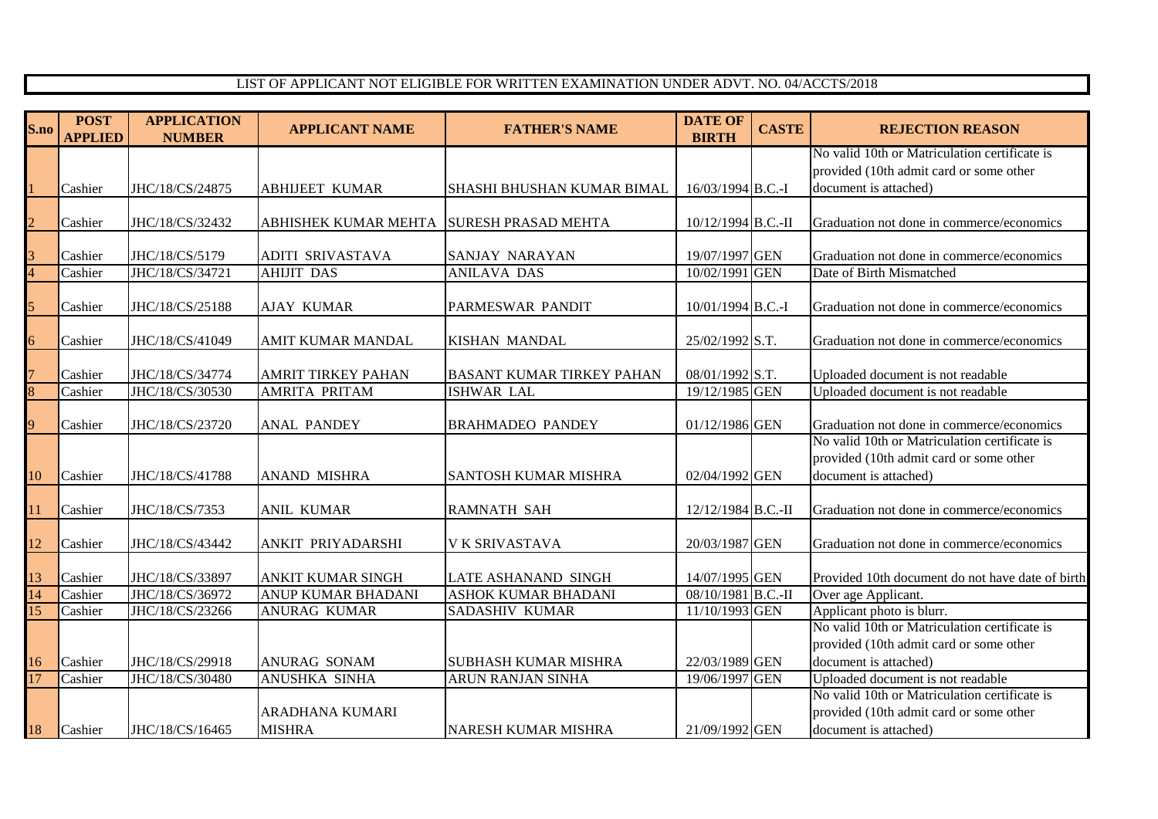## LIST OF APPLICANT NOT ELIGIBLE FOR WRITTEN EXAMINATION UNDER ADVT. NO. 04/ACCTS/2018

| S.no           | <b>POST</b><br><b>APPLIED</b> | <b>APPLICATION</b><br><b>NUMBER</b> | <b>APPLICANT NAME</b>                    | <b>FATHER'S NAME</b>             | <b>DATE OF</b><br><b>BIRTH</b>   | <b>CASTE</b> | <b>REJECTION REASON</b>                                                            |
|----------------|-------------------------------|-------------------------------------|------------------------------------------|----------------------------------|----------------------------------|--------------|------------------------------------------------------------------------------------|
|                |                               |                                     |                                          |                                  |                                  |              | No valid 10th or Matriculation certificate is                                      |
|                |                               |                                     |                                          |                                  |                                  |              | provided (10th admit card or some other                                            |
|                | Cashier                       | JHC/18/CS/24875                     | <b>ABHIJEET KUMAR</b>                    | SHASHI BHUSHAN KUMAR BIMAL       | 16/03/1994 B.C.-I                |              | document is attached)                                                              |
| $\overline{c}$ | Cashier                       | JHC/18/CS/32432                     | ABHISHEK KUMAR MEHTA SURESH PRASAD MEHTA |                                  | 10/12/1994 B.C.-II               |              | Graduation not done in commerce/economics                                          |
| $\frac{3}{4}$  | Cashier                       | JHC/18/CS/5179                      | <b>ADITI SRIVASTAVA</b>                  | <b>SANJAY NARAYAN</b>            | 19/07/1997 GEN                   |              | Graduation not done in commerce/economics                                          |
|                | Cashier                       | JHC/18/CS/34721                     | <b>AHIJIT DAS</b>                        | <b>ANILAVA DAS</b>               | 10/02/1991 GEN                   |              | Date of Birth Mismatched                                                           |
| $\overline{5}$ | Cashier                       | JHC/18/CS/25188                     | <b>AJAY KUMAR</b>                        | PARMESWAR PANDIT                 | 10/01/1994 B.C.-I                |              | Graduation not done in commerce/economics                                          |
| $\overline{6}$ | Cashier                       | JHC/18/CS/41049                     | <b>AMIT KUMAR MANDAL</b>                 | <b>KISHAN MANDAL</b>             | 25/02/1992 S.T.                  |              | Graduation not done in commerce/economics                                          |
| $\overline{7}$ | Cashier                       | JHC/18/CS/34774                     | <b>AMRIT TIRKEY PAHAN</b>                | <b>BASANT KUMAR TIRKEY PAHAN</b> | 08/01/1992 S.T.                  |              | Uploaded document is not readable                                                  |
| $\overline{8}$ | Cashier                       | JHC/18/CS/30530                     | AMRITA PRITAM                            | <b>ISHWAR LAL</b>                | 19/12/1985 GEN                   |              | Uploaded document is not readable                                                  |
| $\overline{9}$ | Cashier                       | JHC/18/CS/23720                     | <b>ANAL PANDEY</b>                       | BRAHMADEO PANDEY                 | 01/12/1986 GEN                   |              | Graduation not done in commerce/economics                                          |
|                |                               |                                     |                                          |                                  |                                  |              | No valid 10th or Matriculation certificate is                                      |
| 10             | Cashier                       | JHC/18/CS/41788                     | <b>ANAND MISHRA</b>                      | SANTOSH KUMAR MISHRA             | 02/04/1992 GEN                   |              | provided (10th admit card or some other<br>document is attached)                   |
| 11             | Cashier                       | JHC/18/CS/7353                      | <b>ANIL KUMAR</b>                        | <b>RAMNATH SAH</b>               | 12/12/1984 B.C.-II               |              | Graduation not done in commerce/economics                                          |
| 12             | Cashier                       | JHC/18/CS/43442                     | ANKIT PRIYADARSHI                        | <b>V K SRIVASTAVA</b>            | 20/03/1987 GEN                   |              | Graduation not done in commerce/economics                                          |
| 13             | Cashier                       | JHC/18/CS/33897                     | <b>ANKIT KUMAR SINGH</b>                 | <b>LATE ASHANAND SINGH</b>       | 14/07/1995 GEN                   |              | Provided 10th document do not have date of birth                                   |
| 14             | Cashier                       | JHC/18/CS/36972                     | ANUP KUMAR BHADANI                       | ASHOK KUMAR BHADANI              | 08/10/1981 B.C.-II               |              | Over age Applicant.                                                                |
| 15             | Cashier                       | JHC/18/CS/23266                     | <b>ANURAG KUMAR</b>                      | <b>SADASHIV KUMAR</b>            | 11/10/1993 GEN                   |              | Applicant photo is blurr.                                                          |
|                |                               |                                     |                                          |                                  |                                  |              | No valid 10th or Matriculation certificate is                                      |
|                |                               |                                     |                                          |                                  |                                  |              | provided (10th admit card or some other                                            |
| 16<br>17       | Cashier<br>Cashier            | JHC/18/CS/29918<br>JHC/18/CS/30480  | ANURAG SONAM                             | <b>SUBHASH KUMAR MISHRA</b>      | 22/03/1989 GEN<br>19/06/1997 GEN |              | document is attached)                                                              |
|                |                               |                                     | ANUSHKA SINHA                            | ARUN RANJAN SINHA                |                                  |              | Uploaded document is not readable<br>No valid 10th or Matriculation certificate is |
|                |                               |                                     | ARADHANA KUMARI                          |                                  |                                  |              | provided (10th admit card or some other                                            |
| 18             | Cashier                       | JHC/18/CS/16465                     | <b>MISHRA</b>                            | <b>NARESH KUMAR MISHRA</b>       | 21/09/1992 GEN                   |              | document is attached)                                                              |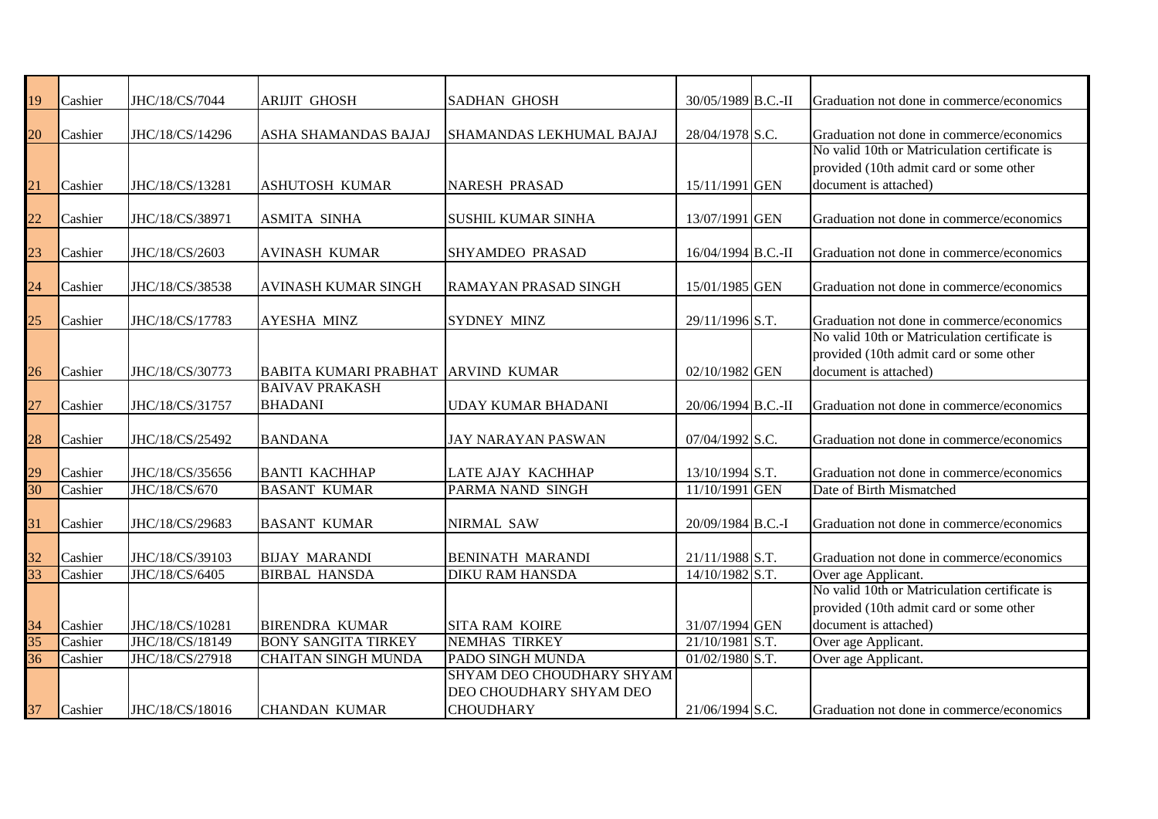| $\frac{19}{10}$                 | Cashier | JHC/18/CS/7044  | <b>ARIJIT GHOSH</b>                | <b>SADHAN GHOSH</b>         | 30/05/1989 B.C.-II | Graduation not done in commerce/economics     |
|---------------------------------|---------|-----------------|------------------------------------|-----------------------------|--------------------|-----------------------------------------------|
|                                 |         |                 |                                    |                             |                    |                                               |
| 20                              | Cashier | JHC/18/CS/14296 | ASHA SHAMANDAS BAJAJ               | SHAMANDAS LEKHUMAL BAJAJ    | 28/04/1978 S.C.    | Graduation not done in commerce/economics     |
|                                 |         |                 |                                    |                             |                    | No valid 10th or Matriculation certificate is |
|                                 |         |                 |                                    |                             |                    | provided (10th admit card or some other       |
| $\overline{21}$                 | Cashier | JHC/18/CS/13281 | ASHUTOSH KUMAR                     | <b>NARESH PRASAD</b>        | 15/11/1991 GEN     | document is attached)                         |
|                                 |         |                 |                                    |                             |                    |                                               |
| $\frac{22}{2}$                  | Cashier | JHC/18/CS/38971 | <b>ASMITA SINHA</b>                | <b>SUSHIL KUMAR SINHA</b>   | 13/07/1991 GEN     | Graduation not done in commerce/economics     |
|                                 | Cashier |                 |                                    |                             |                    |                                               |
| $\frac{23}{2}$                  |         | JHC/18/CS/2603  | <b>AVINASH KUMAR</b>               | SHYAMDEO PRASAD             | 16/04/1994 B.C.-II | Graduation not done in commerce/economics     |
| $\frac{24}{1}$                  | Cashier | JHC/18/CS/38538 | <b>AVINASH KUMAR SINGH</b>         | <b>RAMAYAN PRASAD SINGH</b> | 15/01/1985 GEN     | Graduation not done in commerce/economics     |
|                                 |         |                 |                                    |                             |                    |                                               |
| $\frac{25}{25}$                 | Cashier | JHC/18/CS/17783 | <b>AYESHA MINZ</b>                 | <b>SYDNEY MINZ</b>          | 29/11/1996 S.T.    | Graduation not done in commerce/economics     |
|                                 |         |                 |                                    |                             |                    | No valid 10th or Matriculation certificate is |
|                                 |         |                 |                                    |                             |                    | provided (10th admit card or some other       |
| $\frac{26}{1}$                  | Cashier | JHC/18/CS/30773 | BABITA KUMARI PRABHAT ARVIND KUMAR |                             | 02/10/1982 GEN     | document is attached)                         |
|                                 |         |                 | <b>BAIVAV PRAKASH</b>              |                             |                    |                                               |
| $\frac{27}{1}$                  | Cashier | JHC/18/CS/31757 | <b>BHADANI</b>                     | <b>UDAY KUMAR BHADANI</b>   | 20/06/1994 B.C.-II | Graduation not done in commerce/economics     |
|                                 |         |                 |                                    |                             |                    |                                               |
| $\frac{28}{1}$                  | Cashier | JHC/18/CS/25492 | <b>BANDANA</b>                     | <b>JAY NARAYAN PASWAN</b>   | 07/04/1992 S.C.    | Graduation not done in commerce/economics     |
|                                 |         |                 |                                    |                             |                    |                                               |
| $\frac{29}{30}$                 | Cashier | JHC/18/CS/35656 | <b>BANTI KACHHAP</b>               | LATE AJAY KACHHAP           | 13/10/1994 S.T.    | Graduation not done in commerce/economics     |
|                                 | Cashier | JHC/18/CS/670   | <b>BASANT KUMAR</b>                | PARMA NAND SINGH            | 11/10/1991 GEN     | Date of Birth Mismatched                      |
| $\frac{31}{2}$                  |         |                 |                                    |                             |                    |                                               |
|                                 | Cashier | JHC/18/CS/29683 | <b>BASANT KUMAR</b>                | NIRMAL SAW                  | 20/09/1984 B.C.-I  | Graduation not done in commerce/economics     |
|                                 | Cashier | JHC/18/CS/39103 | <b>BIJAY MARANDI</b>               | <b>BENINATH MARANDI</b>     | 21/11/1988 S.T.    | Graduation not done in commerce/economics     |
| $\frac{32}{33}$                 | Cashier | JHC/18/CS/6405  | <b>BIRBAL HANSDA</b>               | <b>DIKU RAM HANSDA</b>      | 14/10/1982 S.T.    | Over age Applicant.                           |
|                                 |         |                 |                                    |                             |                    | No valid 10th or Matriculation certificate is |
|                                 |         |                 |                                    |                             |                    | provided (10th admit card or some other       |
|                                 | Cashier | JHC/18/CS/10281 | <b>BIRENDRA KUMAR</b>              | <b>SITA RAM KOIRE</b>       | 31/07/1994 GEN     | document is attached)                         |
| $\frac{34}{35}$ $\frac{36}{15}$ | Cashier | JHC/18/CS/18149 | <b>BONY SANGITA TIRKEY</b>         | <b>NEMHAS TIRKEY</b>        | 21/10/1981 S.T.    | Over age Applicant.                           |
|                                 | Cashier | JHC/18/CS/27918 | <b>CHAITAN SINGH MUNDA</b>         | PADO SINGH MUNDA            | 01/02/1980 S.T.    | Over age Applicant.                           |
|                                 |         |                 |                                    | SHYAM DEO CHOUDHARY SHYAM   |                    |                                               |
|                                 |         |                 |                                    | DEO CHOUDHARY SHYAM DEO     |                    |                                               |
| 37                              | Cashier | JHC/18/CS/18016 | <b>CHANDAN KUMAR</b>               | <b>CHOUDHARY</b>            | 21/06/1994 S.C.    | Graduation not done in commerce/economics     |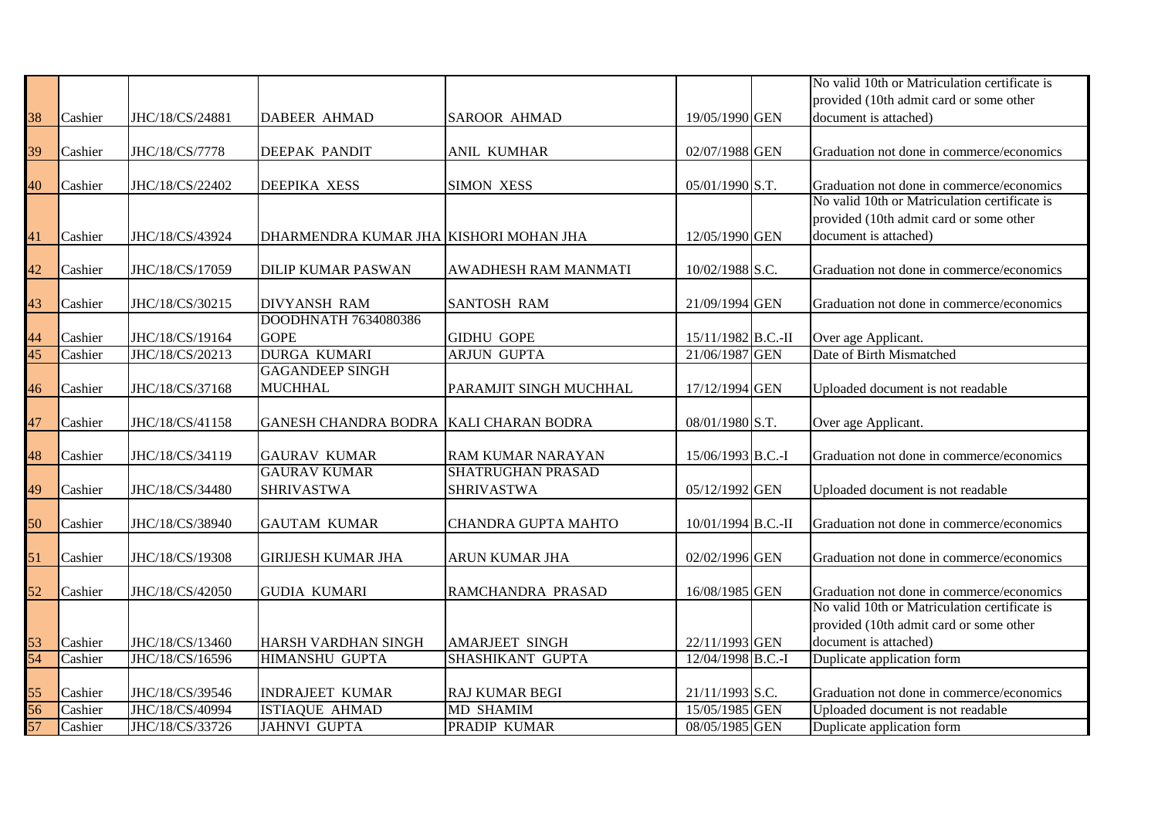|                 |         |                 |                                             |                          |                    | No valid 10th or Matriculation certificate is |
|-----------------|---------|-----------------|---------------------------------------------|--------------------------|--------------------|-----------------------------------------------|
|                 |         |                 |                                             |                          |                    | provided (10th admit card or some other       |
| 38              | Cashier | JHC/18/CS/24881 | <b>DABEER AHMAD</b>                         | <b>SAROOR AHMAD</b>      | 19/05/1990 GEN     | document is attached)                         |
|                 |         |                 |                                             |                          |                    |                                               |
| 39              | Cashier | JHC/18/CS/7778  | <b>DEEPAK PANDIT</b>                        | <b>ANIL KUMHAR</b>       | 02/07/1988 GEN     | Graduation not done in commerce/economics     |
|                 |         |                 |                                             |                          |                    |                                               |
| 40              | Cashier | JHC/18/CS/22402 | <b>DEEPIKA XESS</b>                         | <b>SIMON XESS</b>        | 05/01/1990 S.T.    | Graduation not done in commerce/economics     |
|                 |         |                 |                                             |                          |                    | No valid 10th or Matriculation certificate is |
|                 |         |                 |                                             |                          |                    | provided (10th admit card or some other       |
| 41              | Cashier | JHC/18/CS/43924 | DHARMENDRA KUMAR JHA KISHORI MOHAN JHA      |                          | 12/05/1990 GEN     | document is attached)                         |
|                 |         |                 |                                             |                          |                    |                                               |
| 42              | Cashier | JHC/18/CS/17059 | <b>DILIP KUMAR PASWAN</b>                   | AWADHESH RAM MANMATI     | 10/02/1988 S.C.    | Graduation not done in commerce/economics     |
| 43              |         |                 |                                             |                          |                    |                                               |
|                 | Cashier | JHC/18/CS/30215 | <b>DIVYANSH RAM</b><br>DOODHNATH 7634080386 | <b>SANTOSH RAM</b>       | 21/09/1994 GEN     | Graduation not done in commerce/economics     |
| 44              | Cashier | JHC/18/CS/19164 | <b>GOPE</b>                                 | <b>GIDHU GOPE</b>        | 15/11/1982 B.C.-II | Over age Applicant.                           |
| $\overline{45}$ | Cashier | JHC/18/CS/20213 | <b>DURGA KUMARI</b>                         | <b>ARJUN GUPTA</b>       | 21/06/1987 GEN     | Date of Birth Mismatched                      |
|                 |         |                 | <b>GAGANDEEP SINGH</b>                      |                          |                    |                                               |
| 46              | Cashier | JHC/18/CS/37168 | <b>MUCHHAL</b>                              | PARAMJIT SINGH MUCHHAL   | 17/12/1994 GEN     | Uploaded document is not readable             |
|                 |         |                 |                                             |                          |                    |                                               |
| 47              | Cashier | JHC/18/CS/41158 | GANESH CHANDRA BODRA KALI CHARAN BODRA      |                          | 08/01/1980 S.T.    | Over age Applicant.                           |
|                 |         |                 |                                             |                          |                    |                                               |
| 48              | Cashier | JHC/18/CS/34119 | <b>GAURAV KUMAR</b>                         | RAM KUMAR NARAYAN        | 15/06/1993 B.C.-I  | Graduation not done in commerce/economics     |
|                 |         |                 | <b>GAURAV KUMAR</b>                         | <b>SHATRUGHAN PRASAD</b> |                    |                                               |
| 49              | Cashier | JHC/18/CS/34480 | <b>SHRIVASTWA</b>                           | <b>SHRIVASTWA</b>        | 05/12/1992 GEN     | Uploaded document is not readable             |
|                 |         |                 |                                             |                          |                    |                                               |
| 50              | Cashier | JHC/18/CS/38940 | <b>GAUTAM KUMAR</b>                         | CHANDRA GUPTA MAHTO      | 10/01/1994 B.C.-II | Graduation not done in commerce/economics     |
|                 |         |                 |                                             |                          |                    |                                               |
| 51              | Cashier | JHC/18/CS/19308 | <b>GIRIJESH KUMAR JHA</b>                   | ARUN KUMAR JHA           | 02/02/1996 GEN     | Graduation not done in commerce/economics     |
|                 |         |                 |                                             |                          |                    |                                               |
| 52              | Cashier | JHC/18/CS/42050 | <b>GUDIA KUMARI</b>                         | RAMCHANDRA PRASAD        | 16/08/1985 GEN     | Graduation not done in commerce/economics     |
|                 |         |                 |                                             |                          |                    | No valid 10th or Matriculation certificate is |
|                 |         |                 |                                             |                          |                    | provided (10th admit card or some other       |
| 53              | Cashier | JHC/18/CS/13460 | <b>HARSH VARDHAN SINGH</b>                  | <b>AMARJEET SINGH</b>    | 22/11/1993 GEN     | document is attached)                         |
| 54              | Cashier | JHC/18/CS/16596 | HIMANSHU GUPTA                              | SHASHIKANT GUPTA         | 12/04/1998 B.C.-I  | Duplicate application form                    |
| 55              | Cashier | JHC/18/CS/39546 | <b>INDRAJEET KUMAR</b>                      | <b>RAJ KUMAR BEGI</b>    | 21/11/1993 S.C.    | Graduation not done in commerce/economics     |
| 56              | Cashier | JHC/18/CS/40994 | ISTIAQUE AHMAD                              | <b>MD SHAMIM</b>         | 15/05/1985 GEN     | Uploaded document is not readable             |
| 57              | Cashier | JHC/18/CS/33726 | <b>JAHNVI GUPTA</b>                         | <b>PRADIP KUMAR</b>      | 08/05/1985 GEN     | Duplicate application form                    |
|                 |         |                 |                                             |                          |                    |                                               |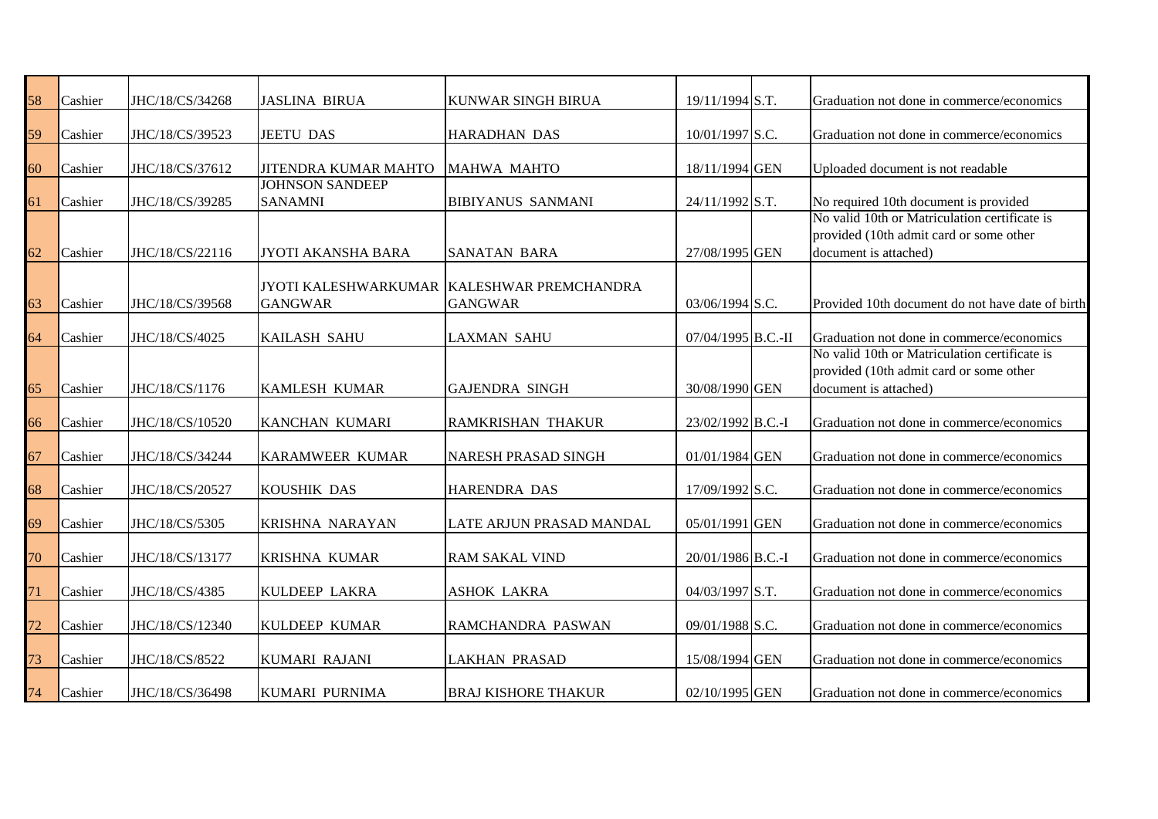| 58 | Cashier | JHC/18/CS/34268 | <b>JASLINA BIRUA</b>                     | KUNWAR SINGH BIRUA                                           | 19/11/1994 S.T.    | Graduation not done in commerce/economics                                                                         |
|----|---------|-----------------|------------------------------------------|--------------------------------------------------------------|--------------------|-------------------------------------------------------------------------------------------------------------------|
|    | Cashier |                 |                                          |                                                              | 10/01/1997 S.C.    |                                                                                                                   |
| 59 |         | JHC/18/CS/39523 | <b>JEETU DAS</b>                         | <b>HARADHAN DAS</b>                                          |                    | Graduation not done in commerce/economics                                                                         |
| 60 | Cashier | JHC/18/CS/37612 | JITENDRA KUMAR MAHTO                     | MAHWA MAHTO                                                  | 18/11/1994 GEN     | Uploaded document is not readable                                                                                 |
| 61 | Cashier | JHC/18/CS/39285 | <b>JOHNSON SANDEEP</b><br><b>SANAMNI</b> | <b>BIBIYANUS SANMANI</b>                                     | 24/11/1992 S.T.    | No required 10th document is provided                                                                             |
| 62 | Cashier | JHC/18/CS/22116 | JYOTI AKANSHA BARA                       | <b>SANATAN BARA</b>                                          | 27/08/1995 GEN     | No valid 10th or Matriculation certificate is<br>provided (10th admit card or some other<br>document is attached) |
|    |         |                 |                                          |                                                              |                    |                                                                                                                   |
| 63 | Cashier | JHC/18/CS/39568 | <b>GANGWAR</b>                           | JYOTI KALESHWARKUMAR KALESHWAR PREMCHANDRA<br><b>GANGWAR</b> | 03/06/1994 S.C.    | Provided 10th document do not have date of birth                                                                  |
| 64 | Cashier | JHC/18/CS/4025  | <b>KAILASH SAHU</b>                      | <b>LAXMAN SAHU</b>                                           | 07/04/1995 B.C.-II | Graduation not done in commerce/economics                                                                         |
| 65 | Cashier | JHC/18/CS/1176  | <b>KAMLESH KUMAR</b>                     | <b>GAJENDRA SINGH</b>                                        | 30/08/1990 GEN     | No valid 10th or Matriculation certificate is<br>provided (10th admit card or some other<br>document is attached) |
| 66 | Cashier | JHC/18/CS/10520 | KANCHAN KUMARI                           | <b>RAMKRISHAN THAKUR</b>                                     | 23/02/1992 B.C.-I  | Graduation not done in commerce/economics                                                                         |
| 67 | Cashier | JHC/18/CS/34244 | KARAMWEER KUMAR                          | <b>NARESH PRASAD SINGH</b>                                   | 01/01/1984 GEN     | Graduation not done in commerce/economics                                                                         |
| 68 | Cashier | JHC/18/CS/20527 | <b>KOUSHIK DAS</b>                       | <b>HARENDRA DAS</b>                                          | 17/09/1992 S.C.    | Graduation not done in commerce/economics                                                                         |
| 69 | Cashier | JHC/18/CS/5305  | <b>KRISHNA NARAYAN</b>                   | LATE ARJUN PRASAD MANDAL                                     | 05/01/1991 GEN     | Graduation not done in commerce/economics                                                                         |
| 70 | Cashier | JHC/18/CS/13177 | <b>KRISHNA KUMAR</b>                     | <b>RAM SAKAL VIND</b>                                        | 20/01/1986 B.C.-I  | Graduation not done in commerce/economics                                                                         |
| 71 | Cashier | JHC/18/CS/4385  | <b>KULDEEP LAKRA</b>                     | <b>ASHOK LAKRA</b>                                           | 04/03/1997 S.T.    | Graduation not done in commerce/economics                                                                         |
| 72 | Cashier | JHC/18/CS/12340 | <b>KULDEEP KUMAR</b>                     | RAMCHANDRA PASWAN                                            | 09/01/1988 S.C.    | Graduation not done in commerce/economics                                                                         |
| 73 | Cashier | JHC/18/CS/8522  | <b>KUMARI RAJANI</b>                     | <b>LAKHAN PRASAD</b>                                         | 15/08/1994 GEN     | Graduation not done in commerce/economics                                                                         |
| 74 | Cashier | JHC/18/CS/36498 | KUMARI PURNIMA                           | <b>BRAJ KISHORE THAKUR</b>                                   | 02/10/1995 GEN     | Graduation not done in commerce/economics                                                                         |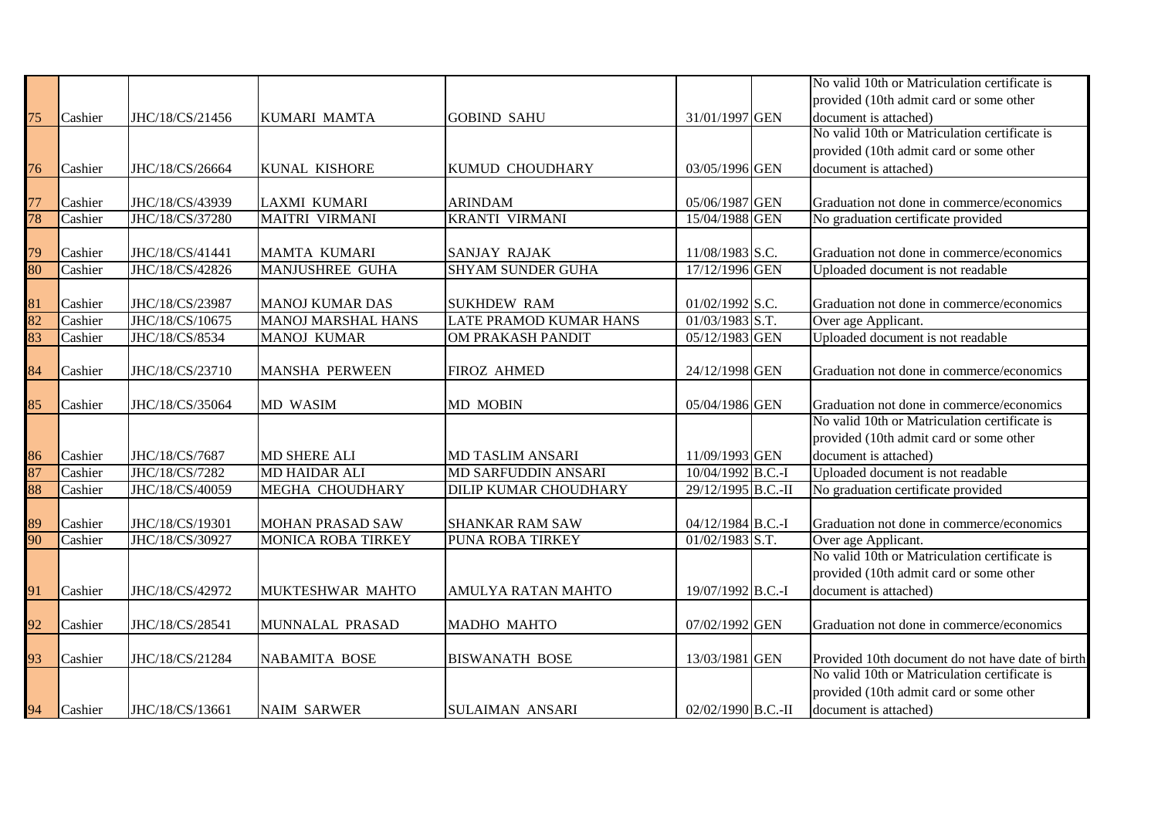|                 |         |                 |                           |                               |                    | No valid 10th or Matriculation certificate is                                              |
|-----------------|---------|-----------------|---------------------------|-------------------------------|--------------------|--------------------------------------------------------------------------------------------|
|                 |         |                 |                           |                               |                    | provided (10th admit card or some other                                                    |
| 75              | Cashier | JHC/18/CS/21456 | KUMARI MAMTA              | <b>GOBIND SAHU</b>            | 31/01/1997 GEN     | document is attached)                                                                      |
|                 |         |                 |                           |                               |                    | No valid 10th or Matriculation certificate is                                              |
|                 |         |                 |                           |                               |                    | provided (10th admit card or some other                                                    |
| 76              | Cashier | JHC/18/CS/26664 | KUNAL KISHORE             | KUMUD CHOUDHARY               | 03/05/1996 GEN     | document is attached)                                                                      |
|                 |         |                 |                           |                               |                    |                                                                                            |
| 77              | Cashier | JHC/18/CS/43939 | LAXMI KUMARI              | <b>ARINDAM</b>                | 05/06/1987 GEN     | Graduation not done in commerce/economics                                                  |
| $\overline{78}$ | Cashier | JHC/18/CS/37280 | <b>MAITRI VIRMANI</b>     | <b>KRANTI VIRMANI</b>         | 15/04/1988 GEN     | No graduation certificate provided                                                         |
|                 |         |                 |                           |                               |                    |                                                                                            |
|                 | Cashier | JHC/18/CS/41441 | MAMTA KUMARI              | <b>SANJAY RAJAK</b>           | 11/08/1983 S.C.    | Graduation not done in commerce/economics                                                  |
| $\frac{79}{80}$ | Cashier | JHC/18/CS/42826 | <b>MANJUSHREE GUHA</b>    | <b>SHYAM SUNDER GUHA</b>      | 17/12/1996 GEN     | Uploaded document is not readable                                                          |
|                 |         |                 |                           |                               |                    |                                                                                            |
| $\frac{81}{82}$ | Cashier | JHC/18/CS/23987 | <b>MANOJ KUMAR DAS</b>    | <b>SUKHDEW RAM</b>            | 01/02/1992 S.C.    | Graduation not done in commerce/economics                                                  |
|                 | Cashier | JHC/18/CS/10675 | <b>MANOJ MARSHAL HANS</b> | <b>LATE PRAMOD KUMAR HANS</b> | 01/03/1983 S.T.    | Over age Applicant.                                                                        |
| $\frac{1}{83}$  | Cashier | JHC/18/CS/8534  | MANOJ KUMAR               | OM PRAKASH PANDIT             | 05/12/1983 GEN     | Uploaded document is not readable                                                          |
|                 |         |                 |                           |                               |                    |                                                                                            |
| 84              | Cashier | JHC/18/CS/23710 | <b>MANSHA PERWEEN</b>     | <b>FIROZ AHMED</b>            | 24/12/1998 GEN     | Graduation not done in commerce/economics                                                  |
|                 |         |                 |                           |                               |                    |                                                                                            |
| 85              | Cashier | JHC/18/CS/35064 | MD WASIM                  | <b>MD MOBIN</b>               | 05/04/1986 GEN     | Graduation not done in commerce/economics<br>No valid 10th or Matriculation certificate is |
|                 |         |                 |                           |                               |                    | provided (10th admit card or some other                                                    |
|                 | Cashier | JHC/18/CS/7687  | MD SHERE ALI              | <b>MD TASLIM ANSARI</b>       | 11/09/1993 GEN     | document is attached)                                                                      |
| $\frac{86}{87}$ | Cashier | JHC/18/CS/7282  | <b>MD HAIDAR ALI</b>      | MD SARFUDDIN ANSARI           | 10/04/1992 B.C.-I  | Uploaded document is not readable                                                          |
| 88              | Cashier | JHC/18/CS/40059 | MEGHA CHOUDHARY           | DILIP KUMAR CHOUDHARY         | 29/12/1995 B.C.-II | No graduation certificate provided                                                         |
|                 |         |                 |                           |                               |                    |                                                                                            |
|                 | Cashier | JHC/18/CS/19301 | MOHAN PRASAD SAW          | <b>SHANKAR RAM SAW</b>        | 04/12/1984 B.C.-I  | Graduation not done in commerce/economics                                                  |
| $\frac{89}{90}$ | Cashier | JHC/18/CS/30927 | MONICA ROBA TIRKEY        | PUNA ROBA TIRKEY              | $01/02/1983$ S.T.  | Over age Applicant.                                                                        |
|                 |         |                 |                           |                               |                    | No valid 10th or Matriculation certificate is                                              |
|                 |         |                 |                           |                               |                    | provided (10th admit card or some other                                                    |
| 91              | Cashier | JHC/18/CS/42972 | MUKTESHWAR MAHTO          | <b>AMULYA RATAN MAHTO</b>     | 19/07/1992 B.C.-I  | document is attached)                                                                      |
|                 |         |                 |                           |                               |                    |                                                                                            |
| 92              | Cashier | JHC/18/CS/28541 | MUNNALAL PRASAD           | MADHO MAHTO                   | 07/02/1992 GEN     | Graduation not done in commerce/economics                                                  |
|                 |         |                 |                           |                               |                    |                                                                                            |
| 93              | Cashier | JHC/18/CS/21284 | NABAMITA BOSE             | <b>BISWANATH BOSE</b>         | 13/03/1981 GEN     | Provided 10th document do not have date of birth                                           |
|                 |         |                 |                           |                               |                    | No valid 10th or Matriculation certificate is                                              |
|                 |         |                 |                           |                               |                    | provided (10th admit card or some other                                                    |
| 94              | Cashier | JHC/18/CS/13661 | <b>NAIM SARWER</b>        | <b>SULAIMAN ANSARI</b>        | 02/02/1990 B.C.-II | document is attached)                                                                      |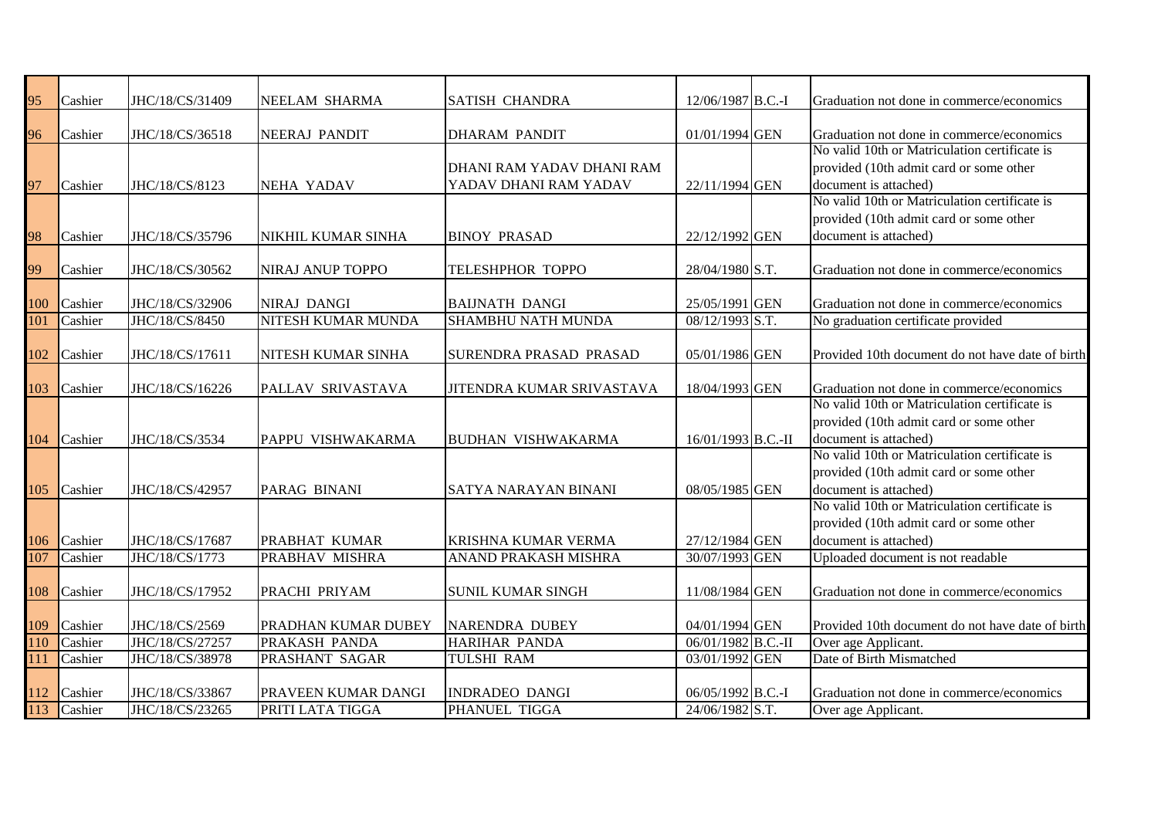| 95  | Cashier                    | JHC/18/CS/31409 | NEELAM SHARMA           | <b>SATISH CHANDRA</b>         | 12/06/1987 B.C.-I  | Graduation not done in commerce/economics                                                  |
|-----|----------------------------|-----------------|-------------------------|-------------------------------|--------------------|--------------------------------------------------------------------------------------------|
|     |                            |                 |                         |                               |                    |                                                                                            |
| 96  | Cashier                    | JHC/18/CS/36518 | <b>NEERAJ PANDIT</b>    | <b>DHARAM PANDIT</b>          | 01/01/1994 GEN     | Graduation not done in commerce/economics                                                  |
|     |                            |                 |                         |                               |                    | No valid 10th or Matriculation certificate is                                              |
|     |                            |                 |                         | DHANI RAM YADAV DHANI RAM     |                    | provided (10th admit card or some other                                                    |
| 97  | Cashier                    | JHC/18/CS/8123  | <b>NEHA YADAV</b>       | YADAV DHANI RAM YADAV         | 22/11/1994 GEN     | document is attached)                                                                      |
|     |                            |                 |                         |                               |                    | No valid 10th or Matriculation certificate is                                              |
|     |                            |                 |                         |                               |                    | provided (10th admit card or some other                                                    |
| 98  | Cashier                    | JHC/18/CS/35796 | NIKHIL KUMAR SINHA      | <b>BINOY PRASAD</b>           | 22/12/1992 GEN     | document is attached)                                                                      |
|     |                            |                 |                         |                               |                    |                                                                                            |
| 99  | Cashier                    | JHC/18/CS/30562 | <b>NIRAJ ANUP TOPPO</b> | TELESHPHOR TOPPO              | 28/04/1980 S.T.    | Graduation not done in commerce/economics                                                  |
|     |                            |                 |                         |                               |                    |                                                                                            |
| 100 | Cashier                    | JHC/18/CS/32906 | <b>NIRAJ DANGI</b>      | <b>BAIJNATH DANGI</b>         | 25/05/1991 GEN     | Graduation not done in commerce/economics                                                  |
| 101 | Cashier                    | JHC/18/CS/8450  | NITESH KUMAR MUNDA      | <b>SHAMBHU NATH MUNDA</b>     | 08/12/1993 S.T.    | No graduation certificate provided                                                         |
|     |                            |                 |                         |                               |                    |                                                                                            |
| 102 | Cashier                    | JHC/18/CS/17611 | NITESH KUMAR SINHA      | <b>SURENDRA PRASAD PRASAD</b> | 05/01/1986 GEN     | Provided 10th document do not have date of birth                                           |
|     |                            | JHC/18/CS/16226 | PALLAV SRIVASTAVA       | JITENDRA KUMAR SRIVASTAVA     | 18/04/1993 GEN     |                                                                                            |
|     | 103 Cashier                |                 |                         |                               |                    | Graduation not done in commerce/economics<br>No valid 10th or Matriculation certificate is |
|     |                            |                 |                         |                               |                    | provided (10th admit card or some other                                                    |
|     | 104 Cashier                | JHC/18/CS/3534  | PAPPU VISHWAKARMA       | <b>BUDHAN VISHWAKARMA</b>     | 16/01/1993 B.C.-II | document is attached)                                                                      |
|     |                            |                 |                         |                               |                    | No valid 10th or Matriculation certificate is                                              |
|     |                            |                 |                         |                               |                    | provided (10th admit card or some other                                                    |
|     | 105 Cashier                | JHC/18/CS/42957 | PARAG BINANI            | SATYA NARAYAN BINANI          | 08/05/1985 GEN     | document is attached)                                                                      |
|     |                            |                 |                         |                               |                    | No valid 10th or Matriculation certificate is                                              |
|     |                            |                 |                         |                               |                    | provided (10th admit card or some other                                                    |
| 106 | Cashier                    | JHC/18/CS/17687 | PRABHAT KUMAR           | KRISHNA KUMAR VERMA           | 27/12/1984 GEN     | document is attached)                                                                      |
| 107 | Cashier                    | JHC/18/CS/1773  | PRABHAV MISHRA          | ANAND PRAKASH MISHRA          | 30/07/1993 GEN     | Uploaded document is not readable                                                          |
|     |                            |                 |                         |                               |                    |                                                                                            |
| 108 | Cashier                    | JHC/18/CS/17952 | PRACHI PRIYAM           | <b>SUNIL KUMAR SINGH</b>      | 11/08/1984 GEN     | Graduation not done in commerce/economics                                                  |
|     |                            |                 |                         |                               |                    |                                                                                            |
| 109 | Cashier                    | JHC/18/CS/2569  | PRADHAN KUMAR DUBEY     | <b>NARENDRA DUBEY</b>         | 04/01/1994 GEN     | Provided 10th document do not have date of birth                                           |
| 110 | Cashier                    | JHC/18/CS/27257 | PRAKASH PANDA           | HARIHAR PANDA                 | 06/01/1982 B.C.-II | Over age Applicant.                                                                        |
| 111 | Cashier                    | JHC/18/CS/38978 | PRASHANT SAGAR          | <b>TULSHI RAM</b>             | 03/01/1992 GEN     | Date of Birth Mismatched                                                                   |
|     |                            |                 |                         |                               |                    |                                                                                            |
|     | 112 Cashier<br>113 Cashier | JHC/18/CS/33867 | PRAVEEN KUMAR DANGI     | <b>INDRADEO DANGI</b>         | 06/05/1992 B.C.-I  | Graduation not done in commerce/economics                                                  |
|     |                            | JHC/18/CS/23265 | PRITI LATA TIGGA        | PHANUEL TIGGA                 | 24/06/1982 S.T.    | Over age Applicant.                                                                        |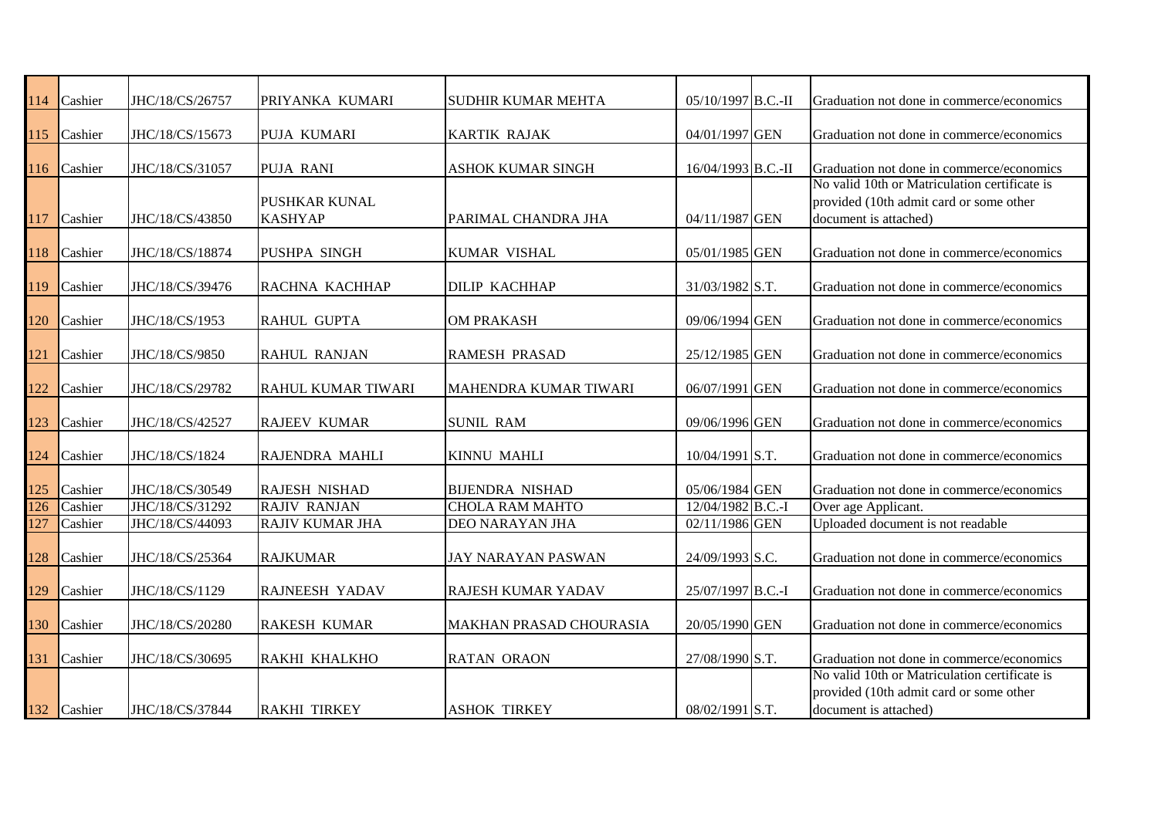| 114              | Cashier     | JHC/18/CS/26757 | PRIYANKA KUMARI                 | <b>SUDHIR KUMAR MEHTA</b>    | 05/10/1997 B.C.-II | Graduation not done in commerce/economics                                                                         |
|------------------|-------------|-----------------|---------------------------------|------------------------------|--------------------|-------------------------------------------------------------------------------------------------------------------|
|                  |             |                 |                                 |                              |                    |                                                                                                                   |
| 115              | Cashier     | JHC/18/CS/15673 | PUJA KUMARI                     | <b>KARTIK RAJAK</b>          | 04/01/1997 GEN     | Graduation not done in commerce/economics                                                                         |
| 116              | Cashier     | JHC/18/CS/31057 | <b>PUJA RANI</b>                | <b>ASHOK KUMAR SINGH</b>     | 16/04/1993 B.C.-II | Graduation not done in commerce/economics                                                                         |
| 117              | Cashier     | JHC/18/CS/43850 | PUSHKAR KUNAL<br><b>KASHYAP</b> | PARIMAL CHANDRA JHA          | 04/11/1987 GEN     | No valid 10th or Matriculation certificate is<br>provided (10th admit card or some other<br>document is attached) |
| 118              | Cashier     | JHC/18/CS/18874 | PUSHPA SINGH                    | KUMAR VISHAL                 | 05/01/1985 GEN     | Graduation not done in commerce/economics                                                                         |
| 119              | Cashier     | JHC/18/CS/39476 | RACHNA KACHHAP                  | <b>DILIP KACHHAP</b>         | 31/03/1982 S.T.    | Graduation not done in commerce/economics                                                                         |
| 120              | Cashier     | JHC/18/CS/1953  | <b>RAHUL GUPTA</b>              | <b>OM PRAKASH</b>            | 09/06/1994 GEN     | Graduation not done in commerce/economics                                                                         |
| 121              | Cashier     | JHC/18/CS/9850  | <b>RAHUL RANJAN</b>             | <b>RAMESH PRASAD</b>         | 25/12/1985 GEN     | Graduation not done in commerce/economics                                                                         |
| 122              | Cashier     | JHC/18/CS/29782 | RAHUL KUMAR TIWARI              | <b>MAHENDRA KUMAR TIWARI</b> | 06/07/1991 GEN     | Graduation not done in commerce/economics                                                                         |
| 123              | Cashier     | JHC/18/CS/42527 | <b>RAJEEV KUMAR</b>             | <b>SUNIL RAM</b>             | 09/06/1996 GEN     | Graduation not done in commerce/economics                                                                         |
| 124              | Cashier     | JHC/18/CS/1824  | RAJENDRA MAHLI                  | KINNU MAHLI                  | 10/04/1991 S.T.    | Graduation not done in commerce/economics                                                                         |
| 125              | Cashier     | JHC/18/CS/30549 | <b>RAJESH NISHAD</b>            | <b>BIJENDRA NISHAD</b>       | 05/06/1984 GEN     | Graduation not done in commerce/economics                                                                         |
| $\overline{126}$ | Cashier     | JHC/18/CS/31292 | <b>RAJIV RANJAN</b>             | <b>CHOLA RAM MAHTO</b>       | 12/04/1982 B.C.-I  | Over age Applicant.                                                                                               |
| 127              | Cashier     | JHC/18/CS/44093 | RAJIV KUMAR JHA                 | DEO NARAYAN JHA              | 02/11/1986 GEN     | Uploaded document is not readable                                                                                 |
| 128              | Cashier     | JHC/18/CS/25364 | <b>RAJKUMAR</b>                 | <b>JAY NARAYAN PASWAN</b>    | 24/09/1993 S.C.    | Graduation not done in commerce/economics                                                                         |
| 129              | Cashier     | JHC/18/CS/1129  | RAJNEESH YADAV                  | RAJESH KUMAR YADAV           | 25/07/1997 B.C.-I  | Graduation not done in commerce/economics                                                                         |
| 130              | Cashier     | JHC/18/CS/20280 | <b>RAKESH KUMAR</b>             | MAKHAN PRASAD CHOURASIA      | 20/05/1990 GEN     | Graduation not done in commerce/economics                                                                         |
| 131              | Cashier     | JHC/18/CS/30695 | <b>RAKHI KHALKHO</b>            | <b>RATAN ORAON</b>           | 27/08/1990 S.T.    | Graduation not done in commerce/economics                                                                         |
|                  | 132 Cashier | JHC/18/CS/37844 | <b>RAKHI TIRKEY</b>             | <b>ASHOK TIRKEY</b>          | 08/02/1991 S.T.    | No valid 10th or Matriculation certificate is<br>provided (10th admit card or some other<br>document is attached) |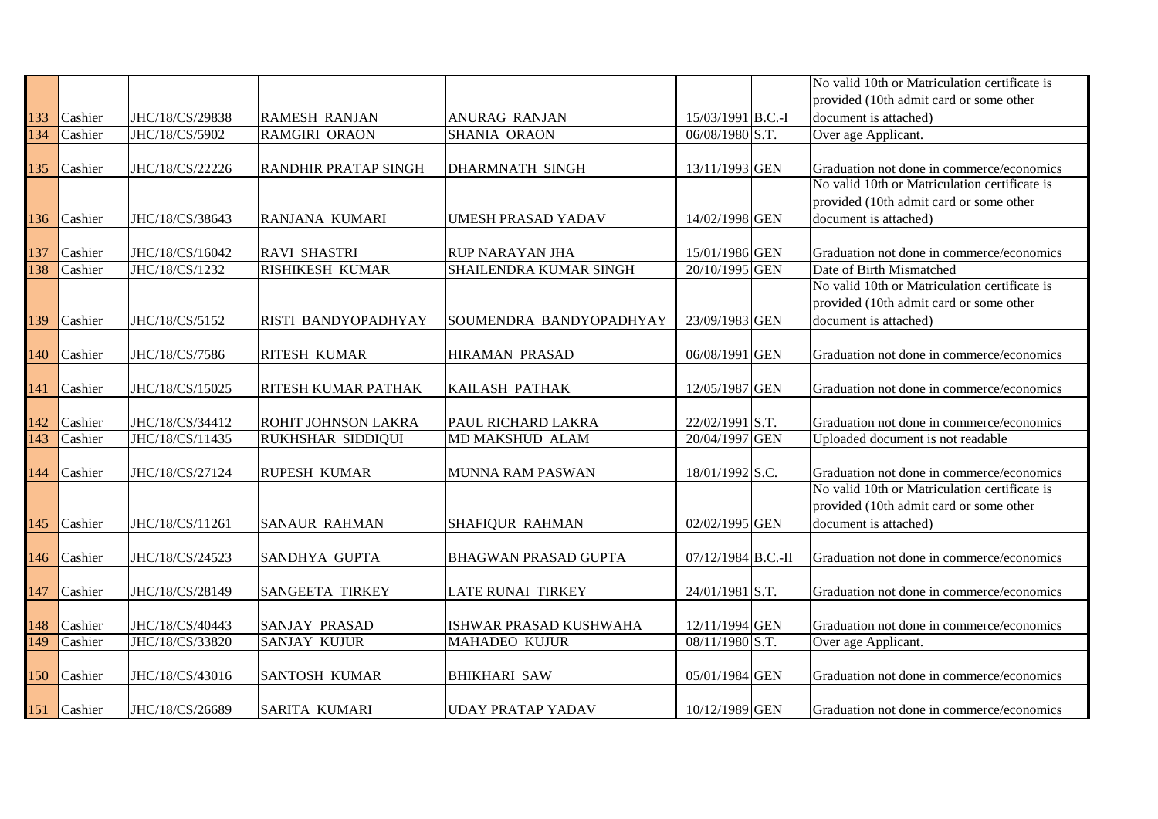|     |         |                 |                             |                             |                    | No valid 10th or Matriculation certificate is |
|-----|---------|-----------------|-----------------------------|-----------------------------|--------------------|-----------------------------------------------|
|     |         |                 |                             |                             |                    | provided (10th admit card or some other       |
| 133 | Cashier | JHC/18/CS/29838 | <b>RAMESH RANJAN</b>        | <b>ANURAG RANJAN</b>        | 15/03/1991 B.C.-I  | document is attached)                         |
| 134 | Cashier | JHC/18/CS/5902  | RAMGIRI ORAON               | SHANIA ORAON                | 06/08/1980 S.T.    | Over age Applicant.                           |
|     |         |                 |                             |                             |                    |                                               |
| 135 | Cashier | JHC/18/CS/22226 | <b>RANDHIR PRATAP SINGH</b> | <b>DHARMNATH SINGH</b>      | 13/11/1993 GEN     | Graduation not done in commerce/economics     |
|     |         |                 |                             |                             |                    | No valid 10th or Matriculation certificate is |
|     |         |                 |                             |                             |                    | provided (10th admit card or some other       |
| 136 | Cashier | JHC/18/CS/38643 | RANJANA KUMARI              | <b>UMESH PRASAD YADAV</b>   | 14/02/1998 GEN     | document is attached)                         |
|     |         |                 |                             |                             |                    |                                               |
| 137 | Cashier | JHC/18/CS/16042 | <b>RAVI SHASTRI</b>         | <b>RUP NARAYAN JHA</b>      | 15/01/1986 GEN     | Graduation not done in commerce/economics     |
| 138 | Cashier | JHC/18/CS/1232  | <b>RISHIKESH KUMAR</b>      | SHAILENDRA KUMAR SINGH      | 20/10/1995 GEN     | Date of Birth Mismatched                      |
|     |         |                 |                             |                             |                    | No valid 10th or Matriculation certificate is |
|     |         |                 |                             |                             |                    | provided (10th admit card or some other       |
| 139 | Cashier | JHC/18/CS/5152  | RISTI BANDYOPADHYAY         | SOUMENDRA BANDYOPADHYAY     | 23/09/1983 GEN     | document is attached)                         |
|     |         |                 |                             |                             |                    |                                               |
| 140 | Cashier | JHC/18/CS/7586  | RITESH KUMAR                | <b>HIRAMAN PRASAD</b>       | 06/08/1991 GEN     | Graduation not done in commerce/economics     |
| 141 | Cashier | JHC/18/CS/15025 | <b>RITESH KUMAR PATHAK</b>  | <b>KAILASH PATHAK</b>       | 12/05/1987 GEN     | Graduation not done in commerce/economics     |
|     |         |                 |                             |                             |                    |                                               |
| 142 | Cashier | JHC/18/CS/34412 | ROHIT JOHNSON LAKRA         | PAUL RICHARD LAKRA          | 22/02/1991 S.T.    | Graduation not done in commerce/economics     |
| 143 | Cashier | JHC/18/CS/11435 | <b>RUKHSHAR SIDDIQUI</b>    | MD MAKSHUD ALAM             | 20/04/1997 GEN     | Uploaded document is not readable             |
|     |         |                 |                             |                             |                    |                                               |
| 144 | Cashier | JHC/18/CS/27124 | <b>RUPESH KUMAR</b>         | MUNNA RAM PASWAN            | 18/01/1992 S.C.    | Graduation not done in commerce/economics     |
|     |         |                 |                             |                             |                    | No valid 10th or Matriculation certificate is |
|     |         |                 |                             |                             |                    | provided (10th admit card or some other       |
| 145 | Cashier | JHC/18/CS/11261 | <b>SANAUR RAHMAN</b>        | <b>SHAFIQUR RAHMAN</b>      | 02/02/1995 GEN     | document is attached)                         |
|     |         |                 |                             |                             |                    |                                               |
| 146 | Cashier | JHC/18/CS/24523 | SANDHYA GUPTA               | <b>BHAGWAN PRASAD GUPTA</b> | 07/12/1984 B.C.-II | Graduation not done in commerce/economics     |
|     |         |                 |                             |                             |                    |                                               |
| 147 | Cashier | JHC/18/CS/28149 | <b>SANGEETA TIRKEY</b>      | LATE RUNAI TIRKEY           | 24/01/1981 S.T.    | Graduation not done in commerce/economics     |
|     |         |                 |                             |                             |                    |                                               |
| 148 | Cashier | JHC/18/CS/40443 | <b>SANJAY PRASAD</b>        | ISHWAR PRASAD KUSHWAHA      | 12/11/1994 GEN     | Graduation not done in commerce/economics     |
| 149 | Cashier | JHC/18/CS/33820 | <b>SANJAY KUJUR</b>         | <b>MAHADEO KUJUR</b>        | 08/11/1980 S.T.    | Over age Applicant.                           |
|     |         |                 |                             |                             |                    |                                               |
| 150 | Cashier | JHC/18/CS/43016 | <b>SANTOSH KUMAR</b>        | <b>BHIKHARI SAW</b>         | 05/01/1984 GEN     | Graduation not done in commerce/economics     |
|     |         |                 |                             |                             |                    |                                               |
| 151 | Cashier | JHC/18/CS/26689 | SARITA KUMARI               | <b>UDAY PRATAP YADAV</b>    | 10/12/1989 GEN     | Graduation not done in commerce/economics     |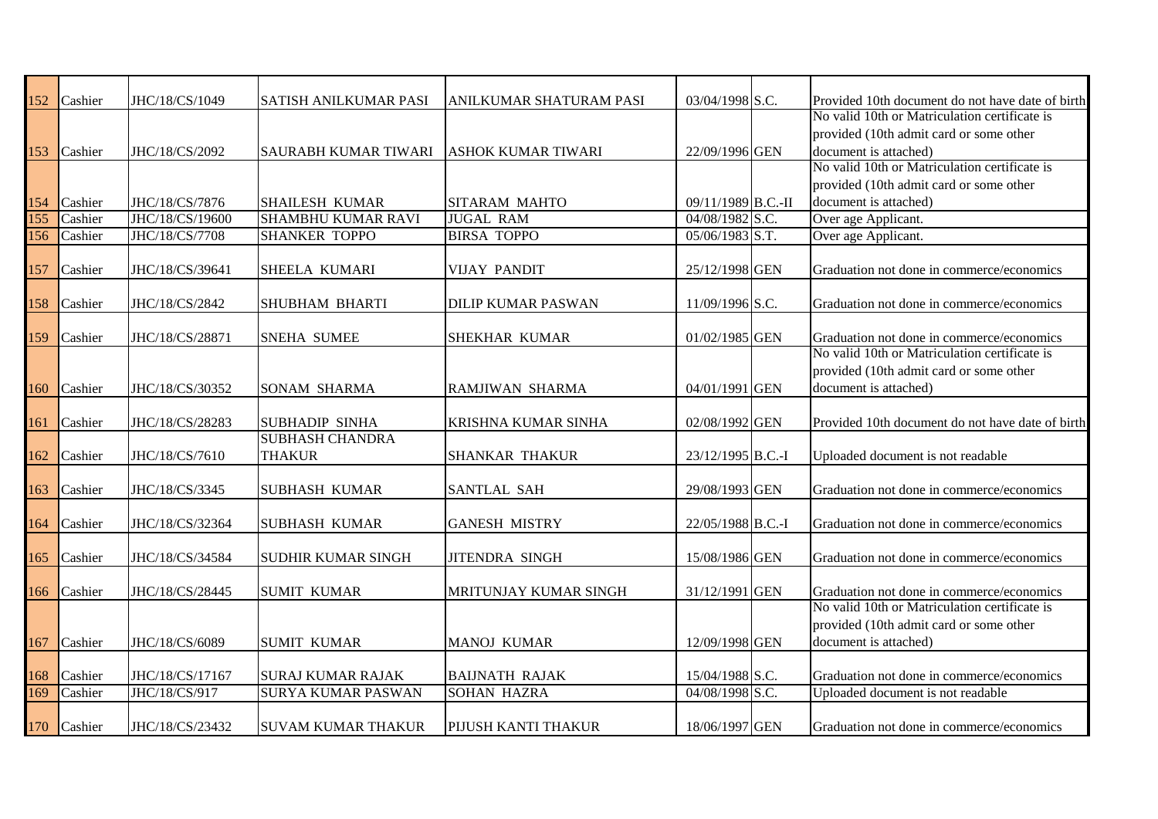| 152        | Cashier | JHC/18/CS/1049                    | <b>SATISH ANILKUMAR PASI</b>                       | ANILKUMAR SHATURAM PASI    | 03/04/1998 S.C.                    | Provided 10th document do not have date of birth<br>No valid 10th or Matriculation certificate is |
|------------|---------|-----------------------------------|----------------------------------------------------|----------------------------|------------------------------------|---------------------------------------------------------------------------------------------------|
|            |         |                                   |                                                    |                            |                                    | provided (10th admit card or some other                                                           |
|            |         |                                   |                                                    |                            |                                    |                                                                                                   |
| 153        | Cashier | JHC/18/CS/2092                    | SAURABH KUMAR TIWARI                               | <b>ASHOK KUMAR TIWARI</b>  | 22/09/1996 GEN                     | document is attached)<br>No valid 10th or Matriculation certificate is                            |
|            |         |                                   |                                                    |                            |                                    | provided (10th admit card or some other                                                           |
|            |         |                                   |                                                    |                            |                                    |                                                                                                   |
| 154<br>155 | Cashier | JHC/18/CS/7876<br>JHC/18/CS/19600 | <b>SHAILESH KUMAR</b><br><b>SHAMBHU KUMAR RAVI</b> | <b>SITARAM MAHTO</b>       | 09/11/1989 B.C.-II                 | document is attached)                                                                             |
| 156        | Cashier | JHC/18/CS/7708                    |                                                    | <b>JUGAL RAM</b>           | 04/08/1982 S.C.<br>05/06/1983 S.T. | Over age Applicant.                                                                               |
|            | Cashier |                                   | <b>SHANKER TOPPO</b>                               | <b>BIRSA TOPPO</b>         |                                    | Over age Applicant.                                                                               |
| 157        | Cashier | JHC/18/CS/39641                   | SHEELA KUMARI                                      | <b>VIJAY PANDIT</b>        | 25/12/1998 GEN                     | Graduation not done in commerce/economics                                                         |
|            |         |                                   |                                                    |                            |                                    |                                                                                                   |
| 158        | Cashier | JHC/18/CS/2842                    | <b>SHUBHAM BHARTI</b>                              | <b>DILIP KUMAR PASWAN</b>  | 11/09/1996 S.C.                    | Graduation not done in commerce/economics                                                         |
|            |         |                                   |                                                    |                            |                                    |                                                                                                   |
| 159        | Cashier | JHC/18/CS/28871                   | <b>SNEHA SUMEE</b>                                 | <b>SHEKHAR KUMAR</b>       | 01/02/1985 GEN                     | Graduation not done in commerce/economics                                                         |
|            |         |                                   |                                                    |                            |                                    | No valid 10th or Matriculation certificate is                                                     |
|            |         |                                   |                                                    |                            |                                    | provided (10th admit card or some other                                                           |
| 160        | Cashier | JHC/18/CS/30352                   | <b>SONAM SHARMA</b>                                | RAMJIWAN SHARMA            | 04/01/1991 GEN                     | document is attached)                                                                             |
|            |         |                                   |                                                    |                            |                                    |                                                                                                   |
| 161        | Cashier | JHC/18/CS/28283                   | <b>SUBHADIP SINHA</b>                              | <b>KRISHNA KUMAR SINHA</b> | 02/08/1992 GEN                     | Provided 10th document do not have date of birth                                                  |
|            |         |                                   | <b>SUBHASH CHANDRA</b>                             |                            |                                    |                                                                                                   |
| 162        | Cashier | JHC/18/CS/7610                    | <b>THAKUR</b>                                      | <b>SHANKAR THAKUR</b>      | 23/12/1995 B.C.-I                  | Uploaded document is not readable                                                                 |
|            |         |                                   |                                                    |                            |                                    |                                                                                                   |
| 163        | Cashier | JHC/18/CS/3345                    | <b>SUBHASH KUMAR</b>                               | SANTLAL SAH                | 29/08/1993 GEN                     | Graduation not done in commerce/economics                                                         |
|            |         |                                   |                                                    |                            |                                    |                                                                                                   |
| 164        | Cashier | JHC/18/CS/32364                   | <b>SUBHASH KUMAR</b>                               | <b>GANESH MISTRY</b>       | 22/05/1988 B.C.-I                  | Graduation not done in commerce/economics                                                         |
|            |         |                                   |                                                    |                            |                                    |                                                                                                   |
| 165        | Cashier | JHC/18/CS/34584                   | <b>SUDHIR KUMAR SINGH</b>                          | <b>JITENDRA SINGH</b>      | 15/08/1986 GEN                     | Graduation not done in commerce/economics                                                         |
|            |         |                                   |                                                    |                            |                                    |                                                                                                   |
| 166        | Cashier | JHC/18/CS/28445                   | <b>SUMIT KUMAR</b>                                 | MRITUNJAY KUMAR SINGH      | 31/12/1991 GEN                     | Graduation not done in commerce/economics<br>No valid 10th or Matriculation certificate is        |
|            |         |                                   |                                                    |                            |                                    | provided (10th admit card or some other                                                           |
|            |         |                                   |                                                    |                            |                                    |                                                                                                   |
| 167        | Cashier | JHC/18/CS/6089                    | <b>SUMIT KUMAR</b>                                 | <b>MANOJ KUMAR</b>         | 12/09/1998 GEN                     | document is attached)                                                                             |
| 168        | Cashier | JHC/18/CS/17167                   | <b>SURAJ KUMAR RAJAK</b>                           | <b>BAIJNATH RAJAK</b>      | 15/04/1988 S.C.                    | Graduation not done in commerce/economics                                                         |
| 169        | Cashier | JHC/18/CS/917                     | <b>SURYA KUMAR PASWAN</b>                          | <b>SOHAN HAZRA</b>         | 04/08/1998 S.C.                    | Uploaded document is not readable                                                                 |
|            |         |                                   |                                                    |                            |                                    |                                                                                                   |
| 170        | Cashier | JHC/18/CS/23432                   | <b>SUVAM KUMAR THAKUR</b>                          | PIJUSH KANTI THAKUR        | 18/06/1997 GEN                     | Graduation not done in commerce/economics                                                         |
|            |         |                                   |                                                    |                            |                                    |                                                                                                   |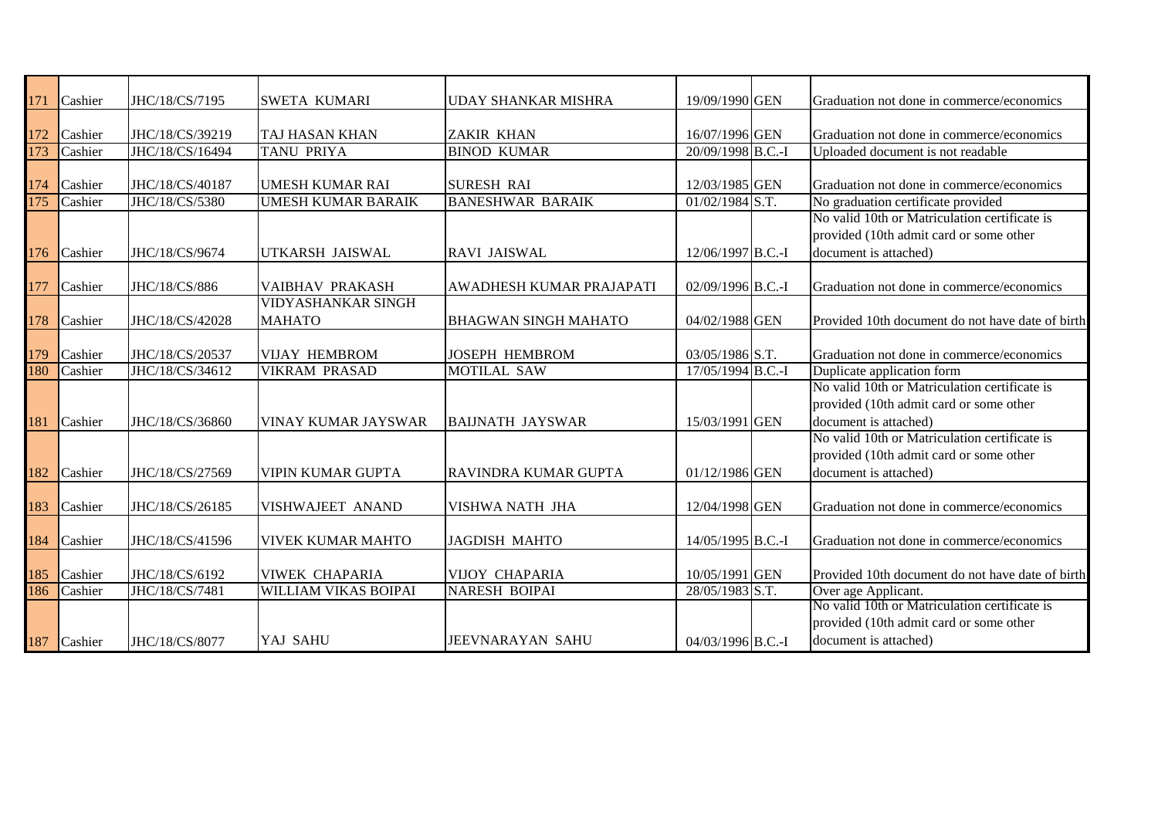| 171              | Cashier | JHC/18/CS/7195  | <b>SWETA KUMARI</b>       | UDAY SHANKAR MISHRA         | 19/09/1990 GEN    | Graduation not done in commerce/economics        |
|------------------|---------|-----------------|---------------------------|-----------------------------|-------------------|--------------------------------------------------|
|                  |         |                 |                           |                             |                   |                                                  |
| 172              | Cashier | JHC/18/CS/39219 | TAJ HASAN KHAN            | <b>ZAKIR KHAN</b>           | 16/07/1996 GEN    | Graduation not done in commerce/economics        |
| 173              | Cashier | JHC/18/CS/16494 | <b>TANU PRIYA</b>         | <b>BINOD KUMAR</b>          | 20/09/1998 B.C.-I | Uploaded document is not readable                |
|                  |         |                 |                           |                             |                   |                                                  |
| 174              | Cashier | JHC/18/CS/40187 | <b>UMESH KUMAR RAI</b>    | <b>SURESH RAI</b>           | 12/03/1985 GEN    | Graduation not done in commerce/economics        |
| $\overline{175}$ | Cashier | JHC/18/CS/5380  | <b>UMESH KUMAR BARAIK</b> | <b>BANESHWAR BARAIK</b>     | $01/02/1984$ S.T. | No graduation certificate provided               |
|                  |         |                 |                           |                             |                   | No valid 10th or Matriculation certificate is    |
|                  |         |                 |                           |                             |                   | provided (10th admit card or some other          |
| 176              | Cashier | JHC/18/CS/9674  | UTKARSH JAISWAL           | <b>RAVI JAISWAL</b>         | 12/06/1997 B.C.-I | document is attached)                            |
|                  |         |                 |                           |                             |                   |                                                  |
| 177              | Cashier | JHC/18/CS/886   | VAIBHAV PRAKASH           | AWADHESH KUMAR PRAJAPATI    | 02/09/1996 B.C.-I | Graduation not done in commerce/economics        |
|                  |         |                 | <b>VIDYASHANKAR SINGH</b> |                             |                   |                                                  |
| 178              | Cashier | JHC/18/CS/42028 | <b>MAHATO</b>             | <b>BHAGWAN SINGH MAHATO</b> | 04/02/1988 GEN    | Provided 10th document do not have date of birth |
| 179              | Cashier | JHC/18/CS/20537 | <b>VIJAY HEMBROM</b>      | <b>JOSEPH HEMBROM</b>       | 03/05/1986 S.T.   | Graduation not done in commerce/economics        |
| 180              | Cashier | JHC/18/CS/34612 | <b>VIKRAM PRASAD</b>      | <b>MOTILAL SAW</b>          | 17/05/1994 B.C.-I | Duplicate application form                       |
|                  |         |                 |                           |                             |                   | No valid 10th or Matriculation certificate is    |
|                  |         |                 |                           |                             |                   | provided (10th admit card or some other          |
| 181              | Cashier | JHC/18/CS/36860 | VINAY KUMAR JAYSWAR       | <b>BAIJNATH JAYSWAR</b>     | 15/03/1991 GEN    | document is attached)                            |
|                  |         |                 |                           |                             |                   | No valid 10th or Matriculation certificate is    |
|                  |         |                 |                           |                             |                   | provided (10th admit card or some other          |
| 182              | Cashier | JHC/18/CS/27569 | <b>VIPIN KUMAR GUPTA</b>  | IRAVINDRA KUMAR GUPTA       | 01/12/1986 GEN    | document is attached)                            |
|                  |         |                 |                           |                             |                   |                                                  |
| 183              | Cashier | JHC/18/CS/26185 | VISHWAJEET ANAND          | VISHWA NATH JHA             | 12/04/1998 GEN    | Graduation not done in commerce/economics        |
|                  |         |                 |                           |                             |                   |                                                  |
| 184              | Cashier | JHC/18/CS/41596 | VIVEK KUMAR MAHTO         | <b>JAGDISH MAHTO</b>        | 14/05/1995 B.C.-I | Graduation not done in commerce/economics        |
|                  |         |                 |                           |                             |                   |                                                  |
| 185              | Cashier | JHC/18/CS/6192  | <b>VIWEK CHAPARIA</b>     | <b>VIJOY CHAPARIA</b>       | 10/05/1991 GEN    | Provided 10th document do not have date of birth |
| 186              | Cashier | JHC/18/CS/7481  | WILLIAM VIKAS BOIPAI      | <b>NARESH BOIPAI</b>        | 28/05/1983 S.T.   | Over age Applicant.                              |
|                  |         |                 |                           |                             |                   | No valid 10th or Matriculation certificate is    |
|                  |         |                 |                           |                             |                   | provided (10th admit card or some other          |
| 187              | Cashier | JHC/18/CS/8077  | YAJ SAHU                  | <b>JEEVNARAYAN SAHU</b>     | 04/03/1996 B.C.-I | document is attached)                            |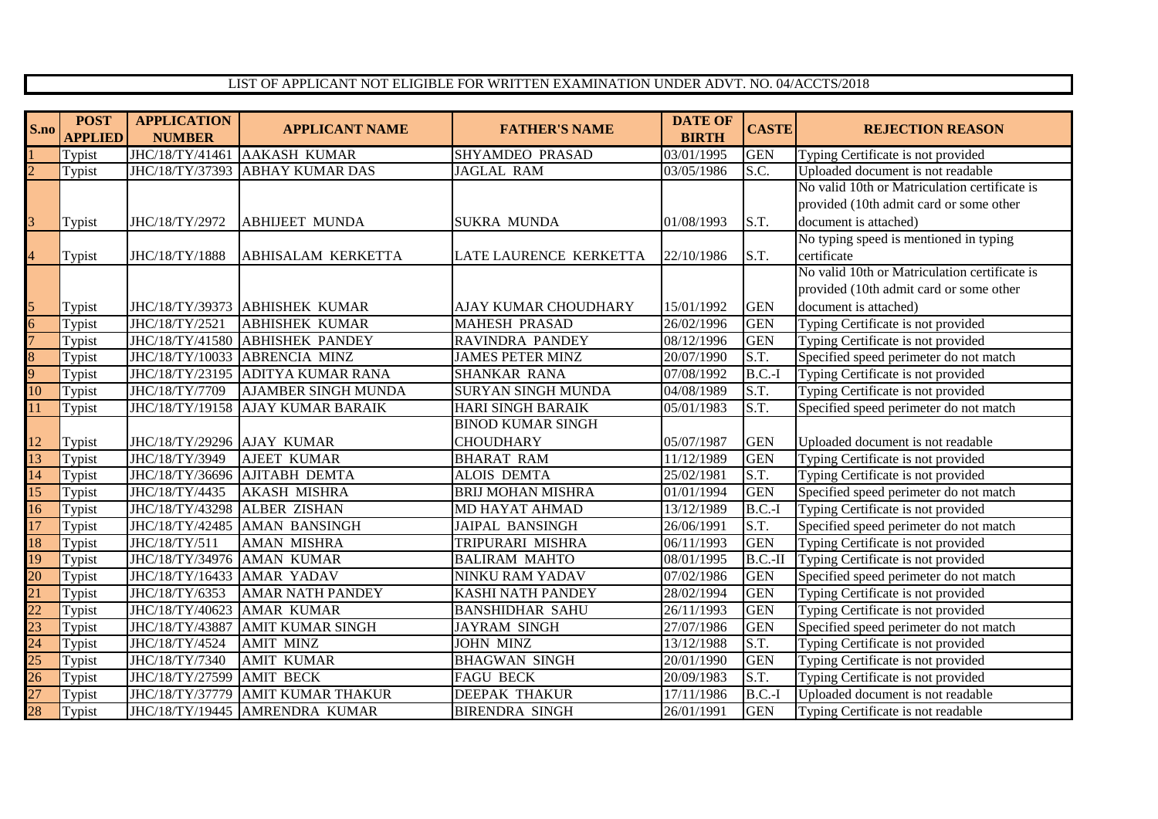## LIST OF APPLICANT NOT ELIGIBLE FOR WRITTEN EXAMINATION UNDER ADVT. NO. 04/ACCTS/2018

| S.no                    | <b>POST</b><br><b>APPLIED</b> | <b>APPLICATION</b><br><b>NUMBER</b> | <b>APPLICANT NAME</b>          | <b>FATHER'S NAME</b>      | <b>DATE OF</b><br><b>BIRTH</b> | <b>CASTE</b> | <b>REJECTION REASON</b>                       |
|-------------------------|-------------------------------|-------------------------------------|--------------------------------|---------------------------|--------------------------------|--------------|-----------------------------------------------|
|                         | Typist                        | JHC/18/TY/41461                     | <b>AAKASH KUMAR</b>            | <b>SHYAMDEO PRASAD</b>    | 03/01/1995                     | <b>GEN</b>   | Typing Certificate is not provided            |
|                         | Typist                        | JHC/18/TY/37393                     | <b>ABHAY KUMAR DAS</b>         | <b>JAGLAL RAM</b>         | 03/05/1986                     | S.C.         | Uploaded document is not readable             |
|                         |                               |                                     |                                |                           |                                |              | No valid 10th or Matriculation certificate is |
|                         |                               |                                     |                                |                           |                                |              | provided (10th admit card or some other       |
| $\overline{\mathsf{S}}$ | Typist                        | JHC/18/TY/2972                      | <b>ABHIJEET MUNDA</b>          | <b>SUKRA MUNDA</b>        | 01/08/1993                     | S.T.         | document is attached)                         |
|                         |                               |                                     |                                |                           |                                |              | No typing speed is mentioned in typing        |
| $\overline{4}$          | Typist                        | JHC/18/TY/1888                      | ABHISALAM KERKETTA             | LATE LAURENCE KERKETTA    | 22/10/1986                     | S.T.         | certificate                                   |
|                         |                               |                                     |                                |                           |                                |              | No valid 10th or Matriculation certificate is |
|                         |                               |                                     |                                |                           |                                |              | provided (10th admit card or some other       |
| $\overline{5}$          | Typist                        |                                     | JHC/18/TY/39373 ABHISHEK KUMAR | AJAY KUMAR CHOUDHARY      | 15/01/1992                     | <b>GEN</b>   | document is attached)                         |
| 6                       | Typist                        | JHC/18/TY/2521                      | <b>ABHISHEK KUMAR</b>          | <b>MAHESH PRASAD</b>      | 26/02/1996                     | <b>GEN</b>   | Typing Certificate is not provided            |
|                         | Typist                        | JHC/18/TY/41580                     | <b>ABHISHEK PANDEY</b>         | RAVINDRA PANDEY           | 08/12/1996                     | <b>GEN</b>   | Typing Certificate is not provided            |
| 8                       | Typist                        | JHC/18/TY/10033                     | ABRENCIA MINZ                  | <b>JAMES PETER MINZ</b>   | 20/07/1990                     | S.T.         | Specified speed perimeter do not match        |
| Q.                      | Typist                        | JHC/18/TY/23195                     | <b>ADITYA KUMAR RANA</b>       | SHANKAR RANA              | 07/08/1992                     | $B.C.-I$     | Typing Certificate is not provided            |
| 10                      | Typist                        | JHC/18/TY/7709                      | <b>AJAMBER SINGH MUNDA</b>     | <b>SURYAN SINGH MUNDA</b> | 04/08/1989                     | S.T.         | Typing Certificate is not provided            |
| 11                      | Typist                        | JHC/18/TY/19158                     | <b>AJAY KUMAR BARAIK</b>       | <b>HARI SINGH BARAIK</b>  | 05/01/1983                     | S.T.         | Specified speed perimeter do not match        |
|                         |                               |                                     |                                | <b>BINOD KUMAR SINGH</b>  |                                |              |                                               |
| 12                      | Typist                        | JHC/18/TY/29296 AJAY KUMAR          |                                | <b>CHOUDHARY</b>          | 05/07/1987                     | <b>GEN</b>   | Uploaded document is not readable             |
| 13                      | Typist                        | JHC/18/TY/3949                      | <b>AJEET KUMAR</b>             | <b>BHARAT RAM</b>         | 11/12/1989                     | <b>GEN</b>   | Typing Certificate is not provided            |
| 14                      | Typist                        | JHC/18/TY/36696                     | <b>AJITABH DEMTA</b>           | <b>ALOIS DEMTA</b>        | 25/02/1981                     | S.T.         | Typing Certificate is not provided            |
| 15                      | Typist                        | JHC/18/TY/4435                      | <b>AKASH MISHRA</b>            | <b>BRIJ MOHAN MISHRA</b>  | 01/01/1994                     | <b>GEN</b>   | Specified speed perimeter do not match        |
| 16                      | Typist                        | JHC/18/TY/43298                     | <b>ALBER ZISHAN</b>            | MD HAYAT AHMAD            | 13/12/1989                     | $B.C.-I$     | Typing Certificate is not provided            |
| $\overline{17}$         | Typist                        | JHC/18/TY/42485                     | <b>AMAN BANSINGH</b>           | <b>JAIPAL BANSINGH</b>    | 26/06/1991                     | S.T.         | Specified speed perimeter do not match        |
| 18                      | Typist                        | JHC/18/TY/511                       | <b>AMAN MISHRA</b>             | TRIPURARI MISHRA          | 06/11/1993                     | <b>GEN</b>   | Typing Certificate is not provided            |
| 19                      | Typist                        | JHC/18/TY/34976                     | <b>AMAN KUMAR</b>              | <b>BALIRAM MAHTO</b>      | 08/01/1995                     | $B.C.-I$     | Typing Certificate is not provided            |
| 20                      | Typist                        | JHC/18/TY/16433                     | <b>AMAR YADAV</b>              | NINKU RAM YADAV           | 07/02/1986                     | <b>GEN</b>   | Specified speed perimeter do not match        |
| $\overline{21}$         | Typist                        | JHC/18/TY/6353                      | <b>AMAR NATH PANDEY</b>        | <b>KASHI NATH PANDEY</b>  | 28/02/1994                     | <b>GEN</b>   | Typing Certificate is not provided            |
| $\overline{22}$         | Typist                        | JHC/18/TY/40623                     | AMAR KUMAR                     | <b>BANSHIDHAR SAHU</b>    | 26/11/1993                     | <b>GEN</b>   | Typing Certificate is not provided            |
| 23                      | Typist                        | JHC/18/TY/43887                     | <b>AMIT KUMAR SINGH</b>        | <b>JAYRAM SINGH</b>       | 27/07/1986                     | <b>GEN</b>   | Specified speed perimeter do not match        |
| 24                      | Typist                        | JHC/18/TY/4524                      | <b>AMIT MINZ</b>               | <b>JOHN MINZ</b>          | 13/12/1988                     | S.T.         | Typing Certificate is not provided            |
| $\overline{25}$         | Typist                        | JHC/18/TY/7340                      | <b>AMIT KUMAR</b>              | <b>BHAGWAN SINGH</b>      | 20/01/1990                     | <b>GEN</b>   | Typing Certificate is not provided            |
| 26                      | Typist                        | JHC/18/TY/27599                     | <b>AMIT BECK</b>               | <b>FAGU BECK</b>          | 20/09/1983                     | S.T.         | Typing Certificate is not provided            |
| $\overline{27}$         | Typist                        | JHC/18/TY/37779                     | <b>AMIT KUMAR THAKUR</b>       | DEEPAK THAKUR             | 17/11/1986                     | $B.C.-I$     | Uploaded document is not readable             |
| $\overline{28}$         | Typist                        | JHC/18/TY/19445                     | AMRENDRA KUMAR                 | <b>BIRENDRA SINGH</b>     | 26/01/1991                     | <b>GEN</b>   | Typing Certificate is not readable            |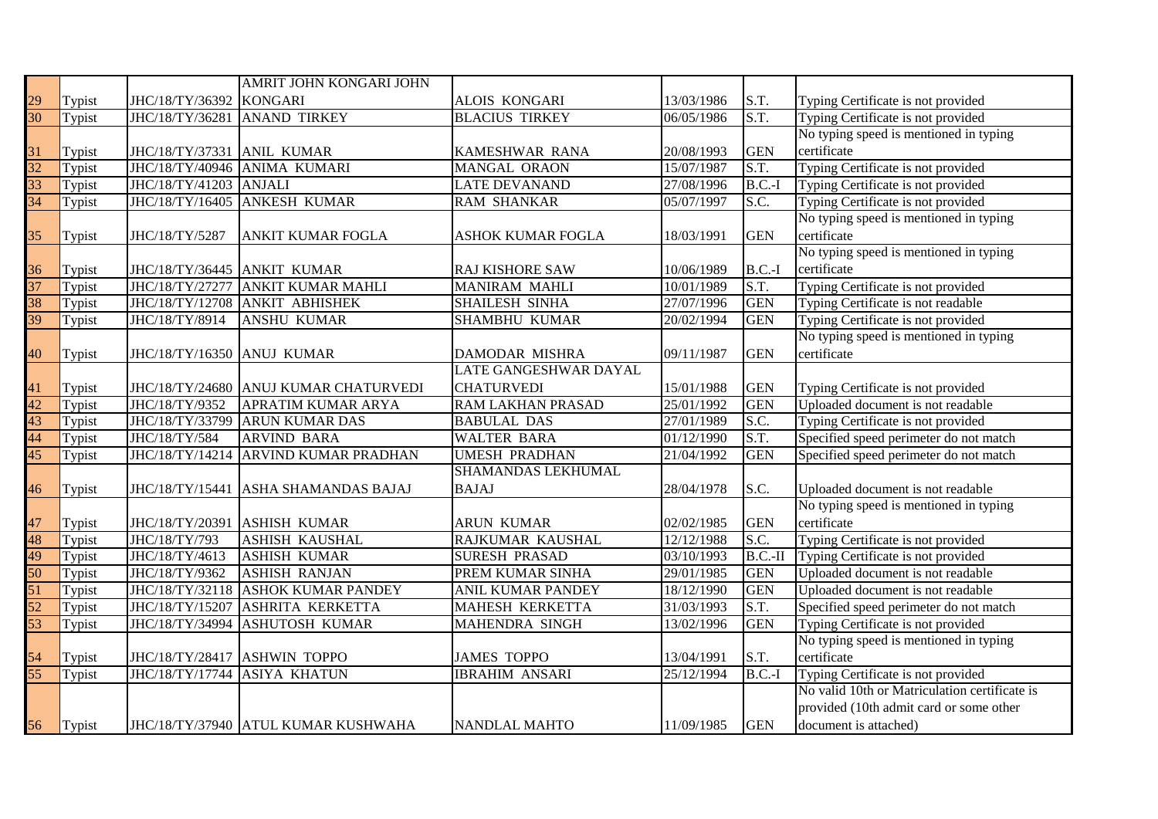|                 |        |                            | AMRIT JOHN KONGARI JOHN              |                          |            |            |                                               |
|-----------------|--------|----------------------------|--------------------------------------|--------------------------|------------|------------|-----------------------------------------------|
| 29              | Typist | JHC/18/TY/36392            | <b>KONGARI</b>                       | ALOIS KONGARI            | 13/03/1986 | S.T.       | Typing Certificate is not provided            |
| 30              | Typist | JHC/18/TY/36281            | <b>ANAND TIRKEY</b>                  | <b>BLACIUS TIRKEY</b>    | 06/05/1986 | S.T.       | Typing Certificate is not provided            |
|                 |        |                            |                                      |                          |            |            | No typing speed is mentioned in typing        |
| 31              | Typist | JHC/18/TY/37331 ANIL KUMAR |                                      | KAMESHWAR RANA           | 20/08/1993 | <b>GEN</b> | certificate                                   |
| $\overline{32}$ | Typist | JHC/18/TY/40946            | <b>ANIMA KUMARI</b>                  | <b>MANGAL ORAON</b>      | 15/07/1987 | S.T.       | Typing Certificate is not provided            |
| $\overline{33}$ | Typist | JHC/18/TY/41203            | <b>ANJALI</b>                        | <b>LATE DEVANAND</b>     | 27/08/1996 | $B.C.-I$   | Typing Certificate is not provided            |
| $\overline{34}$ | Typist | JHC/18/TY/16405            | <b>ANKESH KUMAR</b>                  | <b>RAM SHANKAR</b>       | 05/07/1997 | S.C.       | Typing Certificate is not provided            |
|                 |        |                            |                                      |                          |            |            | No typing speed is mentioned in typing        |
| 35              | Typist | JHC/18/TY/5287             | ANKIT KUMAR FOGLA                    | ASHOK KUMAR FOGLA        | 18/03/1991 | <b>GEN</b> | certificate                                   |
|                 |        |                            |                                      |                          |            |            | No typing speed is mentioned in typing        |
| 36              | Typist | JHC/18/TY/36445            | <b>ANKIT KUMAR</b>                   | RAJ KISHORE SAW          | 10/06/1989 | $B.C.-I$   | certificate                                   |
| $\overline{37}$ | Typist | JHC/18/TY/27277            | <b>ANKIT KUMAR MAHLI</b>             | <b>MANIRAM MAHLI</b>     | 10/01/1989 | S.T.       | Typing Certificate is not provided            |
| 38              | Typist | JHC/18/TY/12708            | <b>ANKIT ABHISHEK</b>                | SHAILESH SINHA           | 27/07/1996 | <b>GEN</b> | Typing Certificate is not readable            |
| 39              | Typist | JHC/18/TY/8914             | <b>ANSHU KUMAR</b>                   | <b>SHAMBHU KUMAR</b>     | 20/02/1994 | <b>GEN</b> | Typing Certificate is not provided            |
|                 |        |                            |                                      |                          |            |            | No typing speed is mentioned in typing        |
| $40^{\circ}$    | Typist | JHC/18/TY/16350 ANUJ KUMAR |                                      | DAMODAR MISHRA           | 09/11/1987 | <b>GEN</b> | certificate                                   |
|                 |        |                            |                                      | LATE GANGESHWAR DAYAL    |            |            |                                               |
| 41              | Typist | JHC/18/TY/24680            | <b>ANUJ KUMAR CHATURVEDI</b>         | <b>CHATURVEDI</b>        | 15/01/1988 | <b>GEN</b> | Typing Certificate is not provided            |
| 42              | Typist | JHC/18/TY/9352             | APRATIM KUMAR ARYA                   | RAM LAKHAN PRASAD        | 25/01/1992 | <b>GEN</b> | Uploaded document is not readable             |
| 43              | Typist | JHC/18/TY/33799            | <b>ARUN KUMAR DAS</b>                | <b>BABULAL DAS</b>       | 27/01/1989 | S.C.       | Typing Certificate is not provided            |
| 44              | Typist | JHC/18/TY/584              | <b>ARVIND BARA</b>                   | <b>WALTER BARA</b>       | 01/12/1990 | S.T.       | Specified speed perimeter do not match        |
| 45              | Typist | JHC/18/TY/14214            | ARVIND KUMAR PRADHAN                 | <b>UMESH PRADHAN</b>     | 21/04/1992 | <b>GEN</b> | Specified speed perimeter do not match        |
|                 |        |                            |                                      | SHAMANDAS LEKHUMAL       |            |            |                                               |
| 46              | Typist |                            | JHC/18/TY/15441 ASHA SHAMANDAS BAJAJ | <b>BAJAJ</b>             | 28/04/1978 | S.C.       | Uploaded document is not readable             |
|                 |        |                            |                                      |                          |            |            | No typing speed is mentioned in typing        |
| 47              | Typist | JHC/18/TY/20391            | <b>ASHISH KUMAR</b>                  | <b>ARUN KUMAR</b>        | 02/02/1985 | <b>GEN</b> | certificate                                   |
| 48              | Typist | JHC/18/TY/793              | <b>ASHISH KAUSHAL</b>                | RAJKUMAR KAUSHAL         | 12/12/1988 | S.C.       | Typing Certificate is not provided            |
| 49              | Typist | JHC/18/TY/4613             | <b>ASHISH KUMAR</b>                  | <b>SURESH PRASAD</b>     | 03/10/1993 | $B.C.-II$  | Typing Certificate is not provided            |
| 50              | Typist | JHC/18/TY/9362             | <b>ASHISH RANJAN</b>                 | PREM KUMAR SINHA         | 29/01/1985 | <b>GEN</b> | Uploaded document is not readable             |
| 51              | Typist | JHC/18/TY/32118            | <b>ASHOK KUMAR PANDEY</b>            | <b>ANIL KUMAR PANDEY</b> | 18/12/1990 | <b>GEN</b> | Uploaded document is not readable             |
| $\overline{52}$ | Typist | JHC/18/TY/15207            | <b>ASHRITA KERKETTA</b>              | <b>MAHESH KERKETTA</b>   | 31/03/1993 | S.T.       | Specified speed perimeter do not match        |
| 53              | Typist | JHC/18/TY/34994            | ASHUTOSH KUMAR                       | MAHENDRA SINGH           | 13/02/1996 | <b>GEN</b> | Typing Certificate is not provided            |
|                 |        |                            |                                      |                          |            |            | No typing speed is mentioned in typing        |
| 54              | Typist | JHC/18/TY/28417            | <b>ASHWIN TOPPO</b>                  | <b>JAMES TOPPO</b>       | 13/04/1991 | S.T.       | certificate                                   |
| $\overline{55}$ | Typist | JHC/18/TY/17744            | <b>ASIYA KHATUN</b>                  | <b>IBRAHIM ANSARI</b>    | 25/12/1994 | $B.C.-I$   | Typing Certificate is not provided            |
|                 |        |                            |                                      |                          |            |            | No valid 10th or Matriculation certificate is |
|                 |        |                            |                                      |                          |            |            | provided (10th admit card or some other       |
| 56              | Typist |                            | JHC/18/TY/37940 ATUL KUMAR KUSHWAHA  | <b>NANDLAL MAHTO</b>     | 11/09/1985 | <b>GEN</b> | document is attached)                         |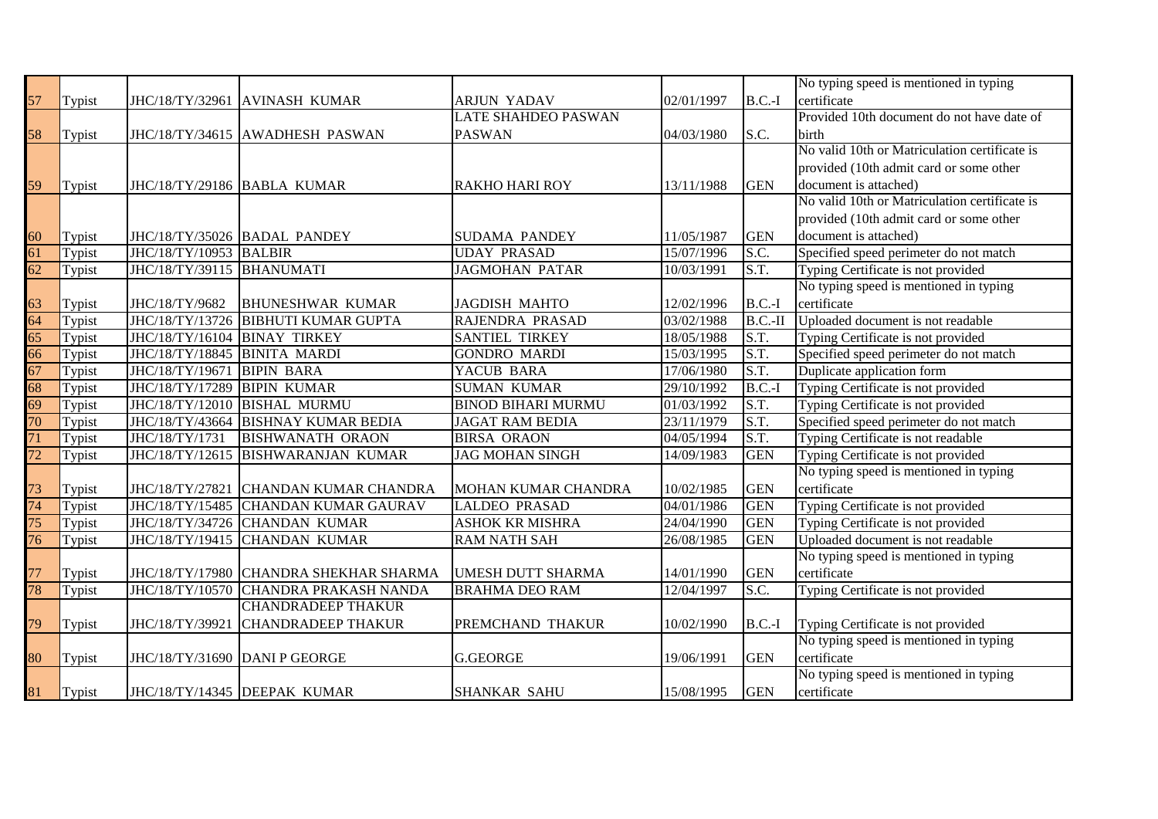|                 |        |                              |                                        |                           |            |                          | No typing speed is mentioned in typing        |
|-----------------|--------|------------------------------|----------------------------------------|---------------------------|------------|--------------------------|-----------------------------------------------|
| 57              | Typist |                              | JHC/18/TY/32961 AVINASH KUMAR          | <b>ARJUN YADAV</b>        | 02/01/1997 | $B.C.-I$                 | certificate                                   |
|                 |        |                              |                                        | LATE SHAHDEO PASWAN       |            |                          | Provided 10th document do not have date of    |
| 58              | Typist |                              | JHC/18/TY/34615 AWADHESH PASWAN        | <b>PASWAN</b>             | 04/03/1980 | S.C.                     | birth                                         |
|                 |        |                              |                                        |                           |            |                          | No valid 10th or Matriculation certificate is |
|                 |        |                              |                                        |                           |            |                          | provided (10th admit card or some other       |
| 59              | Typist |                              | JHC/18/TY/29186 BABLA KUMAR            | <b>RAKHO HARI ROY</b>     | 13/11/1988 | <b>GEN</b>               | document is attached)                         |
|                 |        |                              |                                        |                           |            |                          | No valid 10th or Matriculation certificate is |
|                 |        |                              |                                        |                           |            |                          | provided (10th admit card or some other       |
| 60              | Typist |                              | JHC/18/TY/35026 BADAL PANDEY           | <b>SUDAMA PANDEY</b>      | 11/05/1987 | <b>GEN</b>               | document is attached)                         |
| $\overline{61}$ | Typist | JHC/18/TY/10953 BALBIR       |                                        | <b>UDAY PRASAD</b>        | 15/07/1996 | S.C.                     | Specified speed perimeter do not match        |
| $\overline{62}$ | Typist | JHC/18/TY/39115 BHANUMATI    |                                        | <b>JAGMOHAN PATAR</b>     | 10/03/1991 | S.T.                     | Typing Certificate is not provided            |
|                 |        |                              |                                        |                           |            |                          | No typing speed is mentioned in typing        |
|                 | Typist | JHC/18/TY/9682               | <b>BHUNESHWAR KUMAR</b>                | <b>JAGDISH MAHTO</b>      | 12/02/1996 | $B.C.-I$                 | certificate                                   |
| $\frac{63}{64}$ | Typist |                              | JHC/18/TY/13726 BIBHUTI KUMAR GUPTA    | RAJENDRA PRASAD           | 03/02/1988 | $B.C.-II$                | Uploaded document is not readable             |
| $\frac{1}{65}$  | Typist | JHC/18/TY/16104 BINAY TIRKEY |                                        | SANTIEL TIRKEY            | 18/05/1988 | S.T.                     | Typing Certificate is not provided            |
| $\overline{66}$ | Typist | JHC/18/TY/18845              | <b>BINITA MARDI</b>                    | <b>GONDRO MARDI</b>       | 15/03/1995 | S.T.                     | Specified speed perimeter do not match        |
| $\overline{67}$ | Typist | JHC/18/TY/19671              | <b>BIPIN BARA</b>                      | YACUB BARA                | 17/06/1980 | $\overline{\text{S.T.}}$ | Duplicate application form                    |
| $\overline{68}$ | Typist | JHC/18/TY/17289              | <b>BIPIN KUMAR</b>                     | <b>SUMAN KUMAR</b>        | 29/10/1992 | $B.C.-I$                 | Typing Certificate is not provided            |
| $\overline{69}$ | Typist | JHC/18/TY/12010              | <b>BISHAL MURMU</b>                    | <b>BINOD BIHARI MURMU</b> | 01/03/1992 | S.T.                     | Typing Certificate is not provided            |
| $\overline{70}$ | Typist | JHC/18/TY/43664              | <b>BISHNAY KUMAR BEDIA</b>             | <b>JAGAT RAM BEDIA</b>    | 23/11/1979 | S.T.                     | Specified speed perimeter do not match        |
| $\overline{71}$ | Typist | JHC/18/TY/1731               | <b>BISHWANATH ORAON</b>                | <b>BIRSA ORAON</b>        | 04/05/1994 | $\overline{\text{S.T.}}$ | Typing Certificate is not readable            |
| $\overline{72}$ | Typist |                              | JHC/18/TY/12615 BISHWARANJAN KUMAR     | <b>JAG MOHAN SINGH</b>    | 14/09/1983 | <b>GEN</b>               | Typing Certificate is not provided            |
|                 |        |                              |                                        |                           |            |                          | No typing speed is mentioned in typing        |
| 73              | Typist |                              | JHC/18/TY/27821 CHANDAN KUMAR CHANDRA  | MOHAN KUMAR CHANDRA       | 10/02/1985 | <b>GEN</b>               | certificate                                   |
| $\frac{1}{74}$  | Typist |                              | JHC/18/TY/15485 CHANDAN KUMAR GAURAV   | <b>LALDEO PRASAD</b>      | 04/01/1986 | <b>GEN</b>               | Typing Certificate is not provided            |
| $\frac{1}{75}$  | Typist |                              | JHC/18/TY/34726 CHANDAN KUMAR          | <b>ASHOK KR MISHRA</b>    | 24/04/1990 | <b>GEN</b>               | Typing Certificate is not provided            |
| $\overline{76}$ | Typist |                              | JHC/18/TY/19415 CHANDAN KUMAR          | <b>RAM NATH SAH</b>       | 26/08/1985 | <b>GEN</b>               | Uploaded document is not readable             |
|                 |        |                              |                                        |                           |            |                          | No typing speed is mentioned in typing        |
| 77              | Typist |                              | JHC/18/TY/17980 CHANDRA SHEKHAR SHARMA | <b>UMESH DUTT SHARMA</b>  | 14/01/1990 | <b>GEN</b>               | certificate                                   |
| 78              | Typist |                              | JHC/18/TY/10570 CHANDRA PRAKASH NANDA  | <b>BRAHMA DEO RAM</b>     | 12/04/1997 | S.C.                     | Typing Certificate is not provided            |
|                 |        |                              | <b>CHANDRADEEP THAKUR</b>              |                           |            |                          |                                               |
| 79              | Typist | JHC/18/TY/39921              | <b>CHANDRADEEP THAKUR</b>              | PREMCHAND THAKUR          | 10/02/1990 | $B.C.-I$                 | Typing Certificate is not provided            |
|                 |        |                              |                                        |                           |            |                          | No typing speed is mentioned in typing        |
| 80              | Typist |                              | JHC/18/TY/31690 DANI P GEORGE          | <b>G.GEORGE</b>           | 19/06/1991 | <b>GEN</b>               | certificate                                   |
|                 |        |                              |                                        |                           |            |                          | No typing speed is mentioned in typing        |
| 81              | Typist |                              | JHC/18/TY/14345 DEEPAK KUMAR           | <b>SHANKAR SAHU</b>       | 15/08/1995 | <b>GEN</b>               | certificate                                   |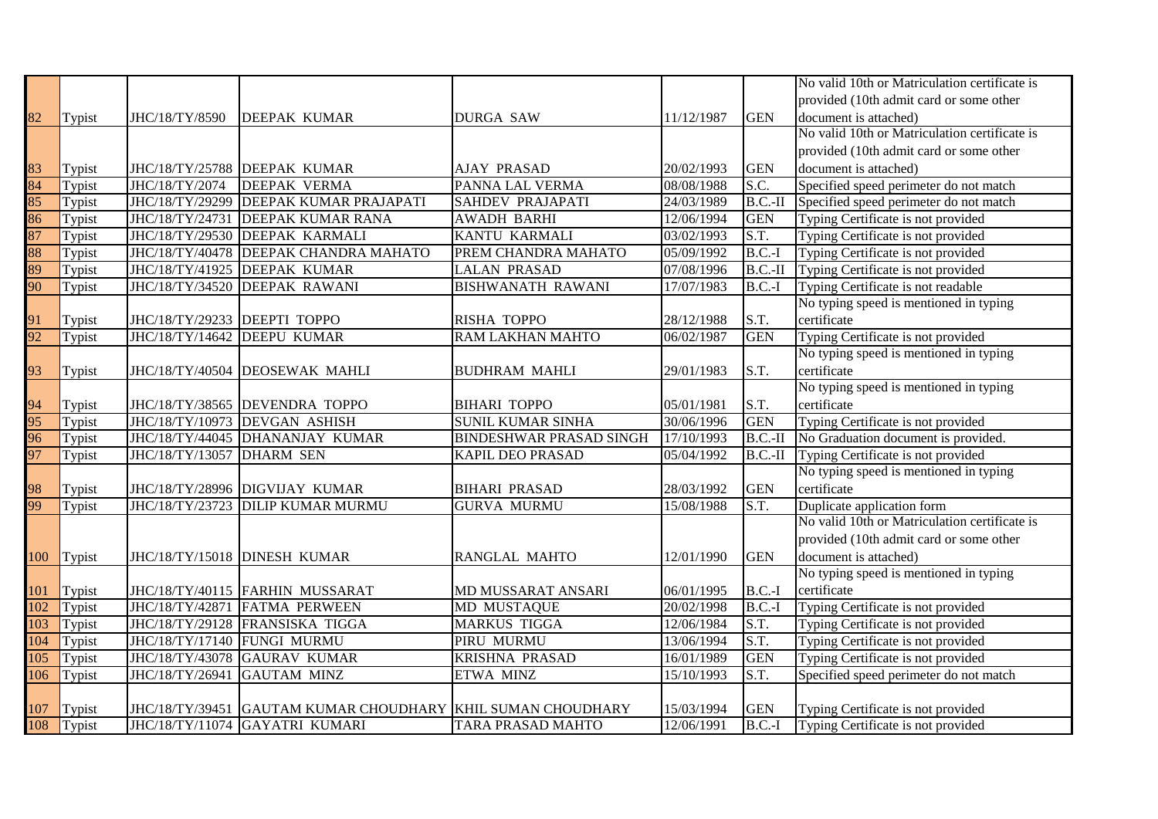|                  |        |                              |                                                             |                                |            |                          | No valid 10th or Matriculation certificate is |
|------------------|--------|------------------------------|-------------------------------------------------------------|--------------------------------|------------|--------------------------|-----------------------------------------------|
|                  |        |                              |                                                             |                                |            |                          | provided (10th admit card or some other       |
| 82               | Typist | JHC/18/TY/8590               | <b>DEEPAK KUMAR</b>                                         | <b>DURGA SAW</b>               | 11/12/1987 | <b>GEN</b>               | document is attached)                         |
|                  |        |                              |                                                             |                                |            |                          | No valid 10th or Matriculation certificate is |
|                  |        |                              |                                                             |                                |            |                          | provided (10th admit card or some other       |
| 83               | Typist |                              | JHC/18/TY/25788 DEEPAK KUMAR                                | <b>AJAY PRASAD</b>             | 20/02/1993 | <b>GEN</b>               | document is attached)                         |
| 84               | Typist | JHC/18/TY/2074               | <b>DEEPAK VERMA</b>                                         | PANNA LAL VERMA                | 08/08/1988 | S.C.                     | Specified speed perimeter do not match        |
| $\overline{85}$  | Typist |                              | JHC/18/TY/29299 DEEPAK KUMAR PRAJAPATI                      | <b>SAHDEV PRAJAPATI</b>        | 24/03/1989 | $B.C.-II$                | Specified speed perimeter do not match        |
| 86               | Typist | JHC/18/TY/24731              | <b>DEEPAK KUMAR RANA</b>                                    | <b>AWADH BARHI</b>             | 12/06/1994 | <b>GEN</b>               | Typing Certificate is not provided            |
| $\overline{87}$  | Typist |                              | JHC/18/TY/29530 DEEPAK KARMALI                              | <b>KANTU KARMALI</b>           | 03/02/1993 | $\overline{\text{S.T.}}$ | Typing Certificate is not provided            |
| 88               | Typist |                              | JHC/18/TY/40478 DEEPAK CHANDRA MAHATO                       | PREM CHANDRA MAHATO            | 05/09/1992 | $B.C.-I$                 | Typing Certificate is not provided            |
| 89               | Typist |                              | JHC/18/TY/41925 DEEPAK KUMAR                                | <b>LALAN PRASAD</b>            | 07/08/1996 | $B.C.-II$                | Typing Certificate is not provided            |
| 90               | Typist | JHC/18/TY/34520              | <b>DEEPAK RAWANI</b>                                        | <b>BISHWANATH RAWANI</b>       | 17/07/1983 | $B.C.-I$                 | Typing Certificate is not readable            |
|                  |        |                              |                                                             |                                |            |                          | No typing speed is mentioned in typing        |
| 91               | Typist | JHC/18/TY/29233 DEEPTI TOPPO |                                                             | <b>RISHA TOPPO</b>             | 28/12/1988 | S.T.                     | certificate                                   |
| 92               | Typist | JHC/18/TY/14642              | <b>DEEPU KUMAR</b>                                          | <b>RAM LAKHAN MAHTO</b>        | 06/02/1987 | <b>GEN</b>               | Typing Certificate is not provided            |
|                  |        |                              |                                                             |                                |            |                          | No typing speed is mentioned in typing        |
| 93               | Typist |                              | JHC/18/TY/40504 DEOSEWAK MAHLI                              | <b>BUDHRAM MAHLI</b>           | 29/01/1983 | S.T.                     | certificate                                   |
|                  |        |                              |                                                             |                                |            |                          | No typing speed is mentioned in typing        |
| 94               | Typist |                              | JHC/18/TY/38565 DEVENDRA TOPPO                              | <b>BIHARI TOPPO</b>            | 05/01/1981 | S.T.                     | certificate                                   |
| $\overline{95}$  | Typist | JHC/18/TY/10973              | <b>DEVGAN ASHISH</b>                                        | <b>SUNIL KUMAR SINHA</b>       | 30/06/1996 | <b>GEN</b>               | Typing Certificate is not provided            |
| 96               | Typist |                              | JHC/18/TY/44045 DHANANJAY KUMAR                             | <b>BINDESHWAR PRASAD SINGH</b> | 17/10/1993 | $B.C.-II$                | No Graduation document is provided.           |
| 97               | Typist | JHC/18/TY/13057              | <b>DHARM SEN</b>                                            | <b>KAPIL DEO PRASAD</b>        | 05/04/1992 | $B.C.-II$                | Typing Certificate is not provided            |
|                  |        |                              |                                                             |                                |            |                          | No typing speed is mentioned in typing        |
| 98               | Typist |                              | JHC/18/TY/28996 DIGVIJAY KUMAR                              | <b>BIHARI PRASAD</b>           | 28/03/1992 | <b>GEN</b>               | certificate                                   |
| 99               | Typist | JHC/18/TY/23723              | <b>DILIP KUMAR MURMU</b>                                    | <b>GURVA MURMU</b>             | 15/08/1988 | S.T.                     | Duplicate application form                    |
|                  |        |                              |                                                             |                                |            |                          | No valid 10th or Matriculation certificate is |
|                  |        |                              |                                                             |                                |            |                          | provided (10th admit card or some other       |
| 100              | Typist |                              | JHC/18/TY/15018 DINESH KUMAR                                | RANGLAL MAHTO                  | 12/01/1990 | <b>GEN</b>               | document is attached)                         |
|                  |        |                              |                                                             |                                |            |                          | No typing speed is mentioned in typing        |
| 101              | Typist |                              | JHC/18/TY/40115 FARHIN MUSSARAT                             | MD MUSSARAT ANSARI             | 06/01/1995 | $B.C.-I$                 | certificate                                   |
| 102              | Typist | JHC/18/TY/42871              | <b>FATMA PERWEEN</b>                                        | MD MUSTAQUE                    | 20/02/1998 | $B.C.-I$                 | Typing Certificate is not provided            |
| $\overline{103}$ | Typist |                              | JHC/18/TY/29128 FRANSISKA TIGGA                             | <b>MARKUS TIGGA</b>            | 12/06/1984 | S.T.                     | Typing Certificate is not provided            |
| 104              | Typist | JHC/18/TY/17140 FUNGI MURMU  |                                                             | PIRU MURMU                     | 13/06/1994 | S.T.                     | Typing Certificate is not provided            |
| $\overline{105}$ | Typist | JHC/18/TY/43078              | <b>GAURAV KUMAR</b>                                         | KRISHNA PRASAD                 | 16/01/1989 | <b>GEN</b>               | Typing Certificate is not provided            |
| 106              | Typist | JHC/18/TY/26941              | <b>GAUTAM MINZ</b>                                          | ETWA MINZ                      | 15/10/1993 | S.T.                     | Specified speed perimeter do not match        |
|                  |        |                              |                                                             |                                |            |                          |                                               |
| 107              | Typist |                              | JHC/18/TY/39451 GAUTAM KUMAR CHOUDHARY KHIL SUMAN CHOUDHARY |                                | 15/03/1994 | <b>GEN</b>               | Typing Certificate is not provided            |
| 108              | Typist |                              | JHC/18/TY/11074 GAYATRI KUMARI                              | TARA PRASAD MAHTO              | 12/06/1991 | $B.C.-I$                 | Typing Certificate is not provided            |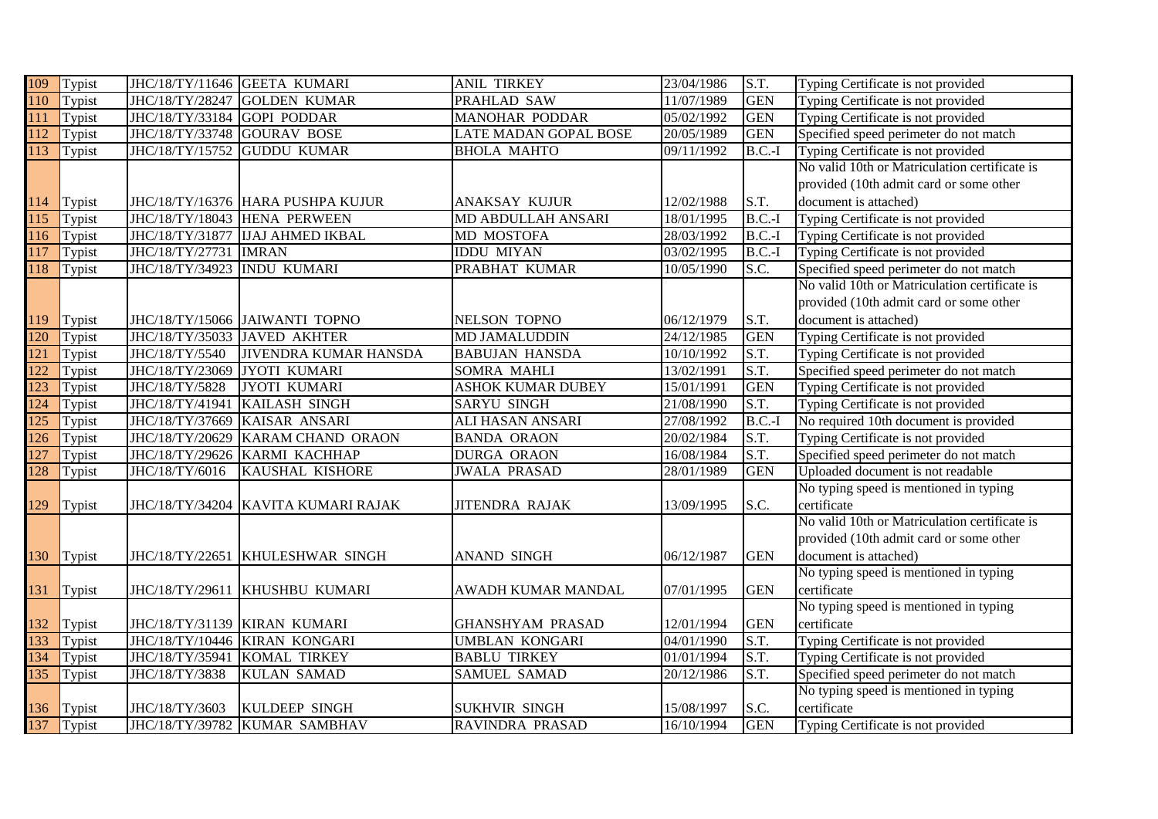| 109              | Typist     | JHC/18/TY/11646 GEETA KUMARI |                                     | <b>ANIL TIRKEY</b>       | 23/04/1986 | S.T.       | Typing Certificate is not provided            |
|------------------|------------|------------------------------|-------------------------------------|--------------------------|------------|------------|-----------------------------------------------|
| 110              | Typist     | JHC/18/TY/28247              | <b>GOLDEN KUMAR</b>                 | PRAHLAD SAW              | 11/07/1989 | <b>GEN</b> | Typing Certificate is not provided            |
| 111              | Typist     | JHC/18/TY/33184 GOPI PODDAR  |                                     | <b>MANOHAR PODDAR</b>    | 05/02/1992 | <b>GEN</b> | Typing Certificate is not provided            |
| 112              | Typist     | JHC/18/TY/33748 GOURAV BOSE  |                                     | LATE MADAN GOPAL BOSE    | 20/05/1989 | <b>GEN</b> | Specified speed perimeter do not match        |
| $\overline{113}$ | Typist     | JHC/18/TY/15752              | <b>GUDDU KUMAR</b>                  | <b>BHOLA MAHTO</b>       | 09/11/1992 | $B.C.-I$   | Typing Certificate is not provided            |
|                  |            |                              |                                     |                          |            |            | No valid 10th or Matriculation certificate is |
|                  |            |                              |                                     |                          |            |            | provided (10th admit card or some other       |
| 114              | Typist     |                              | JHC/18/TY/16376 HARA PUSHPA KUJUR   | ANAKSAY KUJUR            | 12/02/1988 | S.T.       | document is attached)                         |
| $\overline{115}$ | Typist     | JHC/18/TY/18043              | <b>HENA PERWEEN</b>                 | MD ABDULLAH ANSARI       | 18/01/1995 | $B.C.-I$   | Typing Certificate is not provided            |
| 116              | Typist     | JHC/18/TY/31877              | <b>IJAJ AHMED IKBAL</b>             | MD MOSTOFA               | 28/03/1992 | $B.C.-I$   | Typing Certificate is not provided            |
| 117              | Typist     | JHC/18/TY/27731              | <b>IMRAN</b>                        | <b>IDDU MIYAN</b>        | 03/02/1995 | $B.C.-I$   | Typing Certificate is not provided            |
| 118              | Typist     | JHC/18/TY/34923              | <b>INDU KUMARI</b>                  | PRABHAT KUMAR            | 10/05/1990 | S.C.       | Specified speed perimeter do not match        |
|                  |            |                              |                                     |                          |            |            | No valid 10th or Matriculation certificate is |
|                  |            |                              |                                     |                          |            |            | provided (10th admit card or some other       |
| 119              | Typist     |                              | JHC/18/TY/15066 JAIWANTI TOPNO      | <b>NELSON TOPNO</b>      | 06/12/1979 | S.T.       | document is attached)                         |
| 120              | Typist     | JHC/18/TY/35033 JAVED AKHTER |                                     | <b>MD JAMALUDDIN</b>     | 24/12/1985 | <b>GEN</b> | Typing Certificate is not provided            |
| 121              | Typist     | JHC/18/TY/5540               | <b>JIVENDRA KUMAR HANSDA</b>        | <b>BABUJAN HANSDA</b>    | 10/10/1992 | S.T.       | Typing Certificate is not provided            |
| $\overline{122}$ | Typist     | JHC/18/TY/23069              | JYOTI KUMARI                        | SOMRA MAHLI              | 13/02/1991 | S.T.       | Specified speed perimeter do not match        |
| 123              | Typist     | JHC/18/TY/5828               | <b>JYOTI KUMARI</b>                 | <b>ASHOK KUMAR DUBEY</b> | 15/01/1991 | <b>GEN</b> | Typing Certificate is not provided            |
| 124              | Typist     | JHC/18/TY/41941              | KAILASH SINGH                       | <b>SARYU SINGH</b>       | 21/08/1990 | S.T.       | Typing Certificate is not provided            |
| 125              | Typist     | JHC/18/TY/37669              | KAISAR ANSARI                       | ALI HASAN ANSARI         | 27/08/1992 | $B.C.-I$   | No required 10th document is provided         |
| 126              | Typist     | JHC/18/TY/20629              | <b>KARAM CHAND ORAON</b>            | <b>BANDA ORAON</b>       | 20/02/1984 | S.T.       | Typing Certificate is not provided            |
| $\overline{127}$ | Typist     | JHC/18/TY/29626              | KARMI KACHHAP                       | <b>DURGA ORAON</b>       | 16/08/1984 | S.T.       | Specified speed perimeter do not match        |
| 128              | Typist     | JHC/18/TY/6016               | KAUSHAL KISHORE                     | <b>JWALA PRASAD</b>      | 28/01/1989 | <b>GEN</b> | Uploaded document is not readable             |
|                  |            |                              |                                     |                          |            |            | No typing speed is mentioned in typing        |
| 129              | Typist     |                              | JHC/18/TY/34204 KAVITA KUMARI RAJAK | <b>JITENDRA RAJAK</b>    | 13/09/1995 | S.C.       | certificate                                   |
|                  |            |                              |                                     |                          |            |            | No valid 10th or Matriculation certificate is |
|                  |            |                              |                                     |                          |            |            | provided (10th admit card or some other       |
| 130              | Typist     |                              | JHC/18/TY/22651 KHULESHWAR SINGH    | <b>ANAND SINGH</b>       | 06/12/1987 | <b>GEN</b> | document is attached)                         |
|                  |            |                              |                                     |                          |            |            | No typing speed is mentioned in typing        |
| 131              | Typist     |                              | JHC/18/TY/29611 KHUSHBU KUMARI      | AWADH KUMAR MANDAL       | 07/01/1995 | <b>GEN</b> | certificate                                   |
|                  |            |                              |                                     |                          |            |            | No typing speed is mentioned in typing        |
| 132              | Typist     | JHC/18/TY/31139 KIRAN KUMARI |                                     | <b>GHANSHYAM PRASAD</b>  | 12/01/1994 | <b>GEN</b> | certificate                                   |
| 133              | Typist     |                              | JHC/18/TY/10446 KIRAN KONGARI       | UMBLAN KONGARI           | 04/01/1990 | S.T.       | Typing Certificate is not provided            |
| 134              | Typist     | JHC/18/TY/35941              | KOMAL TIRKEY                        | <b>BABLU TIRKEY</b>      | 01/01/1994 | S.T.       | Typing Certificate is not provided            |
| 135              | Typist     | JHC/18/TY/3838               | <b>KULAN SAMAD</b>                  | SAMUEL SAMAD             | 20/12/1986 | S.T.       | Specified speed perimeter do not match        |
|                  |            |                              |                                     |                          |            |            | No typing speed is mentioned in typing        |
| 136              | Typist     | JHC/18/TY/3603               | <b>KULDEEP SINGH</b>                | <b>SUKHVIR SINGH</b>     | 15/08/1997 | S.C.       | certificate                                   |
|                  | 137 Typist |                              | JHC/18/TY/39782 KUMAR SAMBHAV       | RAVINDRA PRASAD          | 16/10/1994 | <b>GEN</b> | Typing Certificate is not provided            |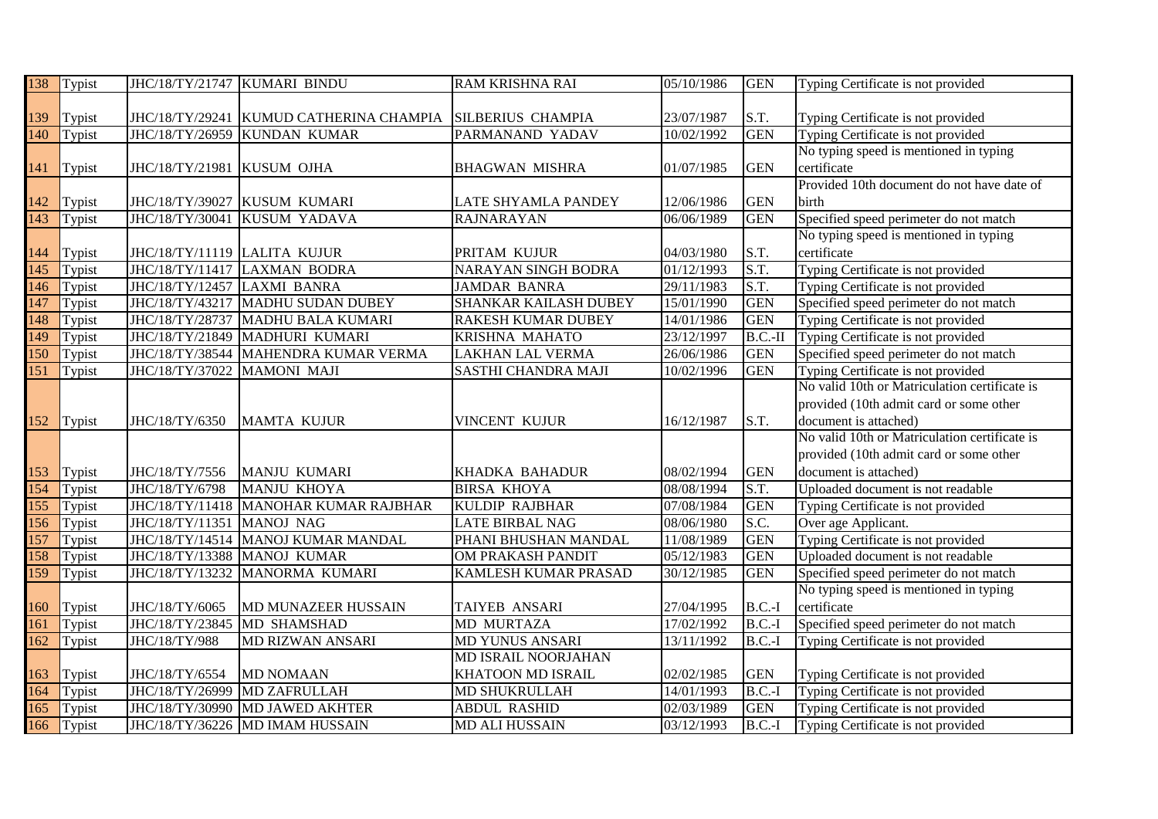| 138              | Typist | JHC/18/TY/21747 KUMARI BINDU |                                         | <b>RAM KRISHNA RAI</b>   | 05/10/1986 | <b>GEN</b> | Typing Certificate is not provided            |
|------------------|--------|------------------------------|-----------------------------------------|--------------------------|------------|------------|-----------------------------------------------|
|                  |        |                              |                                         |                          |            |            |                                               |
| 139              | Typist |                              | JHC/18/TY/29241 KUMUD CATHERINA CHAMPIA | <b>SILBERIUS CHAMPIA</b> | 23/07/1987 | S.T.       | Typing Certificate is not provided            |
| 140              | Typist | JHC/18/TY/26959              | <b>KUNDAN KUMAR</b>                     | PARMANAND YADAV          | 10/02/1992 | <b>GEN</b> | Typing Certificate is not provided            |
|                  |        |                              |                                         |                          |            |            | No typing speed is mentioned in typing        |
| 141              | Typist | JHC/18/TY/21981 KUSUM OJHA   |                                         | <b>BHAGWAN MISHRA</b>    | 01/07/1985 | <b>GEN</b> | certificate                                   |
|                  |        |                              |                                         |                          |            |            | Provided 10th document do not have date of    |
| 142              | Typist | JHC/18/TY/39027              | <b>KUSUM KUMARI</b>                     | LATE SHYAMLA PANDEY      | 12/06/1986 | <b>GEN</b> | birth                                         |
| 143              | Typist | JHC/18/TY/30041              | KUSUM YADAVA                            | <b>RAJNARAYAN</b>        | 06/06/1989 | <b>GEN</b> | Specified speed perimeter do not match        |
|                  |        |                              |                                         |                          |            |            | No typing speed is mentioned in typing        |
| 144              | Typist | JHC/18/TY/11119 LALITA KUJUR |                                         | PRITAM KUJUR             | 04/03/1980 | S.T.       | certificate                                   |
| 145              | Typist | JHC/18/TY/11417              | <b>LAXMAN BODRA</b>                     | NARAYAN SINGH BODRA      | 01/12/1993 | S.T.       | Typing Certificate is not provided            |
| $\overline{146}$ | Typist | JHC/18/TY/12457              | <b>LAXMI BANRA</b>                      | <b>JAMDAR BANRA</b>      | 29/11/1983 | S.T.       | Typing Certificate is not provided            |
| 147              | Typist | JHC/18/TY/43217              | MADHU SUDAN DUBEY                       | SHANKAR KAILASH DUBEY    | 15/01/1990 | <b>GEN</b> | Specified speed perimeter do not match        |
| 148              | Typist | JHC/18/TY/28737              | MADHU BALA KUMARI                       | RAKESH KUMAR DUBEY       | 14/01/1986 | <b>GEN</b> | Typing Certificate is not provided            |
| 149              | Typist | JHC/18/TY/21849              | MADHURI KUMARI                          | KRISHNA MAHATO           | 23/12/1997 | $B.C.-II$  | Typing Certificate is not provided            |
| 150              | Typist | JHC/18/TY/38544              | MAHENDRA KUMAR VERMA                    | <b>LAKHAN LAL VERMA</b>  | 26/06/1986 | <b>GEN</b> | Specified speed perimeter do not match        |
| $\overline{151}$ | Typist | JHC/18/TY/37022              | MAMONI MAJI                             | SASTHI CHANDRA MAJI      | 10/02/1996 | <b>GEN</b> | Typing Certificate is not provided            |
|                  |        |                              |                                         |                          |            |            | No valid 10th or Matriculation certificate is |
|                  |        |                              |                                         |                          |            |            | provided (10th admit card or some other       |
| 152              | Typist | JHC/18/TY/6350               | MAMTA KUJUR                             | VINCENT KUJUR            | 16/12/1987 | S.T.       | document is attached)                         |
|                  |        |                              |                                         |                          |            |            | No valid 10th or Matriculation certificate is |
|                  |        |                              |                                         |                          |            |            | provided (10th admit card or some other       |
| 153              | Typist | JHC/18/TY/7556               | MANJU KUMARI                            | KHADKA BAHADUR           | 08/02/1994 | <b>GEN</b> | document is attached)                         |
| 154              | Typist | JHC/18/TY/6798               | MANJU KHOYA                             | <b>BIRSA KHOYA</b>       | 08/08/1994 | S.T.       | Uploaded document is not readable             |
| 155              | Typist |                              | JHC/18/TY/11418 MANOHAR KUMAR RAJBHAR   | <b>KULDIP RAJBHAR</b>    | 07/08/1984 | <b>GEN</b> | Typing Certificate is not provided            |
| 156              | Typist | JHC/18/TY/11351 MANOJ NAG    |                                         | <b>LATE BIRBAL NAG</b>   | 08/06/1980 | S.C.       | Over age Applicant.                           |
| 157              | Typist |                              | JHC/18/TY/14514   MANOJ KUMAR MANDAL    | PHANI BHUSHAN MANDAL     | 11/08/1989 | <b>GEN</b> | Typing Certificate is not provided            |
| 158              | Typist | JHC/18/TY/13388              | <b>MANOJ KUMAR</b>                      | OM PRAKASH PANDIT        | 05/12/1983 | <b>GEN</b> | Uploaded document is not readable             |
| 159              | Typist | JHC/18/TY/13232              | MANORMA KUMARI                          | KAMLESH KUMAR PRASAD     | 30/12/1985 | <b>GEN</b> | Specified speed perimeter do not match        |
|                  |        |                              |                                         |                          |            |            | No typing speed is mentioned in typing        |
| 160              | Typist | JHC/18/TY/6065               | MD MUNAZEER HUSSAIN                     | <b>TAIYEB ANSARI</b>     | 27/04/1995 | $B.C.-I$   | certificate                                   |
| 161              | Typist | JHC/18/TY/23845              | MD SHAMSHAD                             | <b>MD MURTAZA</b>        | 17/02/1992 | $B.C.-I$   | Specified speed perimeter do not match        |
| 162              | Typist | JHC/18/TY/988                | MD RIZWAN ANSARI                        | MD YUNUS ANSARI          | 13/11/1992 | $B.C.-I$   | Typing Certificate is not provided            |
|                  |        |                              |                                         | MD ISRAIL NOORJAHAN      |            |            |                                               |
| 163              | Typist | JHC/18/TY/6554               | <b>MD NOMAAN</b>                        | KHATOON MD ISRAIL        | 02/02/1985 | <b>GEN</b> | Typing Certificate is not provided            |
| 164              | Typist | JHC/18/TY/26999              | MD ZAFRULLAH                            | MD SHUKRULLAH            | 14/01/1993 | $B.C.-I$   | Typing Certificate is not provided            |
| 165              | Typist | JHC/18/TY/30990              | <b>MD JAWED AKHTER</b>                  | <b>ABDUL RASHID</b>      | 02/03/1989 | <b>GEN</b> | Typing Certificate is not provided            |
| 166              | Typist |                              | JHC/18/TY/36226 MD IMAM HUSSAIN         | <b>MD ALI HUSSAIN</b>    | 03/12/1993 | $B.C.-I$   | Typing Certificate is not provided            |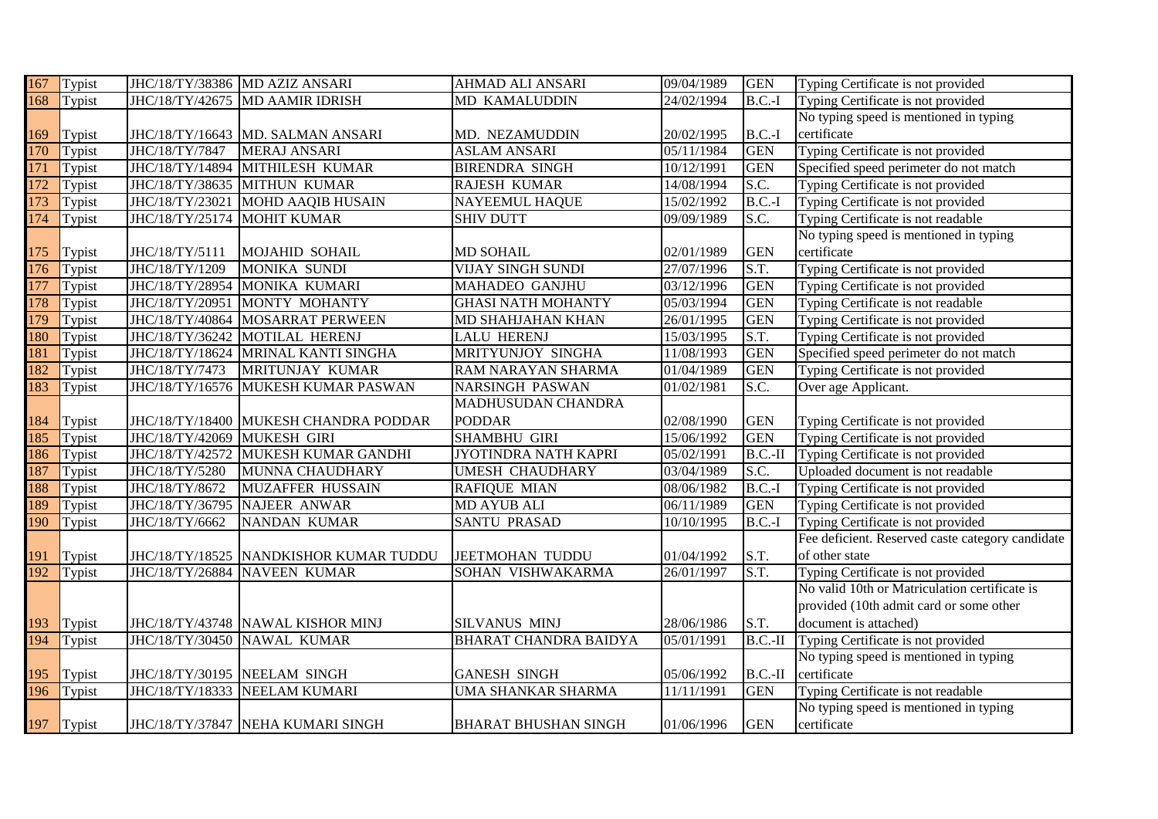| 167              | Typist     |                              | JHC/18/TY/38386 MD AZIZ ANSARI        | AHMAD ALI ANSARI             | 09/04/1989 | <b>GEN</b> | Typing Certificate is not provided               |
|------------------|------------|------------------------------|---------------------------------------|------------------------------|------------|------------|--------------------------------------------------|
| 168              | Typist     |                              | JHC/18/TY/42675 MD AAMIR IDRISH       | MD KAMALUDDIN                | 24/02/1994 | $B.C.-I$   | Typing Certificate is not provided               |
|                  |            |                              |                                       |                              |            |            | No typing speed is mentioned in typing           |
| 169              | Typist     |                              | JHC/18/TY/16643 MD. SALMAN ANSARI     | MD. NEZAMUDDIN               | 20/02/1995 | $B.C.-I$   | certificate                                      |
| 170              | Typist     | JHC/18/TY/7847               | MERAJ ANSARI                          | <b>ASLAM ANSARI</b>          | 05/11/1984 | <b>GEN</b> | Typing Certificate is not provided               |
| 171              | Typist     |                              | JHC/18/TY/14894 MITHILESH KUMAR       | <b>BIRENDRA SINGH</b>        | 10/12/1991 | <b>GEN</b> | Specified speed perimeter do not match           |
| $\overline{172}$ | Typist     | JHC/18/TY/38635              | <b>MITHUN KUMAR</b>                   | RAJESH KUMAR                 | 14/08/1994 | S.C.       | Typing Certificate is not provided               |
| 173              | Typist     | JHC/18/TY/23021              | <b>MOHD AAQIB HUSAIN</b>              | <b>NAYEEMUL HAQUE</b>        | 15/02/1992 | $B.C.-I$   | Typing Certificate is not provided               |
| 174              | Typist     | JHC/18/TY/25174              | <b>MOHIT KUMAR</b>                    | <b>SHIV DUTT</b>             | 09/09/1989 | S.C.       | Typing Certificate is not readable               |
|                  |            |                              |                                       |                              |            |            | No typing speed is mentioned in typing           |
| 175              | Typist     | JHC/18/TY/5111               | <b>MOJAHID SOHAIL</b>                 | <b>MD SOHAIL</b>             | 02/01/1989 | <b>GEN</b> | certificate                                      |
| 176              | Typist     | JHC/18/TY/1209               | <b>MONIKA SUNDI</b>                   | <b>VIJAY SINGH SUNDI</b>     | 27/07/1996 | S.T.       | Typing Certificate is not provided               |
| 177              | Typist     | JHC/18/TY/28954              | MONIKA KUMARI                         | MAHADEO GANJHU               | 03/12/1996 | <b>GEN</b> | Typing Certificate is not provided               |
| 178              | Typist     | JHC/18/TY/20951              | MONTY MOHANTY                         | <b>GHASI NATH MOHANTY</b>    | 05/03/1994 | <b>GEN</b> | Typing Certificate is not readable               |
| 179              | Typist     | JHC/18/TY/40864              | <b>MOSARRAT PERWEEN</b>               | <b>MD SHAHJAHAN KHAN</b>     | 26/01/1995 | <b>GEN</b> | Typing Certificate is not provided               |
| 180              | Typist     | JHC/18/TY/36242              | MOTILAL HERENJ                        | <b>LALU HERENJ</b>           | 15/03/1995 | S.T.       | Typing Certificate is not provided               |
| 181              | Typist     | JHC/18/TY/18624              | MRINAL KANTI SINGHA                   | MRITYUNJOY SINGHA            | 11/08/1993 | <b>GEN</b> | Specified speed perimeter do not match           |
| 182              | Typist     | JHC/18/TY/7473               | MRITUNJAY KUMAR                       | RAM NARAYAN SHARMA           | 01/04/1989 | <b>GEN</b> | Typing Certificate is not provided               |
| 183              | Typist     | JHC/18/TY/16576              | MUKESH KUMAR PASWAN                   | <b>NARSINGH PASWAN</b>       | 01/02/1981 | S.C.       | Over age Applicant.                              |
|                  |            |                              |                                       | MADHUSUDAN CHANDRA           |            |            |                                                  |
| 184              | Typist     |                              | JHC/18/TY/18400 MUKESH CHANDRA PODDAR | <b>PODDAR</b>                | 02/08/1990 | <b>GEN</b> | Typing Certificate is not provided               |
| 185              | Typist     | JHC/18/TY/42069              | MUKESH GIRI                           | <b>SHAMBHU GIRI</b>          | 15/06/1992 | <b>GEN</b> | Typing Certificate is not provided               |
| 186              | Typist     | JHC/18/TY/42572              | MUKESH KUMAR GANDHI                   | JYOTINDRA NATH KAPRI         | 05/02/1991 | $B.C.-II$  | Typing Certificate is not provided               |
| 187              | Typist     | JHC/18/TY/5280               | MUNNA CHAUDHARY                       | <b>UMESH CHAUDHARY</b>       | 03/04/1989 | S.C.       | Uploaded document is not readable                |
| 188              | Typist     | JHC/18/TY/8672               | MUZAFFER HUSSAIN                      | <b>RAFIQUE MIAN</b>          | 08/06/1982 | $B.C.-I$   | Typing Certificate is not provided               |
| 189              | Typist     | JHC/18/TY/36795              | NAJEER ANWAR                          | <b>MD AYUB ALI</b>           | 06/11/1989 | <b>GEN</b> | Typing Certificate is not provided               |
| 190              | Typist     | JHC/18/TY/6662               | NANDAN KUMAR                          | <b>SANTU PRASAD</b>          | 10/10/1995 | $B.C.-I$   | Typing Certificate is not provided               |
|                  |            |                              |                                       |                              |            |            | Fee deficient. Reserved caste category candidate |
| 191              | Typist     | JHC/18/TY/18525              | NANDKISHOR KUMAR TUDDU                | <b>JEETMOHAN TUDDU</b>       | 01/04/1992 | S.T.       | of other state                                   |
| $\overline{192}$ | Typist     | JHC/18/TY/26884              | <b>NAVEEN KUMAR</b>                   | SOHAN VISHWAKARMA            | 26/01/1997 | S.T.       | Typing Certificate is not provided               |
|                  |            |                              |                                       |                              |            |            | No valid 10th or Matriculation certificate is    |
|                  |            |                              |                                       |                              |            |            | provided (10th admit card or some other          |
| 193              | Typist     |                              | JHC/18/TY/43748 NAWAL KISHOR MINJ     | SILVANUS MINJ                | 28/06/1986 | S.T.       | document is attached)                            |
| 194              | Typist     |                              | JHC/18/TY/30450 NAWAL KUMAR           | <b>BHARAT CHANDRA BAIDYA</b> | 05/01/1991 | $B.C.-II$  | Typing Certificate is not provided               |
|                  |            |                              |                                       |                              |            |            | No typing speed is mentioned in typing           |
| 195              | Typist     | JHC/18/TY/30195 NEELAM SINGH |                                       | <b>GANESH SINGH</b>          | 05/06/1992 | $B.C.-II$  | certificate                                      |
| 196              | Typist     | JHC/18/TY/18333              | NEELAM KUMARI                         | UMA SHANKAR SHARMA           | 11/11/1991 | <b>GEN</b> | Typing Certificate is not readable               |
|                  |            |                              |                                       |                              |            |            | No typing speed is mentioned in typing           |
|                  | 197 Typist |                              | JHC/18/TY/37847 NEHA KUMARI SINGH     | <b>BHARAT BHUSHAN SINGH</b>  | 01/06/1996 | <b>GEN</b> | certificate                                      |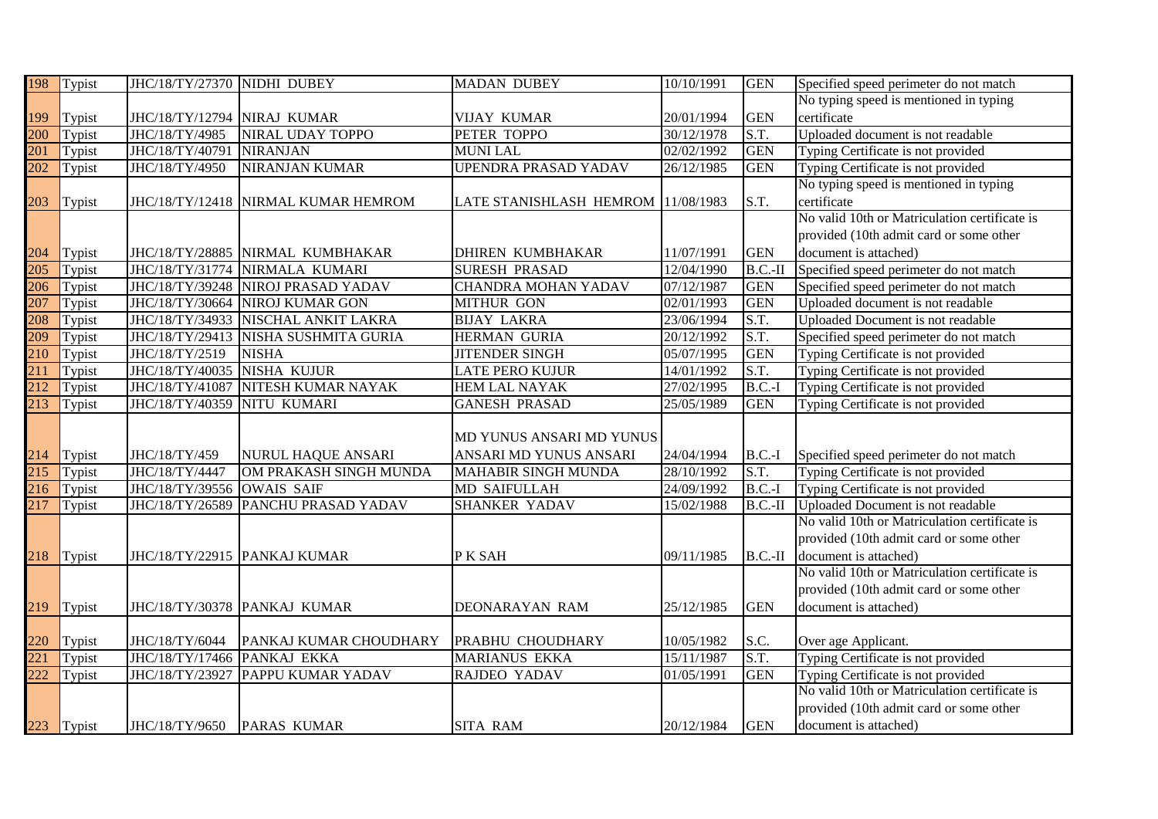| 198              | Typist     | JHC/18/TY/27370 NIDHI DUBEY |                                     | <b>MADAN DUBEY</b>                 | 10/10/1991 | <b>GEN</b> | Specified speed perimeter do not match        |
|------------------|------------|-----------------------------|-------------------------------------|------------------------------------|------------|------------|-----------------------------------------------|
|                  |            |                             |                                     |                                    |            |            | No typing speed is mentioned in typing        |
| 199              | Typist     | JHC/18/TY/12794 NIRAJ KUMAR |                                     | <b>VIJAY KUMAR</b>                 | 20/01/1994 | <b>GEN</b> | certificate                                   |
| 200              | Typist     | JHC/18/TY/4985              | NIRAL UDAY TOPPO                    | PETER TOPPO                        | 30/12/1978 | S.T.       | Uploaded document is not readable             |
| 201              | Typist     | JHC/18/TY/40791             | <b>NIRANJAN</b>                     | <b>MUNILAL</b>                     | 02/02/1992 | <b>GEN</b> | Typing Certificate is not provided            |
| $\overline{202}$ | Typist     | JHC/18/TY/4950              | <b>NIRANJAN KUMAR</b>               | <b>UPENDRA PRASAD YADAV</b>        | 26/12/1985 | <b>GEN</b> | Typing Certificate is not provided            |
|                  |            |                             |                                     |                                    |            |            | No typing speed is mentioned in typing        |
| 203              | Typist     |                             | JHC/18/TY/12418 NIRMAL KUMAR HEMROM | LATE STANISHLASH HEMROM 11/08/1983 |            | S.T.       | certificate                                   |
|                  |            |                             |                                     |                                    |            |            | No valid 10th or Matriculation certificate is |
|                  |            |                             |                                     |                                    |            |            | provided (10th admit card or some other       |
| 204              | Typist     |                             | JHC/18/TY/28885 NIRMAL KUMBHAKAR    | <b>DHIREN KUMBHAKAR</b>            | 11/07/1991 | <b>GEN</b> | document is attached)                         |
| 205              | Typist     | JHC/18/TY/31774             | NIRMALA KUMARI                      | <b>SURESH PRASAD</b>               | 12/04/1990 | $B.C.-II$  | Specified speed perimeter do not match        |
| 206              | Typist     |                             | JHC/18/TY/39248 NIROJ PRASAD YADAV  | <b>CHANDRA MOHAN YADAV</b>         | 07/12/1987 | <b>GEN</b> | Specified speed perimeter do not match        |
| 207              | Typist     | JHC/18/TY/30664             | <b>NIROJ KUMAR GON</b>              | <b>MITHUR GON</b>                  | 02/01/1993 | <b>GEN</b> | Uploaded document is not readable             |
| 208              | Typist     | JHC/18/TY/34933             | NISCHAL ANKIT LAKRA                 | <b>BIJAY LAKRA</b>                 | 23/06/1994 | S.T.       | Uploaded Document is not readable             |
| 209              | Typist     | JHC/18/TY/29413             | NISHA SUSHMITA GURIA                | HERMAN GURIA                       | 20/12/1992 | S.T.       | Specified speed perimeter do not match        |
| 210              | Typist     | JHC/18/TY/2519              | <b>NISHA</b>                        | <b>JITENDER SINGH</b>              | 05/07/1995 | <b>GEN</b> | Typing Certificate is not provided            |
| 211              | Typist     | JHC/18/TY/40035             | <b>NISHA KUJUR</b>                  | LATE PERO KUJUR                    | 14/01/1992 | S.T.       | Typing Certificate is not provided            |
| 212              | Typist     | JHC/18/TY/41087             | NITESH KUMAR NAYAK                  | <b>HEM LAL NAYAK</b>               | 27/02/1995 | $B.C.-I$   | Typing Certificate is not provided            |
| 213              | Typist     | JHC/18/TY/40359             | NITU KUMARI                         | <b>GANESH PRASAD</b>               | 25/05/1989 | <b>GEN</b> | Typing Certificate is not provided            |
|                  |            |                             |                                     |                                    |            |            |                                               |
|                  |            |                             |                                     | MD YUNUS ANSARI MD YUNUS           |            |            |                                               |
| 214              | Typist     | JHC/18/TY/459               | NURUL HAQUE ANSARI                  | ANSARI MD YUNUS ANSARI             | 24/04/1994 | $B.C.-I$   | Specified speed perimeter do not match        |
| 215              | Typist     | JHC/18/TY/4447              | OM PRAKASH SINGH MUNDA              | MAHABIR SINGH MUNDA                | 28/10/1992 | S.T.       | Typing Certificate is not provided            |
| $\frac{216}{ }$  | Typist     | JHC/18/TY/39556             | OWAIS SAIF                          | MD SAIFULLAH                       | 24/09/1992 | $B.C.-I$   | Typing Certificate is not provided            |
| $\overline{217}$ | Typist     | JHC/18/TY/26589             | PANCHU PRASAD YADAV                 | <b>SHANKER YADAV</b>               | 15/02/1988 | $B.C.-II$  | Uploaded Document is not readable             |
|                  |            |                             |                                     |                                    |            |            | No valid 10th or Matriculation certificate is |
|                  |            |                             |                                     |                                    |            |            | provided (10th admit card or some other       |
| 218              | Typist     |                             | JHC/18/TY/22915 PANKAJ KUMAR        | P K SAH                            | 09/11/1985 | $B.C.-II$  | document is attached)                         |
|                  |            |                             |                                     |                                    |            |            | No valid 10th or Matriculation certificate is |
|                  |            |                             |                                     |                                    |            |            | provided (10th admit card or some other       |
| 219              | Typist     |                             | JHC/18/TY/30378 PANKAJ KUMAR        | DEONARAYAN RAM                     | 25/12/1985 | <b>GEN</b> | document is attached)                         |
|                  |            |                             |                                     |                                    |            |            |                                               |
| 220              | Typist     | JHC/18/TY/6044              | PANKAJ KUMAR CHOUDHARY              | PRABHU CHOUDHARY                   | 10/05/1982 | S.C.       | Over age Applicant.                           |
| 221              | Typist     | JHC/18/TY/17466             | PANKAJ EKKA                         | <b>MARIANUS EKKA</b>               | 15/11/1987 | S.T.       | Typing Certificate is not provided            |
| 222              | Typist     | JHC/18/TY/23927             | PAPPU KUMAR YADAV                   | RAJDEO YADAV                       | 01/05/1991 | <b>GEN</b> | Typing Certificate is not provided            |
|                  |            |                             |                                     |                                    |            |            | No valid 10th or Matriculation certificate is |
|                  |            |                             |                                     |                                    |            |            | provided (10th admit card or some other       |
|                  | 223 Typist | JHC/18/TY/9650              | <b>PARAS KUMAR</b>                  | <b>SITA RAM</b>                    | 20/12/1984 | <b>GEN</b> | document is attached)                         |
|                  |            |                             |                                     |                                    |            |            |                                               |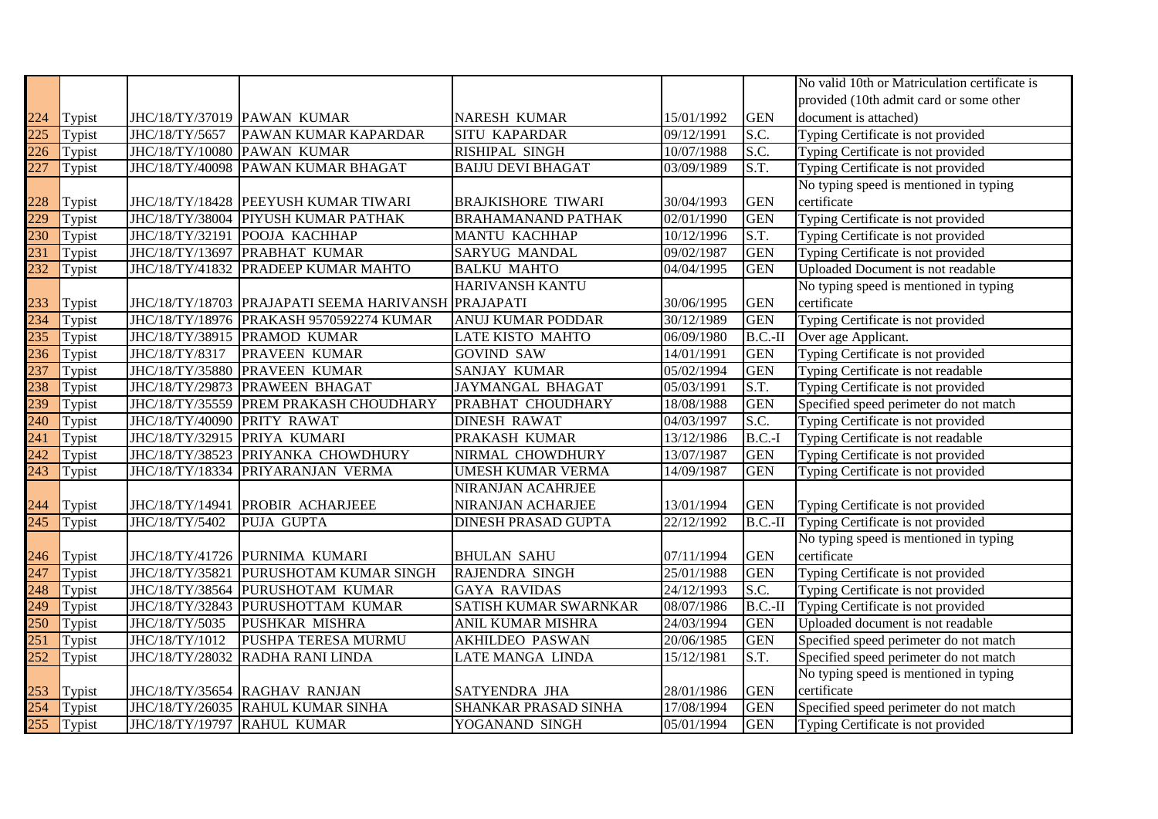|                  |        |                             |                                                         |                           |            |            | No valid 10th or Matriculation certificate is |
|------------------|--------|-----------------------------|---------------------------------------------------------|---------------------------|------------|------------|-----------------------------------------------|
|                  |        |                             |                                                         |                           |            |            | provided (10th admit card or some other       |
| 224              | Typist |                             | JHC/18/TY/37019 PAWAN KUMAR                             | NARESH KUMAR              | 15/01/1992 | <b>GEN</b> | document is attached)                         |
| $\overline{225}$ | Typist | JHC/18/TY/5657              | PAWAN KUMAR KAPARDAR                                    | <b>SITU KAPARDAR</b>      | 09/12/1991 | S.C.       | Typing Certificate is not provided            |
| 226              | Typist | JHC/18/TY/10080             | <b>PAWAN KUMAR</b>                                      | RISHIPAL SINGH            | 10/07/1988 | S.C.       | Typing Certificate is not provided            |
| $\overline{227}$ | Typist | JHC/18/TY/40098             | PAWAN KUMAR BHAGAT                                      | <b>BAIJU DEVI BHAGAT</b>  | 03/09/1989 | S.T.       | Typing Certificate is not provided            |
|                  |        |                             |                                                         |                           |            |            | No typing speed is mentioned in typing        |
| 228              | Typist |                             | JHC/18/TY/18428 PEEYUSH KUMAR TIWARI                    | <b>BRAJKISHORE TIWARI</b> | 30/04/1993 | <b>GEN</b> | certificate                                   |
| 229              | Typist | JHC/18/TY/38004             | PIYUSH KUMAR PATHAK                                     | <b>BRAHAMANAND PATHAK</b> | 02/01/1990 | <b>GEN</b> | Typing Certificate is not provided            |
| 230              | Typist | JHC/18/TY/32191             | POOJA KACHHAP                                           | <b>MANTU KACHHAP</b>      | 10/12/1996 | S.T.       | Typing Certificate is not provided            |
| 231              | Typist | JHC/18/TY/13697             | PRABHAT KUMAR                                           | SARYUG MANDAL             | 09/02/1987 | <b>GEN</b> | Typing Certificate is not provided            |
| 232              | Typist | JHC/18/TY/41832             | <b>PRADEEP KUMAR MAHTO</b>                              | <b>BALKU MAHTO</b>        | 04/04/1995 | <b>GEN</b> | Uploaded Document is not readable             |
|                  |        |                             |                                                         | HARIVANSH KANTU           |            |            | No typing speed is mentioned in typing        |
| 233              | Typist |                             | JHC/18/TY/18703   PRAJAPATI SEEMA HARIVANSH   PRAJAPATI |                           | 30/06/1995 | <b>GEN</b> | certificate                                   |
| 234              | Typist | JHC/18/TY/18976             | PRAKASH 9570592274 KUMAR                                | ANUJ KUMAR PODDAR         | 30/12/1989 | <b>GEN</b> | Typing Certificate is not provided            |
| 235              | Typist | JHC/18/TY/38915             | <b>PRAMOD KUMAR</b>                                     | LATE KISTO MAHTO          | 06/09/1980 | $B.C.-II$  | Over age Applicant.                           |
| 236              | Typist | JHC/18/TY/8317              | <b>PRAVEEN KUMAR</b>                                    | <b>GOVIND SAW</b>         | 14/01/1991 | <b>GEN</b> | Typing Certificate is not provided            |
| 237              | Typist | JHC/18/TY/35880             | <b>PRAVEEN KUMAR</b>                                    | SANJAY KUMAR              | 05/02/1994 | <b>GEN</b> | Typing Certificate is not readable            |
| 238              | Typist | JHC/18/TY/29873             | <b>PRAWEEN BHAGAT</b>                                   | JAYMANGAL BHAGAT          | 05/03/1991 | S.T.       | Typing Certificate is not provided            |
| 239              | Typist | JHC/18/TY/35559             | PREM PRAKASH CHOUDHARY                                  | PRABHAT CHOUDHARY         | 18/08/1988 | <b>GEN</b> | Specified speed perimeter do not match        |
| 240              | Typist | JHC/18/TY/40090             | PRITY RAWAT                                             | <b>DINESH RAWAT</b>       | 04/03/1997 | S.C.       | Typing Certificate is not provided            |
| $\overline{241}$ | Typist | JHC/18/TY/32915             | PRIYA KUMARI                                            | PRAKASH KUMAR             | 13/12/1986 | $B.C.-I$   | Typing Certificate is not readable            |
| $\overline{242}$ | Typist | JHC/18/TY/38523             | PRIYANKA CHOWDHURY                                      | NIRMAL CHOWDHURY          | 13/07/1987 | <b>GEN</b> | Typing Certificate is not provided            |
| $\overline{243}$ | Typist | JHC/18/TY/18334             | PRIYARANJAN VERMA                                       | <b>UMESH KUMAR VERMA</b>  | 14/09/1987 | <b>GEN</b> | Typing Certificate is not provided            |
|                  |        |                             |                                                         | NIRANJAN ACAHRJEE         |            |            |                                               |
| 244              | Typist |                             | JHC/18/TY/14941 PROBIR ACHARJEEE                        | NIRANJAN ACHARJEE         | 13/01/1994 | <b>GEN</b> | Typing Certificate is not provided            |
| 245              | Typist | JHC/18/TY/5402              | PUJA GUPTA                                              | DINESH PRASAD GUPTA       | 22/12/1992 | $B.C.-II$  | Typing Certificate is not provided            |
|                  |        |                             |                                                         |                           |            |            | No typing speed is mentioned in typing        |
| 246              | Typist |                             | JHC/18/TY/41726 PURNIMA KUMARI                          | <b>BHULAN SAHU</b>        | 07/11/1994 | <b>GEN</b> | certificate                                   |
| 247              | Typist | JHC/18/TY/35821             | PURUSHOTAM KUMAR SINGH                                  | RAJENDRA SINGH            | 25/01/1988 | <b>GEN</b> | Typing Certificate is not provided            |
| 248              | Typist | JHC/18/TY/38564             | PURUSHOTAM KUMAR                                        | <b>GAYA RAVIDAS</b>       | 24/12/1993 | S.C.       | Typing Certificate is not provided            |
| 249              | Typist | JHC/18/TY/32843             | PURUSHOTTAM KUMAR                                       | SATISH KUMAR SWARNKAR     | 08/07/1986 | $B.C.-II$  | Typing Certificate is not provided            |
| $\overline{250}$ | Typist | JHC/18/TY/5035              | PUSHKAR MISHRA                                          | ANIL KUMAR MISHRA         | 24/03/1994 | <b>GEN</b> | Uploaded document is not readable             |
| 251              | Typist | JHC/18/TY/1012              | PUSHPA TERESA MURMU                                     | <b>AKHILDEO PASWAN</b>    | 20/06/1985 | <b>GEN</b> | Specified speed perimeter do not match        |
| $\overline{252}$ | Typist | JHC/18/TY/28032             | RADHA RANI LINDA                                        | LATE MANGA LINDA          | 15/12/1981 | S.T.       | Specified speed perimeter do not match        |
|                  |        |                             |                                                         |                           |            |            | No typing speed is mentioned in typing        |
| 253              | Typist |                             | JHC/18/TY/35654 RAGHAV RANJAN                           | SATYENDRA JHA             | 28/01/1986 | <b>GEN</b> | certificate                                   |
| 254              | Typist |                             | JHC/18/TY/26035 RAHUL KUMAR SINHA                       | SHANKAR PRASAD SINHA      | 17/08/1994 | <b>GEN</b> | Specified speed perimeter do not match        |
| $\overline{255}$ | Typist | JHC/18/TY/19797 RAHUL KUMAR |                                                         | YOGANAND SINGH            | 05/01/1994 | <b>GEN</b> | Typing Certificate is not provided            |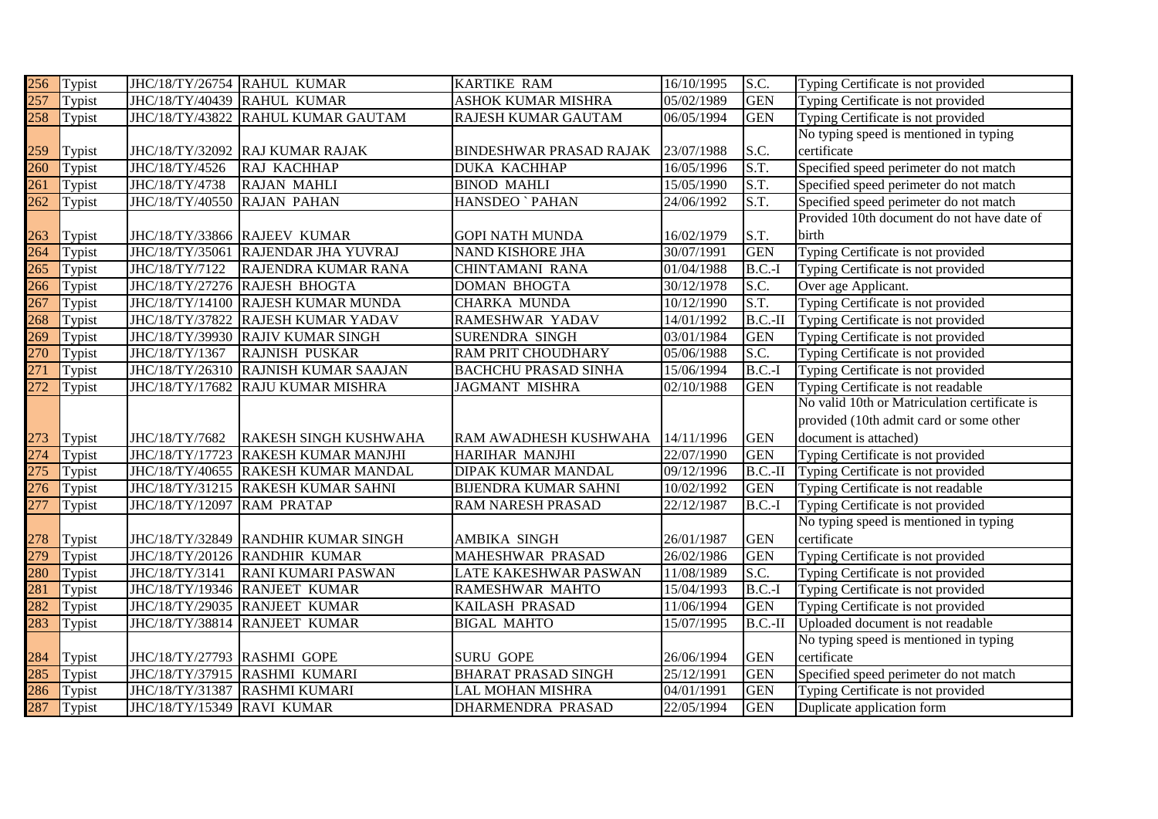| 256              | Typist     | JHC/18/TY/26754 RAHUL KUMAR |                                     | <b>KARTIKE RAM</b>             | 16/10/1995 | S.C.       | Typing Certificate is not provided            |
|------------------|------------|-----------------------------|-------------------------------------|--------------------------------|------------|------------|-----------------------------------------------|
| $\overline{257}$ | Typist     | JHC/18/TY/40439 RAHUL KUMAR |                                     | <b>ASHOK KUMAR MISHRA</b>      | 05/02/1989 | <b>GEN</b> | Typing Certificate is not provided            |
| $\overline{258}$ | Typist     |                             | JHC/18/TY/43822 RAHUL KUMAR GAUTAM  | RAJESH KUMAR GAUTAM            | 06/05/1994 | <b>GEN</b> | Typing Certificate is not provided            |
|                  |            |                             |                                     |                                |            |            | No typing speed is mentioned in typing        |
| 259              | Typist     |                             | JHC/18/TY/32092 RAJ KUMAR RAJAK     | <b>BINDESHWAR PRASAD RAJAK</b> | 23/07/1988 | S.C.       | certificate                                   |
| 260              | Typist     | JHC/18/TY/4526              | RAJ KACHHAP                         | <b>DUKA KACHHAP</b>            | 16/05/1996 | S.T.       | Specified speed perimeter do not match        |
| 261              | Typist     | JHC/18/TY/4738              | RAJAN MAHLI                         | <b>BINOD MAHLI</b>             | 15/05/1990 | S.T.       | Specified speed perimeter do not match        |
| 262              | Typist     | JHC/18/TY/40550             | <b>RAJAN PAHAN</b>                  | HANSDEO ` PAHAN                | 24/06/1992 | S.T.       | Specified speed perimeter do not match        |
|                  |            |                             |                                     |                                |            |            | Provided 10th document do not have date of    |
| 263              | Typist     |                             | JHC/18/TY/33866 RAJEEV KUMAR        | <b>GOPI NATH MUNDA</b>         | 16/02/1979 | S.T.       | birth                                         |
| 264              | Typist     |                             | JHC/18/TY/35061 RAJENDAR JHA YUVRAJ | <b>NAND KISHORE JHA</b>        | 30/07/1991 | <b>GEN</b> | Typing Certificate is not provided            |
| 265              | Typist     | JHC/18/TY/7122              | RAJENDRA KUMAR RANA                 | CHINTAMANI RANA                | 01/04/1988 | $B.C.-I$   | Typing Certificate is not provided            |
| 266              | Typist     |                             | JHC/18/TY/27276 RAJESH BHOGTA       | <b>DOMAN BHOGTA</b>            | 30/12/1978 | S.C.       | Over age Applicant.                           |
| $\overline{267}$ | Typist     |                             | JHC/18/TY/14100 RAJESH KUMAR MUNDA  | <b>CHARKA MUNDA</b>            | 10/12/1990 | S.T.       | Typing Certificate is not provided            |
| 268              | Typist     |                             | JHC/18/TY/37822 RAJESH KUMAR YADAV  | RAMESHWAR YADAV                | 14/01/1992 | $B.C.-II$  | Typing Certificate is not provided            |
| 269              | Typist     |                             | JHC/18/TY/39930 RAJIV KUMAR SINGH   | SURENDRA SINGH                 | 03/01/1984 | <b>GEN</b> | Typing Certificate is not provided            |
| 270              | Typist     | JHC/18/TY/1367              | <b>RAJNISH PUSKAR</b>               | RAM PRIT CHOUDHARY             | 05/06/1988 | S.C.       | Typing Certificate is not provided            |
| $\overline{271}$ | Typist     | JHC/18/TY/26310             | <b>RAJNISH KUMAR SAAJAN</b>         | <b>BACHCHU PRASAD SINHA</b>    | 15/06/1994 | $B.C.-I$   | Typing Certificate is not provided            |
| 272              | Typist     | JHC/18/TY/17682             | <b>RAJU KUMAR MISHRA</b>            | <b>JAGMANT MISHRA</b>          | 02/10/1988 | <b>GEN</b> | Typing Certificate is not readable            |
|                  |            |                             |                                     |                                |            |            | No valid 10th or Matriculation certificate is |
|                  |            |                             |                                     |                                |            |            | provided (10th admit card or some other       |
| 273              | Typist     | JHC/18/TY/7682              | <b>RAKESH SINGH KUSHWAHA</b>        | RAM AWADHESH KUSHWAHA          | 14/11/1996 | <b>GEN</b> | document is attached)                         |
| $\overline{274}$ | Typist     | JHC/18/TY/17723             | <b>RAKESH KUMAR MANJHI</b>          | HARIHAR MANJHI                 | 22/07/1990 | <b>GEN</b> | Typing Certificate is not provided            |
| 275              | Typist     |                             | JHC/18/TY/40655 RAKESH KUMAR MANDAL | DIPAK KUMAR MANDAL             | 09/12/1996 | $B.C.-II$  | Typing Certificate is not provided            |
| 276              | Typist     |                             | JHC/18/TY/31215 RAKESH KUMAR SAHNI  | <b>BIJENDRA KUMAR SAHNI</b>    | 10/02/1992 | <b>GEN</b> | Typing Certificate is not readable            |
| 277              | Typist     | JHC/18/TY/12097             | <b>RAM PRATAP</b>                   | RAM NARESH PRASAD              | 22/12/1987 | $B.C.-I$   | Typing Certificate is not provided            |
|                  |            |                             |                                     |                                |            |            | No typing speed is mentioned in typing        |
| 278              | Typist     |                             | JHC/18/TY/32849 RANDHIR KUMAR SINGH | AMBIKA SINGH                   | 26/01/1987 | <b>GEN</b> | certificate                                   |
| 279              | Typist     |                             | JHC/18/TY/20126 RANDHIR KUMAR       | MAHESHWAR PRASAD               | 26/02/1986 | <b>GEN</b> | Typing Certificate is not provided            |
| 280              | Typist     | JHC/18/TY/3141              | <b>RANI KUMARI PASWAN</b>           | LATE KAKESHWAR PASWAN          | 11/08/1989 | S.C.       | Typing Certificate is not provided            |
| 281              | Typist     |                             | JHC/18/TY/19346 RANJEET KUMAR       | RAMESHWAR MAHTO                | 15/04/1993 | $B.C.-I$   | Typing Certificate is not provided            |
| 282              | Typist     |                             | JHC/18/TY/29035 RANJEET KUMAR       | KAILASH PRASAD                 | 11/06/1994 | <b>GEN</b> | Typing Certificate is not provided            |
| 283              | Typist     | JHC/18/TY/38814             | <b>RANJEET KUMAR</b>                | <b>BIGAL MAHTO</b>             | 15/07/1995 | $B.C.-II$  | Uploaded document is not readable             |
|                  |            |                             |                                     |                                |            |            | No typing speed is mentioned in typing        |
| 284              | Typist     | JHC/18/TY/27793 RASHMI GOPE |                                     | <b>SURU GOPE</b>               | 26/06/1994 | <b>GEN</b> | certificate                                   |
| 285              | Typist     |                             | JHC/18/TY/37915 RASHMI KUMARI       | <b>BHARAT PRASAD SINGH</b>     | 25/12/1991 | <b>GEN</b> | Specified speed perimeter do not match        |
| 286              | Typist     |                             | JHC/18/TY/31387 RASHMI KUMARI       | LAL MOHAN MISHRA               | 04/01/1991 | <b>GEN</b> | Typing Certificate is not provided            |
|                  | 287 Typist | JHC/18/TY/15349 RAVI KUMAR  |                                     |                                | 22/05/1994 | <b>GEN</b> | Duplicate application form                    |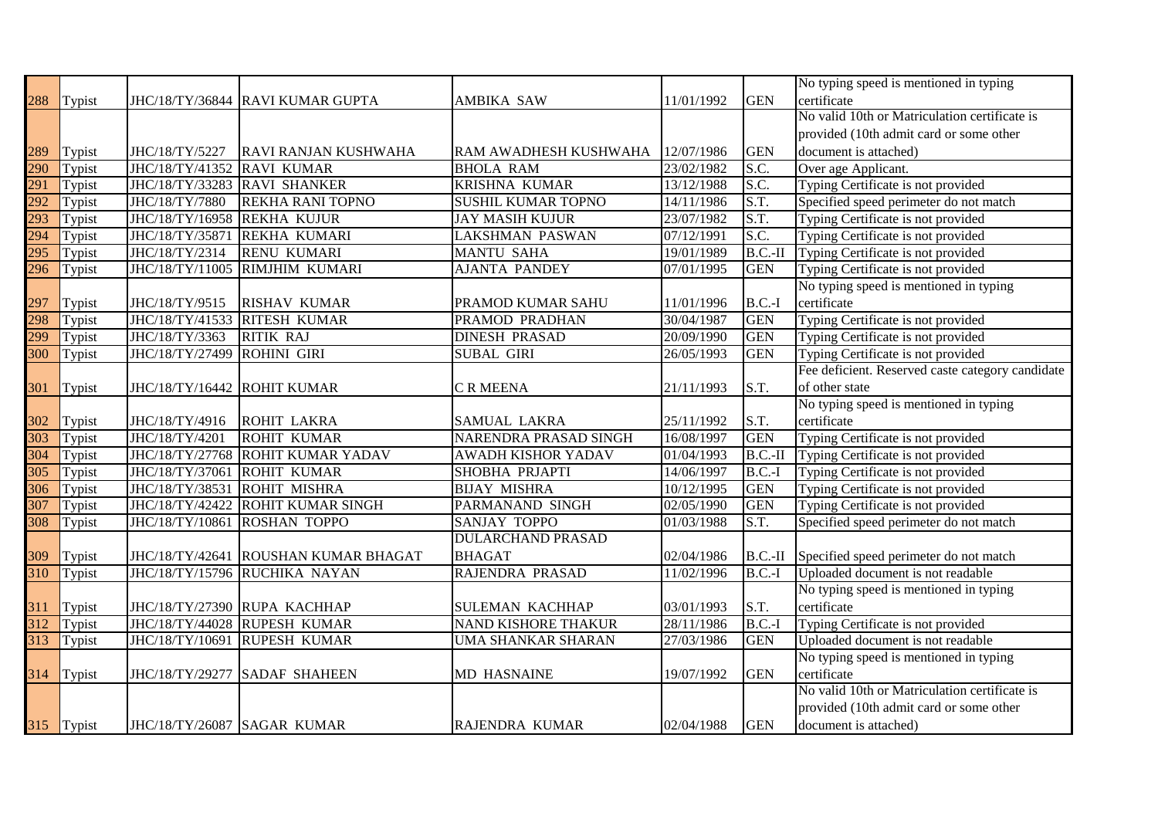|                  |            |                              |                                  |                           |            |            | No typing speed is mentioned in typing           |
|------------------|------------|------------------------------|----------------------------------|---------------------------|------------|------------|--------------------------------------------------|
| 288              | Typist     |                              | JHC/18/TY/36844 RAVI KUMAR GUPTA | AMBIKA SAW                | 11/01/1992 | <b>GEN</b> | certificate                                      |
|                  |            |                              |                                  |                           |            |            | No valid 10th or Matriculation certificate is    |
|                  |            |                              |                                  |                           |            |            | provided (10th admit card or some other          |
| 289              | Typist     | JHC/18/TY/5227               | RAVI RANJAN KUSHWAHA             | RAM AWADHESH KUSHWAHA     | 12/07/1986 | <b>GEN</b> | document is attached)                            |
| 290              | Typist     | JHC/18/TY/41352 RAVI KUMAR   |                                  | <b>BHOLA RAM</b>          | 23/02/1982 | S.C.       | Over age Applicant.                              |
| 291              | Typist     | JHC/18/TY/33283 RAVI SHANKER |                                  | <b>KRISHNA KUMAR</b>      | 13/12/1988 | S.C.       | Typing Certificate is not provided               |
| 292              | Typist     | JHC/18/TY/7880               | <b>REKHA RANI TOPNO</b>          | SUSHIL KUMAR TOPNO        | 14/11/1986 | S.T.       | Specified speed perimeter do not match           |
| 293              | Typist     | JHC/18/TY/16958              | <b>REKHA KUJUR</b>               | <b>JAY MASIH KUJUR</b>    | 23/07/1982 | S.T.       | Typing Certificate is not provided               |
| 294              | Typist     | JHC/18/TY/35871              | <b>REKHA KUMARI</b>              | <b>LAKSHMAN PASWAN</b>    | 07/12/1991 | S.C.       | Typing Certificate is not provided               |
| 295              | Typist     | JHC/18/TY/2314               | <b>RENU KUMARI</b>               | <b>MANTU SAHA</b>         | 19/01/1989 | $B.C.-II$  | Typing Certificate is not provided               |
| 296              | Typist     | JHC/18/TY/11005              | RIMJHIM KUMARI                   | <b>AJANTA PANDEY</b>      | 07/01/1995 | <b>GEN</b> | Typing Certificate is not provided               |
|                  |            |                              |                                  |                           |            |            | No typing speed is mentioned in typing           |
| 297              | Typist     | JHC/18/TY/9515               | <b>RISHAV KUMAR</b>              | PRAMOD KUMAR SAHU         | 11/01/1996 | $B.C.-I$   | certificate                                      |
| 298              | Typist     | JHC/18/TY/41533              | <b>RITESH KUMAR</b>              | PRAMOD PRADHAN            | 30/04/1987 | <b>GEN</b> | Typing Certificate is not provided               |
| 299              | Typist     | JHC/18/TY/3363               | <b>RITIK RAJ</b>                 | <b>DINESH PRASAD</b>      | 20/09/1990 | <b>GEN</b> | Typing Certificate is not provided               |
| $\overline{300}$ | Typist     | JHC/18/TY/27499              | <b>ROHINI GIRI</b>               | <b>SUBAL GIRI</b>         | 26/05/1993 | <b>GEN</b> | Typing Certificate is not provided               |
|                  |            |                              |                                  |                           |            |            | Fee deficient. Reserved caste category candidate |
| 301              | Typist     | JHC/18/TY/16442 ROHIT KUMAR  |                                  | C R MEENA                 | 21/11/1993 | S.T.       | of other state                                   |
|                  |            |                              |                                  |                           |            |            | No typing speed is mentioned in typing           |
| 302              | Typist     | JHC/18/TY/4916               | <b>ROHIT LAKRA</b>               | SAMUAL LAKRA              | 25/11/1992 | S.T.       | certificate                                      |
| $\overline{303}$ | Typist     | JHC/18/TY/4201               | <b>ROHIT KUMAR</b>               | NARENDRA PRASAD SINGH     | 16/08/1997 | <b>GEN</b> | Typing Certificate is not provided               |
| 304              | Typist     | JHC/18/TY/27768              | <b>ROHIT KUMAR YADAV</b>         | <b>AWADH KISHOR YADAV</b> | 01/04/1993 | $B.C.-II$  | Typing Certificate is not provided               |
| $\overline{305}$ | Typist     | JHC/18/TY/37061              | <b>ROHIT KUMAR</b>               | SHOBHA PRJAPTI            | 14/06/1997 | $B.C.-I$   | Typing Certificate is not provided               |
| 306              | Typist     | JHC/18/TY/38531              | <b>ROHIT MISHRA</b>              | <b>BIJAY MISHRA</b>       | 10/12/1995 | <b>GEN</b> | Typing Certificate is not provided               |
| 307              | Typist     | JHC/18/TY/42422              | <b>ROHIT KUMAR SINGH</b>         | PARMANAND SINGH           | 02/05/1990 | <b>GEN</b> | Typing Certificate is not provided               |
| 308              | Typist     | JHC/18/TY/10861              | <b>ROSHAN TOPPO</b>              | <b>SANJAY TOPPO</b>       | 01/03/1988 | S.T.       | Specified speed perimeter do not match           |
|                  |            |                              |                                  | <b>DULARCHAND PRASAD</b>  |            |            |                                                  |
| 309              | Typist     | JHC/18/TY/42641              | <b>ROUSHAN KUMAR BHAGAT</b>      | <b>BHAGAT</b>             | 02/04/1986 |            | B.C.-II Specified speed perimeter do not match   |
| $\overline{310}$ | Typist     |                              | JHC/18/TY/15796 RUCHIKA NAYAN    | RAJENDRA PRASAD           | 11/02/1996 | $B.C.-I$   | Uploaded document is not readable                |
|                  |            |                              |                                  |                           |            |            | No typing speed is mentioned in typing           |
| 311              | Typist     |                              | JHC/18/TY/27390 RUPA KACHHAP     | <b>SULEMAN KACHHAP</b>    | 03/01/1993 | S.T.       | certificate                                      |
| $\overline{312}$ | Typist     |                              | JHC/18/TY/44028 RUPESH KUMAR     | NAND KISHORE THAKUR       | 28/11/1986 | $B.C.-I$   | Typing Certificate is not provided               |
| 313              | Typist     | JHC/18/TY/10691              | <b>RUPESH KUMAR</b>              | UMA SHANKAR SHARAN        | 27/03/1986 | <b>GEN</b> | Uploaded document is not readable                |
|                  |            |                              |                                  |                           |            |            | No typing speed is mentioned in typing           |
|                  | 314 Typist | JHC/18/TY/29277              | <b>SADAF SHAHEEN</b>             | MD HASNAINE               | 19/07/1992 | <b>GEN</b> | certificate                                      |
|                  |            |                              |                                  |                           |            |            | No valid 10th or Matriculation certificate is    |
|                  |            |                              |                                  |                           |            |            | provided (10th admit card or some other          |
|                  | 315 Typist | JHC/18/TY/26087 SAGAR KUMAR  |                                  | RAJENDRA KUMAR            | 02/04/1988 | <b>GEN</b> | document is attached)                            |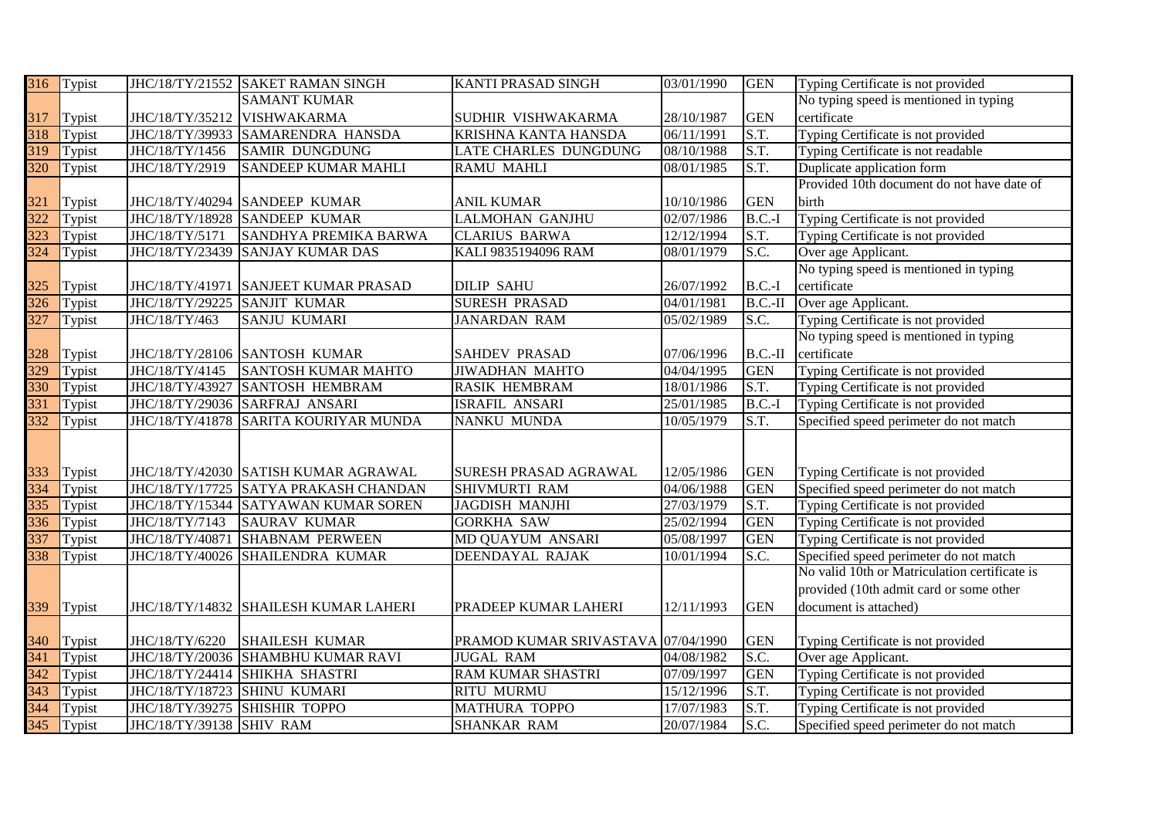| 316              | Typist |                          | JHC/18/TY/21552 SAKET RAMAN SINGH     | KANTI PRASAD SINGH                 | 03/01/1990 | <b>GEN</b> | Typing Certificate is not provided            |
|------------------|--------|--------------------------|---------------------------------------|------------------------------------|------------|------------|-----------------------------------------------|
|                  |        |                          | <b>SAMANT KUMAR</b>                   |                                    |            |            | No typing speed is mentioned in typing        |
| 317              | Typist |                          | JHC/18/TY/35212 VISHWAKARMA           | SUDHIR VISHWAKARMA                 | 28/10/1987 | <b>GEN</b> | certificate                                   |
| $\overline{318}$ | Typist | JHC/18/TY/39933          | SAMARENDRA HANSDA                     | KRISHNA KANTA HANSDA               | 06/11/1991 | S.T.       | Typing Certificate is not provided            |
| 319              | Typist | JHC/18/TY/1456           | <b>SAMIR DUNGDUNG</b>                 | LATE CHARLES DUNGDUNG              | 08/10/1988 | S.T.       | Typing Certificate is not readable            |
| 320              | Typist | JHC/18/TY/2919           | <b>SANDEEP KUMAR MAHLI</b>            | <b>RAMU MAHLI</b>                  | 08/01/1985 | S.T.       | Duplicate application form                    |
|                  |        |                          |                                       |                                    |            |            | Provided 10th document do not have date of    |
| 321              | Typist | JHC/18/TY/40294          | <b>SANDEEP KUMAR</b>                  | <b>ANIL KUMAR</b>                  | 10/10/1986 | <b>GEN</b> | birth                                         |
| 322              | Typist |                          | JHC/18/TY/18928 SANDEEP KUMAR         | <b>LALMOHAN GANJHU</b>             | 02/07/1986 | $B.C.-I$   | Typing Certificate is not provided            |
| 323              | Typist | JHC/18/TY/5171           | SANDHYA PREMIKA BARWA                 | <b>CLARIUS BARWA</b>               | 12/12/1994 | S.T.       | Typing Certificate is not provided            |
| $\overline{324}$ | Typist | JHC/18/TY/23439          | <b>SANJAY KUMAR DAS</b>               | KALI 9835194096 RAM                | 08/01/1979 | S.C.       | Over age Applicant.                           |
|                  |        |                          |                                       |                                    |            |            | No typing speed is mentioned in typing        |
| 325              | Typist | JHC/18/TY/41971          | <b>SANJEET KUMAR PRASAD</b>           | <b>DILIP SAHU</b>                  | 26/07/1992 | $B.C.-I$   | certificate                                   |
| $\overline{326}$ | Typist | JHC/18/TY/29225          | <b>SANJIT KUMAR</b>                   | <b>SURESH PRASAD</b>               | 04/01/1981 | $B.C.-II$  | Over age Applicant.                           |
| 327              | Typist | JHC/18/TY/463            | <b>SANJU KUMARI</b>                   | <b>JANARDAN RAM</b>                | 05/02/1989 | S.C.       | Typing Certificate is not provided            |
|                  |        |                          |                                       |                                    |            |            | No typing speed is mentioned in typing        |
| 328              | Typist |                          | JHC/18/TY/28106 SANTOSH KUMAR         | <b>SAHDEV PRASAD</b>               | 07/06/1996 | $B.C.-II$  | certificate                                   |
| 329              | Typist | JHC/18/TY/4145           | <b>SANTOSH KUMAR MAHTO</b>            | <b>JIWADHAN MAHTO</b>              | 04/04/1995 | <b>GEN</b> | Typing Certificate is not provided            |
| 330              | Typist | JHC/18/TY/43927          | <b>SANTOSH HEMBRAM</b>                | <b>RASIK HEMBRAM</b>               | 18/01/1986 | S.T.       | Typing Certificate is not provided            |
| 331              | Typist |                          | JHC/18/TY/29036 SARFRAJ ANSARI        | <b>ISRAFIL ANSARI</b>              | 25/01/1985 | $B.C.-I$   | Typing Certificate is not provided            |
| 332              | Typist |                          | JHC/18/TY/41878 SARITA KOURIYAR MUNDA | NANKU MUNDA                        | 10/05/1979 | S.T.       | Specified speed perimeter do not match        |
|                  |        |                          |                                       |                                    |            |            |                                               |
|                  |        |                          |                                       |                                    |            |            |                                               |
| 333              | Typist |                          | JHC/18/TY/42030 SATISH KUMAR AGRAWAL  | SURESH PRASAD AGRAWAL              | 12/05/1986 | <b>GEN</b> | Typing Certificate is not provided            |
| 334              | Typist |                          | JHC/18/TY/17725 SATYA PRAKASH CHANDAN | SHIVMURTI RAM                      | 04/06/1988 | <b>GEN</b> | Specified speed perimeter do not match        |
| 335              | Typist | JHC/18/TY/15344          | <b>SATYAWAN KUMAR SOREN</b>           | <b>JAGDISH MANJHI</b>              | 27/03/1979 | S.T.       | Typing Certificate is not provided            |
| 336              | Typist | JHC/18/TY/7143           | <b>SAURAV KUMAR</b>                   | <b>GORKHA SAW</b>                  | 25/02/1994 | <b>GEN</b> | Typing Certificate is not provided            |
| 337              | Typist | JHC/18/TY/40871          | <b>SHABNAM PERWEEN</b>                | MD QUAYUM ANSARI                   | 05/08/1997 | <b>GEN</b> | Typing Certificate is not provided            |
| 338              | Typist | JHC/18/TY/40026          | <b>SHAILENDRA KUMAR</b>               | DEENDAYAL RAJAK                    | 10/01/1994 | S.C.       | Specified speed perimeter do not match        |
|                  |        |                          |                                       |                                    |            |            | No valid 10th or Matriculation certificate is |
|                  |        |                          |                                       |                                    |            |            | provided (10th admit card or some other       |
| 339              | Typist |                          | JHC/18/TY/14832 SHAILESH KUMAR LAHERI | PRADEEP KUMAR LAHERI               | 12/11/1993 | <b>GEN</b> | document is attached)                         |
|                  |        |                          |                                       |                                    |            |            |                                               |
| 340              | Typist | JHC/18/TY/6220           | <b>SHAILESH KUMAR</b>                 | PRAMOD KUMAR SRIVASTAVA 07/04/1990 |            | <b>GEN</b> | Typing Certificate is not provided            |
| $\overline{341}$ | Typist |                          | JHC/18/TY/20036 SHAMBHU KUMAR RAVI    | <b>JUGAL RAM</b>                   | 04/08/1982 | S.C.       | Over age Applicant.                           |
| $\overline{342}$ | Typist | JHC/18/TY/24414          | <b>SHIKHA SHASTRI</b>                 | <b>RAM KUMAR SHASTRI</b>           | 07/09/1997 | <b>GEN</b> | Typing Certificate is not provided            |
| $\overline{343}$ | Typist | JHC/18/TY/18723          | <b>SHINU KUMARI</b>                   | RITU MURMU                         | 15/12/1996 | S.T.       | Typing Certificate is not provided            |
| 344              | Typist | JHC/18/TY/39275          | <b>SHISHIR TOPPO</b>                  | <b>MATHURA TOPPO</b>               | 17/07/1983 | S.T.       | Typing Certificate is not provided            |
| $\overline{345}$ | Typist | JHC/18/TY/39138 SHIV RAM |                                       | <b>SHANKAR RAM</b>                 | 20/07/1984 | S.C.       | Specified speed perimeter do not match        |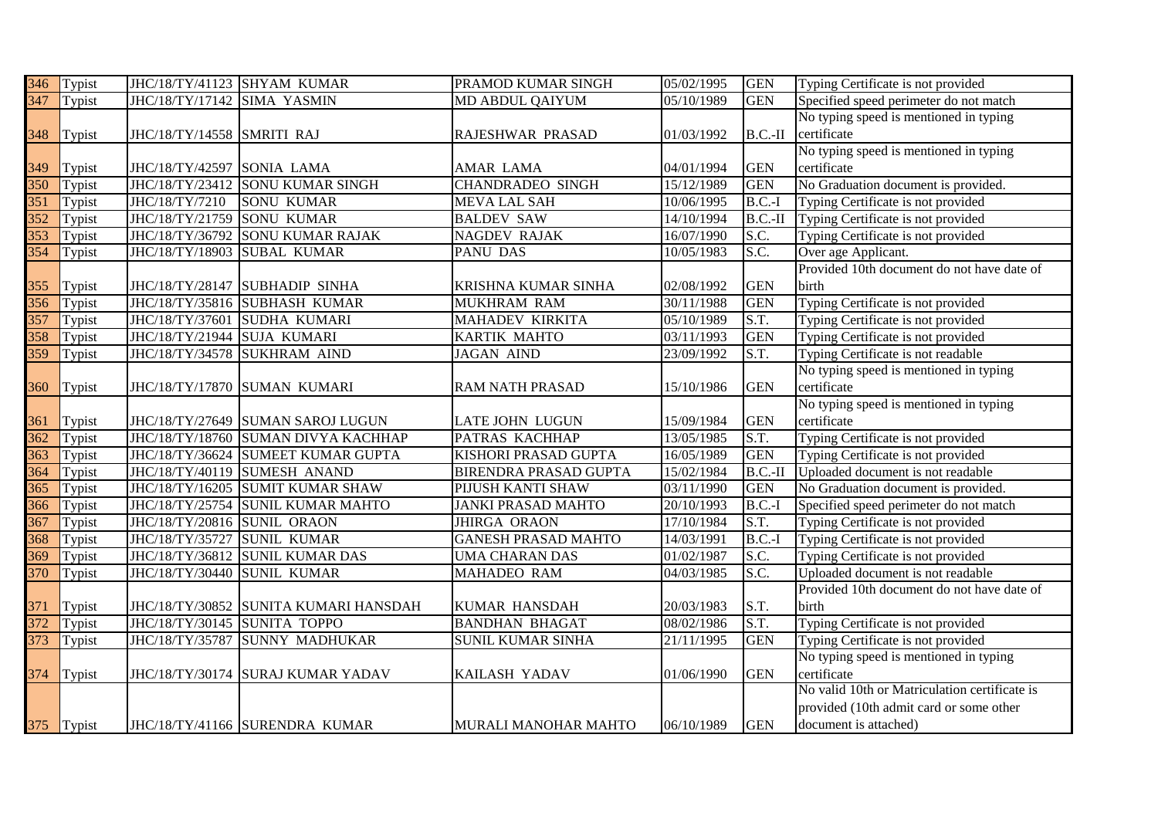| 346              | Typist     |                             | JHC/18/TY/41123 SHYAM KUMAR           | PRAMOD KUMAR SINGH           | 05/02/1995 | <b>GEN</b> | Typing Certificate is not provided            |
|------------------|------------|-----------------------------|---------------------------------------|------------------------------|------------|------------|-----------------------------------------------|
| 347              | Typist     | JHC/18/TY/17142             | <b>SIMA YASMIN</b>                    | MD ABDUL QAIYUM              | 05/10/1989 | <b>GEN</b> | Specified speed perimeter do not match        |
|                  |            |                             |                                       |                              |            |            | No typing speed is mentioned in typing        |
| 348              | Typist     | JHC/18/TY/14558 SMRITI RAJ  |                                       | RAJESHWAR PRASAD             | 01/03/1992 |            | B.C.-II certificate                           |
|                  |            |                             |                                       |                              |            |            | No typing speed is mentioned in typing        |
| 349              | Typist     | JHC/18/TY/42597 SONIA LAMA  |                                       | AMAR LAMA                    | 04/01/1994 | <b>GEN</b> | certificate                                   |
| 350              | Typist     | JHC/18/TY/23412             | <b>SONU KUMAR SINGH</b>               | <b>CHANDRADEO SINGH</b>      | 15/12/1989 | <b>GEN</b> | No Graduation document is provided.           |
| 351              | Typist     | JHC/18/TY/7210              | <b>SONU KUMAR</b>                     | <b>MEVA LAL SAH</b>          | 10/06/1995 | $B.C.-I$   | Typing Certificate is not provided            |
| $\overline{352}$ | Typist     | JHC/18/TY/21759             | <b>SONU KUMAR</b>                     | <b>BALDEV SAW</b>            | 14/10/1994 | $B.C.-II$  | Typing Certificate is not provided            |
| $\overline{353}$ | Typist     | JHC/18/TY/36792             | <b>SONU KUMAR RAJAK</b>               | NAGDEV RAJAK                 | 16/07/1990 | S.C.       | Typing Certificate is not provided            |
| $\frac{354}{ }$  | Typist     | JHC/18/TY/18903             | <b>SUBAL KUMAR</b>                    | PANU DAS                     | 10/05/1983 | S.C.       | Over age Applicant.                           |
|                  |            |                             |                                       |                              |            |            | Provided 10th document do not have date of    |
| 355              | Typist     |                             | JHC/18/TY/28147 SUBHADIP SINHA        | KRISHNA KUMAR SINHA          | 02/08/1992 | <b>GEN</b> | birth                                         |
| $\overline{356}$ | Typist     | JHC/18/TY/35816             | <b>SUBHASH KUMAR</b>                  | <b>MUKHRAM RAM</b>           | 30/11/1988 | <b>GEN</b> | Typing Certificate is not provided            |
| $\overline{357}$ | Typist     | JHC/18/TY/37601             | <b>SUDHA KUMARI</b>                   | MAHADEV KIRKITA              | 05/10/1989 | S.T.       | Typing Certificate is not provided            |
| $\overline{358}$ | Typist     | JHC/18/TY/21944             | <b>SUJA KUMARI</b>                    | KARTIK MAHTO                 | 03/11/1993 | <b>GEN</b> | Typing Certificate is not provided            |
| 359              | Typist     | JHC/18/TY/34578             | <b>SUKHRAM AIND</b>                   | <b>JAGAN AIND</b>            | 23/09/1992 | S.T.       | Typing Certificate is not readable            |
|                  |            |                             |                                       |                              |            |            | No typing speed is mentioned in typing        |
| 360              | Typist     |                             | JHC/18/TY/17870 SUMAN KUMARI          | RAM NATH PRASAD              | 15/10/1986 | <b>GEN</b> | certificate                                   |
|                  |            |                             |                                       |                              |            |            | No typing speed is mentioned in typing        |
| 361              | Typist     |                             | JHC/18/TY/27649 SUMAN SAROJ LUGUN     | LATE JOHN LUGUN              | 15/09/1984 | <b>GEN</b> | certificate                                   |
| 362              | Typist     | JHC/18/TY/18760             | <b>SUMAN DIVYA KACHHAP</b>            | PATRAS KACHHAP               | 13/05/1985 | S.T.       | Typing Certificate is not provided            |
| $\overline{363}$ | Typist     | JHC/18/TY/36624             | <b>SUMEET KUMAR GUPTA</b>             | KISHORI PRASAD GUPTA         | 16/05/1989 | <b>GEN</b> | Typing Certificate is not provided            |
| 364              | Typist     | JHC/18/TY/40119             | <b>SUMESH ANAND</b>                   | <b>BIRENDRA PRASAD GUPTA</b> | 15/02/1984 | $B.C.-II$  | Uploaded document is not readable             |
| 365              | Typist     | JHC/18/TY/16205             | <b>SUMIT KUMAR SHAW</b>               | PIJUSH KANTI SHAW            | 03/11/1990 | <b>GEN</b> | No Graduation document is provided.           |
| 366              | Typist     |                             | JHC/18/TY/25754 SUNIL KUMAR MAHTO     | <b>JANKI PRASAD MAHTO</b>    | 20/10/1993 | $B.C.-I$   | Specified speed perimeter do not match        |
| 367              | Typist     | JHC/18/TY/20816 SUNIL ORAON |                                       | <b>JHIRGA ORAON</b>          | 17/10/1984 | S.T.       | Typing Certificate is not provided            |
| 368              | Typist     | JHC/18/TY/35727             | <b>SUNIL KUMAR</b>                    | <b>GANESH PRASAD MAHTO</b>   | 14/03/1991 | $B.C.-I$   | Typing Certificate is not provided            |
| $\overline{369}$ | Typist     | JHC/18/TY/36812             | <b>SUNIL KUMAR DAS</b>                | <b>UMA CHARAN DAS</b>        | 01/02/1987 | S.C.       | Typing Certificate is not provided            |
| 370              | Typist     | JHC/18/TY/30440             | <b>SUNIL KUMAR</b>                    | MAHADEO RAM                  | 04/03/1985 | S.C.       | Uploaded document is not readable             |
|                  |            |                             |                                       |                              |            |            | Provided 10th document do not have date of    |
|                  |            |                             |                                       |                              |            |            | birth                                         |
| 371              | Typist     |                             | JHC/18/TY/30852 SUNITA KUMARI HANSDAH | <b>KUMAR HANSDAH</b>         | 20/03/1983 | S.T.       |                                               |
| 372              | Typist     | JHC/18/TY/30145             | <b>SUNITA TOPPO</b>                   | <b>BANDHAN BHAGAT</b>        | 08/02/1986 | S.T.       | Typing Certificate is not provided            |
| 373              | Typist     | JHC/18/TY/35787             | <b>SUNNY MADHUKAR</b>                 | SUNIL KUMAR SINHA            | 21/11/1995 | <b>GEN</b> | Typing Certificate is not provided            |
|                  |            |                             |                                       |                              |            |            | No typing speed is mentioned in typing        |
| 374              | Typist     |                             | JHC/18/TY/30174 SURAJ KUMAR YADAV     | KAILASH YADAV                | 01/06/1990 | <b>GEN</b> | certificate                                   |
|                  |            |                             |                                       |                              |            |            | No valid 10th or Matriculation certificate is |
|                  |            |                             |                                       |                              |            |            | provided (10th admit card or some other       |
|                  | 375 Typist |                             | JHC/18/TY/41166 SURENDRA KUMAR        | <b>MURALI MANOHAR MAHTO</b>  | 06/10/1989 | <b>GEN</b> | document is attached)                         |